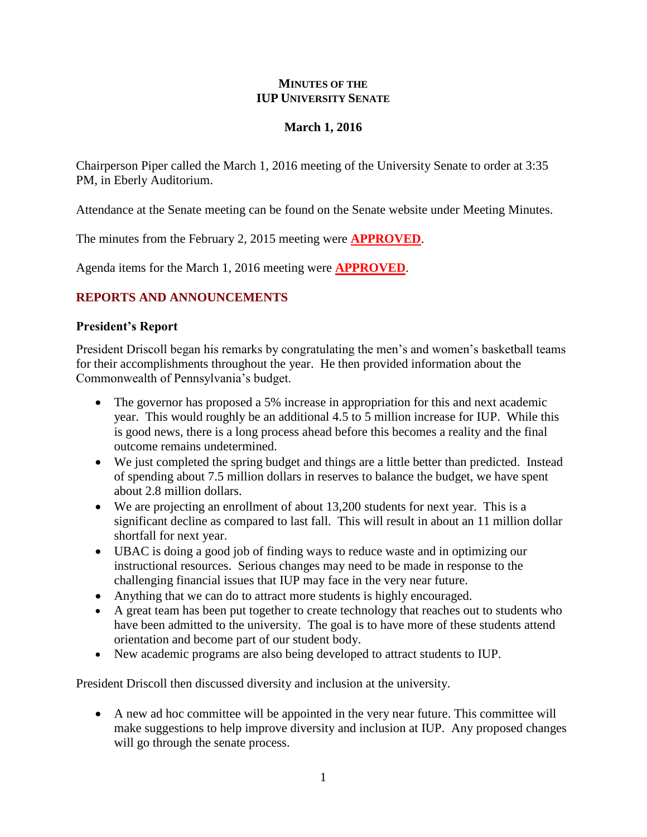#### **MINUTES OF THE IUP UNIVERSITY SENATE**

## **March 1, 2016**

Chairperson Piper called the March 1, 2016 meeting of the University Senate to order at 3:35 PM, in Eberly Auditorium.

Attendance at the Senate meeting can be found on the Senate website under Meeting Minutes.

The minutes from the February 2, 2015 meeting were **APPROVED**.

Agenda items for the March 1, 2016 meeting were **APPROVED**.

## **REPORTS AND ANNOUNCEMENTS**

## **President's Report**

President Driscoll began his remarks by congratulating the men's and women's basketball teams for their accomplishments throughout the year. He then provided information about the Commonwealth of Pennsylvania's budget.

- The governor has proposed a 5% increase in appropriation for this and next academic year. This would roughly be an additional 4.5 to 5 million increase for IUP. While this is good news, there is a long process ahead before this becomes a reality and the final outcome remains undetermined.
- We just completed the spring budget and things are a little better than predicted. Instead of spending about 7.5 million dollars in reserves to balance the budget, we have spent about 2.8 million dollars.
- We are projecting an enrollment of about 13,200 students for next year. This is a significant decline as compared to last fall. This will result in about an 11 million dollar shortfall for next year.
- UBAC is doing a good job of finding ways to reduce waste and in optimizing our instructional resources. Serious changes may need to be made in response to the challenging financial issues that IUP may face in the very near future.
- Anything that we can do to attract more students is highly encouraged.
- A great team has been put together to create technology that reaches out to students who have been admitted to the university. The goal is to have more of these students attend orientation and become part of our student body.
- New academic programs are also being developed to attract students to IUP.

President Driscoll then discussed diversity and inclusion at the university.

 A new ad hoc committee will be appointed in the very near future. This committee will make suggestions to help improve diversity and inclusion at IUP. Any proposed changes will go through the senate process.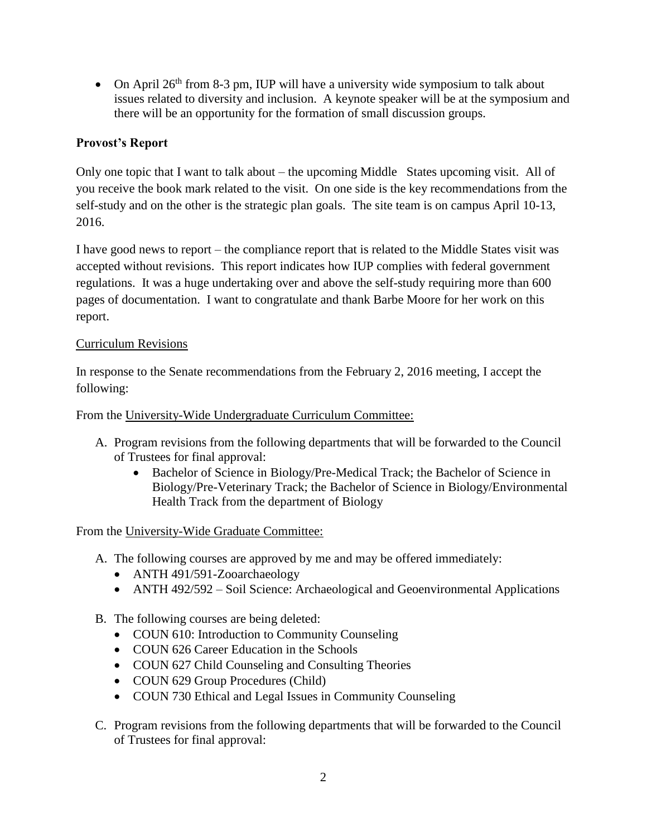• On April  $26<sup>th</sup>$  from 8-3 pm, IUP will have a university wide symposium to talk about issues related to diversity and inclusion. A keynote speaker will be at the symposium and there will be an opportunity for the formation of small discussion groups.

## **Provost's Report**

Only one topic that I want to talk about – the upcoming Middle States upcoming visit. All of you receive the book mark related to the visit. On one side is the key recommendations from the self-study and on the other is the strategic plan goals. The site team is on campus April 10-13, 2016.

I have good news to report – the compliance report that is related to the Middle States visit was accepted without revisions. This report indicates how IUP complies with federal government regulations. It was a huge undertaking over and above the self-study requiring more than 600 pages of documentation. I want to congratulate and thank Barbe Moore for her work on this report.

## Curriculum Revisions

In response to the Senate recommendations from the February 2, 2016 meeting, I accept the following:

From the University-Wide Undergraduate Curriculum Committee:

- A. Program revisions from the following departments that will be forwarded to the Council of Trustees for final approval:
	- Bachelor of Science in Biology/Pre-Medical Track; the Bachelor of Science in Biology/Pre-Veterinary Track; the Bachelor of Science in Biology/Environmental Health Track from the department of Biology

From the University-Wide Graduate Committee:

- A. The following courses are approved by me and may be offered immediately:
	- ANTH 491/591-Zooarchaeology
	- ANTH 492/592 Soil Science: Archaeological and Geoenvironmental Applications
- B. The following courses are being deleted:
	- COUN 610: Introduction to Community Counseling
	- COUN 626 Career Education in the Schools
	- COUN 627 Child Counseling and Consulting Theories
	- COUN 629 Group Procedures (Child)
	- COUN 730 Ethical and Legal Issues in Community Counseling
- C. Program revisions from the following departments that will be forwarded to the Council of Trustees for final approval: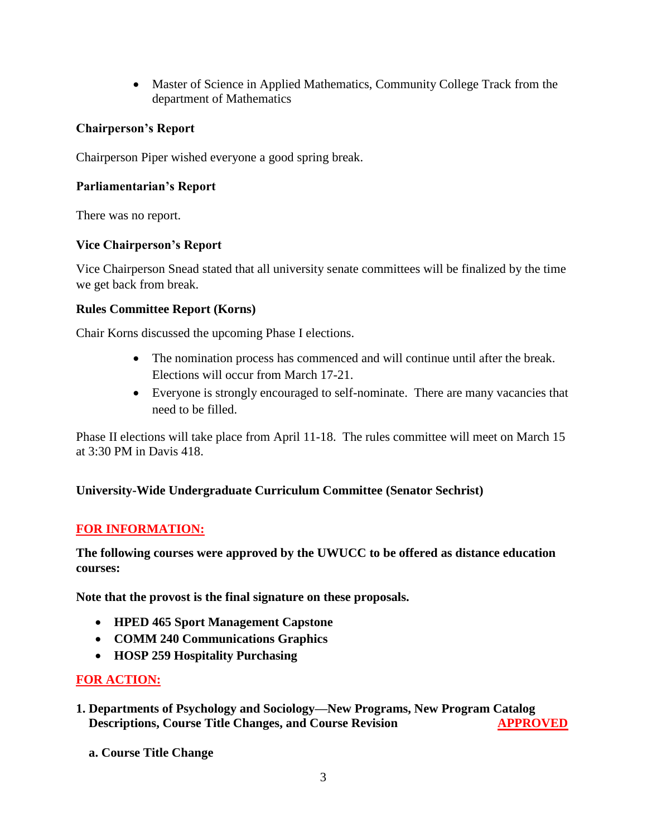Master of Science in Applied Mathematics, Community College Track from the department of Mathematics

## **Chairperson's Report**

Chairperson Piper wished everyone a good spring break.

## **Parliamentarian's Report**

There was no report.

## **Vice Chairperson's Report**

Vice Chairperson Snead stated that all university senate committees will be finalized by the time we get back from break.

## **Rules Committee Report (Korns)**

Chair Korns discussed the upcoming Phase I elections.

- The nomination process has commenced and will continue until after the break. Elections will occur from March 17-21.
- Everyone is strongly encouraged to self-nominate. There are many vacancies that need to be filled.

Phase II elections will take place from April 11-18. The rules committee will meet on March 15 at 3:30 PM in Davis 418.

## **University-Wide Undergraduate Curriculum Committee (Senator Sechrist)**

## **FOR INFORMATION:**

## **The following courses were approved by the UWUCC to be offered as distance education courses:**

**Note that the provost is the final signature on these proposals.**

- **HPED 465 Sport Management Capstone**
- **COMM 240 Communications Graphics**
- **HOSP 259 Hospitality Purchasing**

## **FOR ACTION:**

- **1. Departments of Psychology and Sociology—New Programs, New Program Catalog Descriptions, Course Title Changes, and Course Revision APPROVED** 
	- **a. Course Title Change**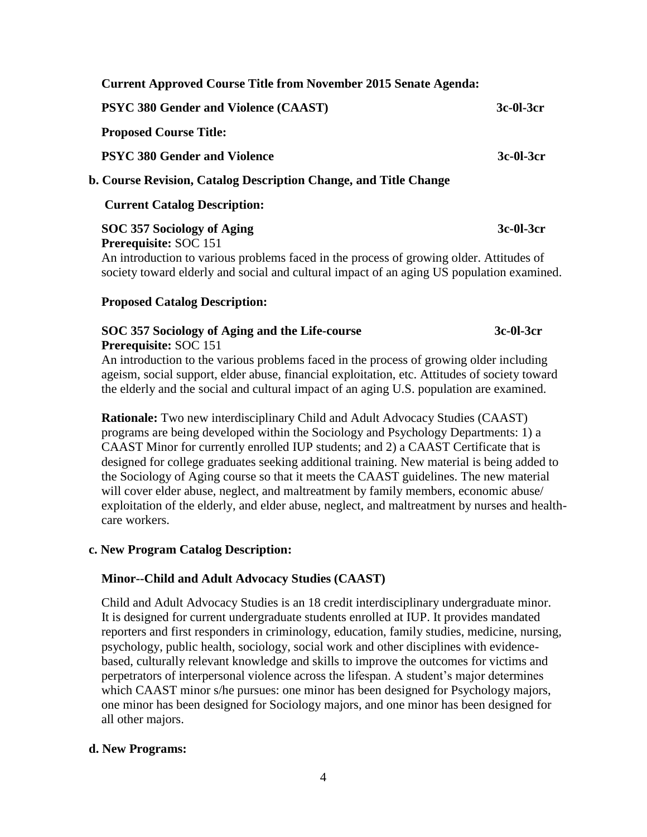| <b>Current Approved Course Title from November 2015 Senate Agenda:</b> |           |
|------------------------------------------------------------------------|-----------|
| <b>PSYC 380 Gender and Violence (CAAST)</b>                            | 3c-01-3cr |
| <b>Proposed Course Title:</b>                                          |           |
| <b>PSYC 380 Gender and Violence</b>                                    | 3c-01-3cr |
| b. Course Revision, Catalog Description Change, and Title Change       |           |
| <b>Current Catalog Description:</b>                                    |           |
| SOC 357 Sociology of Aging                                             | 3c-01-3cr |
| <b>Prerequisite: SOC 151</b>                                           |           |

 An introduction to various problems faced in the process of growing older. Attitudes of society toward elderly and social and cultural impact of an aging US population examined.

#### **Proposed Catalog Description:**

#### **SOC 357 Sociology of Aging and the Life-course 3c-0l-3cr Prerequisite:** SOC 151

An introduction to the various problems faced in the process of growing older including ageism, social support, elder abuse, financial exploitation, etc. Attitudes of society toward the elderly and the social and cultural impact of an aging U.S. population are examined.

 **Rationale:** Two new interdisciplinary Child and Adult Advocacy Studies (CAAST) programs are being developed within the Sociology and Psychology Departments: 1) a CAAST Minor for currently enrolled IUP students; and 2) a CAAST Certificate that is designed for college graduates seeking additional training. New material is being added to the Sociology of Aging course so that it meets the CAAST guidelines. The new material will cover elder abuse, neglect, and maltreatment by family members, economic abuse/ exploitation of the elderly, and elder abuse, neglect, and maltreatment by nurses and health care workers.

#### **c. New Program Catalog Description:**

## **Minor--Child and Adult Advocacy Studies (CAAST)**

 Child and Adult Advocacy Studies is an 18 credit interdisciplinary undergraduate minor. It is designed for current undergraduate students enrolled at IUP. It provides mandated reporters and first responders in criminology, education, family studies, medicine, nursing, psychology, public health, sociology, social work and other disciplines with evidence based, culturally relevant knowledge and skills to improve the outcomes for victims and perpetrators of interpersonal violence across the lifespan. A student's major determines which CAAST minor s/he pursues: one minor has been designed for Psychology majors, one minor has been designed for Sociology majors, and one minor has been designed for all other majors.

#### **d. New Programs:**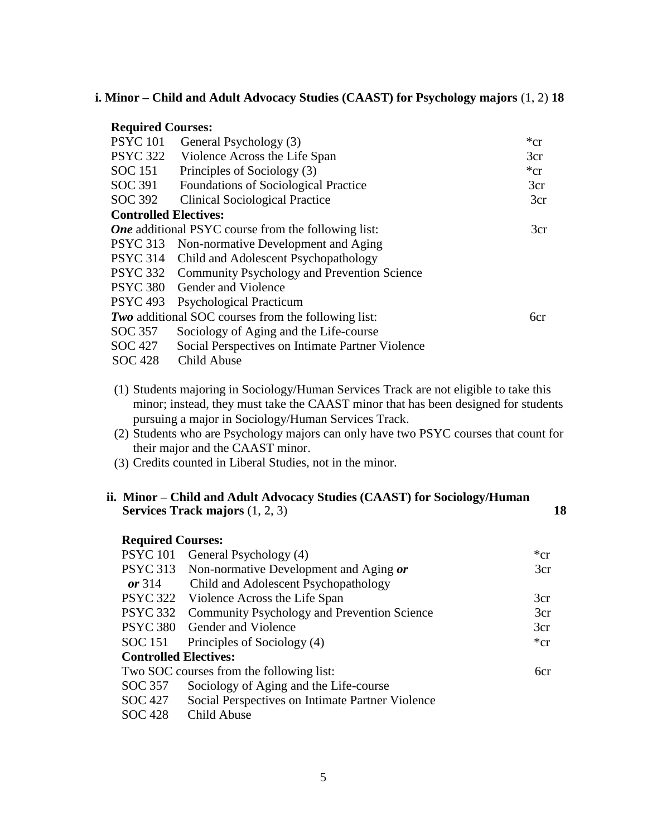#### **i. Minor – Child and Adult Advocacy Studies (CAAST) for Psychology majors** (1, 2) **18**

## **Required Courses:**  PSYC 101 General Psychology (3) \*cr PSYC 322 Violence Across the Life Span 3cr SOC 151 Principles of Sociology  $(3)$  \*cr SOC 391 Foundations of Sociological Practice 3cr SOC 392 Clinical Sociological Practice 3cr  **Controlled Electives:** *One* additional PSYC course from the following list: 3cr PSYC 313 Non-normative Development and Aging PSYC 314 Child and Adolescent Psychopathology PSYC 332 Community Psychology and Prevention Science PSYC 380 Gender and Violence PSYC 493 Psychological Practicum *Two* additional SOC courses from the following list: 6cr SOC 357 Sociology of Aging and the Life-course SOC 427 Social Perspectives on Intimate Partner Violence SOC 428 Child Abuse

- (1) Students majoring in Sociology/Human Services Track are not eligible to take this minor; instead, they must take the CAAST minor that has been designed for students pursuing a major in Sociology/Human Services Track.
- (2) Students who are Psychology majors can only have two PSYC courses that count for their major and the CAAST minor.
- (3) Credits counted in Liberal Studies, not in the minor.

#### **ii. Minor – Child and Adult Advocacy Studies (CAAST) for Sociology/Human Services Track majors** (1, 2, 3) **18**

| <b>Required Courses:</b>     |                                                  |          |
|------------------------------|--------------------------------------------------|----------|
|                              | PSYC 101 General Psychology (4)                  | $*_{cr}$ |
| <b>PSYC 313</b>              | Non-normative Development and Aging or           | 3cr      |
| or $314$                     | Child and Adolescent Psychopathology             |          |
|                              | PSYC 322 Violence Across the Life Span           | 3cr      |
| <b>PSYC 332</b>              | Community Psychology and Prevention Science      | 3cr      |
|                              | PSYC 380 Gender and Violence                     | 3cr      |
|                              | SOC 151 Principles of Sociology (4)              | $*_{cr}$ |
| <b>Controlled Electives:</b> |                                                  |          |
|                              | Two SOC courses from the following list:         | 6cr      |
| SOC 357                      | Sociology of Aging and the Life-course           |          |
| SOC 427                      | Social Perspectives on Intimate Partner Violence |          |
| <b>SOC 428</b>               | Child Abuse                                      |          |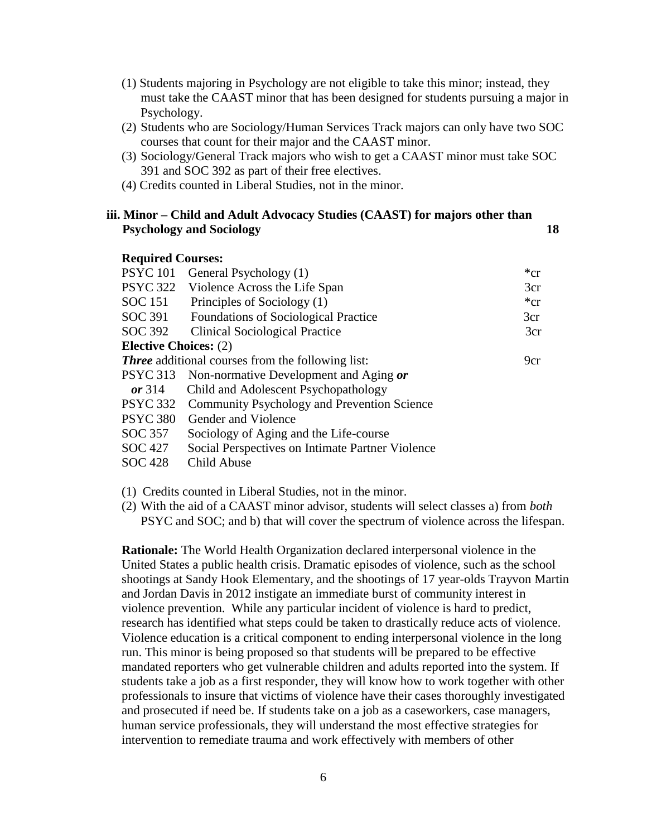- (1) Students majoring in Psychology are not eligible to take this minor; instead, they must take the CAAST minor that has been designed for students pursuing a major in Psychology.
- (2) Students who are Sociology/Human Services Track majors can only have two SOC courses that count for their major and the CAAST minor.
- (3) Sociology/General Track majors who wish to get a CAAST minor must take SOC 391 and SOC 392 as part of their free electives.
- (4) Credits counted in Liberal Studies, not in the minor.

#### **iii. Minor – Child and Adult Advocacy Studies (CAAST) for majors other than Psychology and Sociology 18**

#### **Required Courses:**

| <b>PSYC 101</b>              | General Psychology (1)                                   | ${}^*c$ r |
|------------------------------|----------------------------------------------------------|-----------|
| <b>PSYC 322</b>              | Violence Across the Life Span                            | 3cr       |
| SOC 151                      | Principles of Sociology (1)                              | $*_{cr}$  |
| SOC 391                      | <b>Foundations of Sociological Practice</b>              | 3cr       |
| SOC 392                      | <b>Clinical Sociological Practice</b>                    | 3cr       |
| <b>Elective Choices:</b> (2) |                                                          |           |
|                              | <b>Three</b> additional courses from the following list: | 9cr       |
|                              | PSYC 313 Non-normative Development and Aging or          |           |
| or $314$                     | Child and Adolescent Psychopathology                     |           |
|                              | PSYC 332 Community Psychology and Prevention Science     |           |
| <b>PSYC 380</b>              | Gender and Violence                                      |           |
| SOC 357                      | Sociology of Aging and the Life-course                   |           |
| SOC 427                      | Social Perspectives on Intimate Partner Violence         |           |
|                              |                                                          |           |

SOC 428 Child Abuse

(1) Credits counted in Liberal Studies, not in the minor.

(2) With the aid of a CAAST minor advisor, students will select classes a) from *both* PSYC and SOC; and b) that will cover the spectrum of violence across the lifespan.

**Rationale:** The World Health Organization declared interpersonal violence in the United States a public health crisis. Dramatic episodes of violence, such as the school shootings at Sandy Hook Elementary, and the shootings of 17 year-olds Trayvon Martin and Jordan Davis in 2012 instigate an immediate burst of community interest in violence prevention. While any particular incident of violence is hard to predict, research has identified what steps could be taken to drastically reduce acts of violence. Violence education is a critical component to ending interpersonal violence in the long run. This minor is being proposed so that students will be prepared to be effective mandated reporters who get vulnerable children and adults reported into the system. If students take a job as a first responder, they will know how to work together with other professionals to insure that victims of violence have their cases thoroughly investigated and prosecuted if need be. If students take on a job as a caseworkers, case managers, human service professionals, they will understand the most effective strategies for intervention to remediate trauma and work effectively with members of other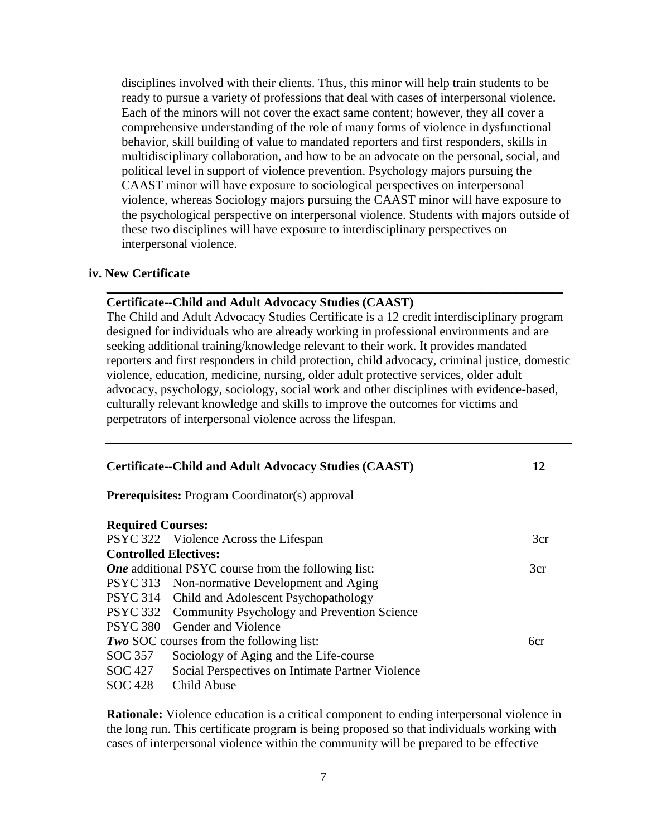disciplines involved with their clients. Thus, this minor will help train students to be ready to pursue a variety of professions that deal with cases of interpersonal violence. Each of the minors will not cover the exact same content; however, they all cover a comprehensive understanding of the role of many forms of violence in dysfunctional behavior, skill building of value to mandated reporters and first responders, skills in multidisciplinary collaboration, and how to be an advocate on the personal, social, and political level in support of violence prevention. Psychology majors pursuing the CAAST minor will have exposure to sociological perspectives on interpersonal violence, whereas Sociology majors pursuing the CAAST minor will have exposure to the psychological perspective on interpersonal violence. Students with majors outside of these two disciplines will have exposure to interdisciplinary perspectives on interpersonal violence.

#### **iv. New Certificate**

#### **Certificate--Child and Adult Advocacy Studies (CAAST)**

The Child and Adult Advocacy Studies Certificate is a 12 credit interdisciplinary program designed for individuals who are already working in professional environments and are seeking additional training/knowledge relevant to their work. It provides mandated reporters and first responders in child protection, child advocacy, criminal justice, domestic violence, education, medicine, nursing, older adult protective services, older adult advocacy, psychology, sociology, social work and other disciplines with evidence-based, culturally relevant knowledge and skills to improve the outcomes for victims and perpetrators of interpersonal violence across the lifespan.

 $\_$  , and the set of the set of the set of the set of the set of the set of the set of the set of the set of the set of the set of the set of the set of the set of the set of the set of the set of the set of the set of th

|                              | <b>Certificate--Child and Adult Advocacy Studies (CAAST)</b> | 12  |
|------------------------------|--------------------------------------------------------------|-----|
|                              | <b>Prerequisites:</b> Program Coordinator(s) approval        |     |
| <b>Required Courses:</b>     |                                                              |     |
|                              | PSYC 322 Violence Across the Lifespan                        | 3cr |
| <b>Controlled Electives:</b> |                                                              |     |
|                              | <b>One</b> additional PSYC course from the following list:   | 3cr |
|                              | PSYC 313 Non-normative Development and Aging                 |     |
|                              | PSYC 314 Child and Adolescent Psychopathology                |     |
|                              | PSYC 332 Community Psychology and Prevention Science         |     |
|                              | PSYC 380 Gender and Violence                                 |     |
|                              | <b>Two SOC</b> courses from the following list:              | 6cr |
| SOC 357                      | Sociology of Aging and the Life-course                       |     |
| SOC 427                      | Social Perspectives on Intimate Partner Violence             |     |
| SOC 428                      | Child Abuse                                                  |     |

**Rationale:** Violence education is a critical component to ending interpersonal violence in the long run. This certificate program is being proposed so that individuals working with cases of interpersonal violence within the community will be prepared to be effective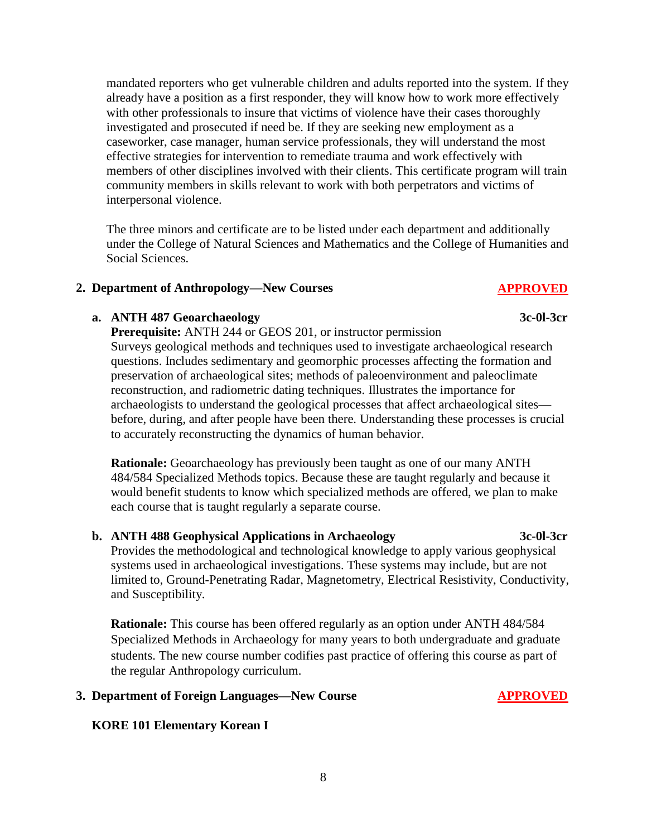mandated reporters who get vulnerable children and adults reported into the system. If they already have a position as a first responder, they will know how to work more effectively with other professionals to insure that victims of violence have their cases thoroughly investigated and prosecuted if need be. If they are seeking new employment as a caseworker, case manager, human service professionals, they will understand the most effective strategies for intervention to remediate trauma and work effectively with members of other disciplines involved with their clients. This certificate program will train community members in skills relevant to work with both perpetrators and victims of interpersonal violence.

The three minors and certificate are to be listed under each department and additionally under the College of Natural Sciences and Mathematics and the College of Humanities and Social Sciences.

## 2. Department of Anthropology—New Courses **APPROVED**

## **a. ANTH 487 Geoarchaeology** 3c-0l-3cr

**Prerequisite:** ANTH 244 or GEOS 201, or instructor permission Surveys geological methods and techniques used to investigate archaeological research questions. Includes sedimentary and geomorphic processes affecting the formation and preservation of archaeological sites; methods of paleoenvironment and paleoclimate reconstruction, and radiometric dating techniques. Illustrates the importance for archaeologists to understand the geological processes that affect archaeological sites before, during, and after people have been there. Understanding these processes is crucial to accurately reconstructing the dynamics of human behavior.

**Rationale:** Geoarchaeology has previously been taught as one of our many ANTH 484/584 Specialized Methods topics. Because these are taught regularly and because it would benefit students to know which specialized methods are offered, we plan to make each course that is taught regularly a separate course.

#### **b. ANTH 488 Geophysical Applications in Archaeology 3c-0l-3cr**

Provides the methodological and technological knowledge to apply various geophysical systems used in archaeological investigations. These systems may include, but are not limited to, Ground-Penetrating Radar, Magnetometry, Electrical Resistivity, Conductivity, and Susceptibility.

**Rationale:** This course has been offered regularly as an option under ANTH 484/584 Specialized Methods in Archaeology for many years to both undergraduate and graduate students. The new course number codifies past practice of offering this course as part of the regular Anthropology curriculum.

## **3. Department of Foreign Languages—New Course APPROVED**

## **KORE 101 Elementary Korean I**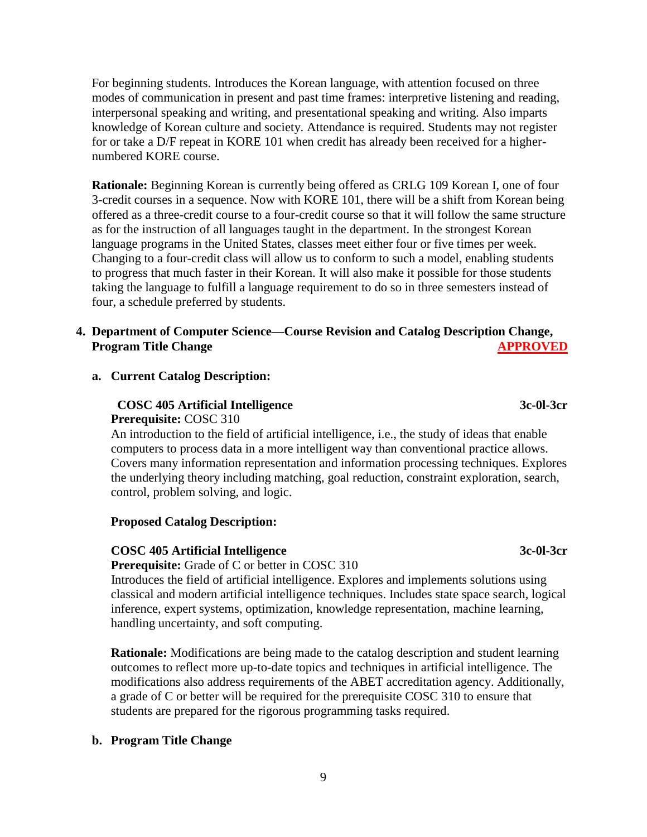For beginning students. Introduces the Korean language, with attention focused on three modes of communication in present and past time frames: interpretive listening and reading, interpersonal speaking and writing, and presentational speaking and writing. Also imparts knowledge of Korean culture and society. Attendance is required. Students may not register for or take a D/F repeat in KORE 101 when credit has already been received for a higher numbered KORE course.

 **Rationale:** Beginning Korean is currently being offered as CRLG 109 Korean I, one of four 3-credit courses in a sequence. Now with KORE 101, there will be a shift from Korean being offered as a three-credit course to a four-credit course so that it will follow the same structure as for the instruction of all languages taught in the department. In the strongest Korean language programs in the United States, classes meet either four or five times per week. Changing to a four-credit class will allow us to conform to such a model, enabling students to progress that much faster in their Korean. It will also make it possible for those students taking the language to fulfill a language requirement to do so in three semesters instead of four, a schedule preferred by students.

## **4. Department of Computer Science—Course Revision and Catalog Description Change, Program Title Change APPROVED**

#### **a. Current Catalog Description:**

## **COSC 405 Artificial Intelligence 3c-0l-3cr Prerequisite:** COSC 310

 An introduction to the field of artificial intelligence, i.e., the study of ideas that enable computers to process data in a more intelligent way than conventional practice allows. Covers many information representation and information processing techniques. Explores the underlying theory including matching, goal reduction, constraint exploration, search, control, problem solving, and logic.

#### **Proposed Catalog Description:**

## **COSC 405 Artificial Intelligence 3c-0l-3cr**

**Prerequisite:** Grade of C or better in COSC 310

 Introduces the field of artificial intelligence. Explores and implements solutions using classical and modern artificial intelligence techniques. Includes state space search, logical inference, expert systems, optimization, knowledge representation, machine learning, handling uncertainty, and soft computing.

 **Rationale:** Modifications are being made to the catalog description and student learning outcomes to reflect more up-to-date topics and techniques in artificial intelligence. The modifications also address requirements of the ABET accreditation agency. Additionally, a grade of C or better will be required for the prerequisite COSC 310 to ensure that students are prepared for the rigorous programming tasks required.

## **b. Program Title Change**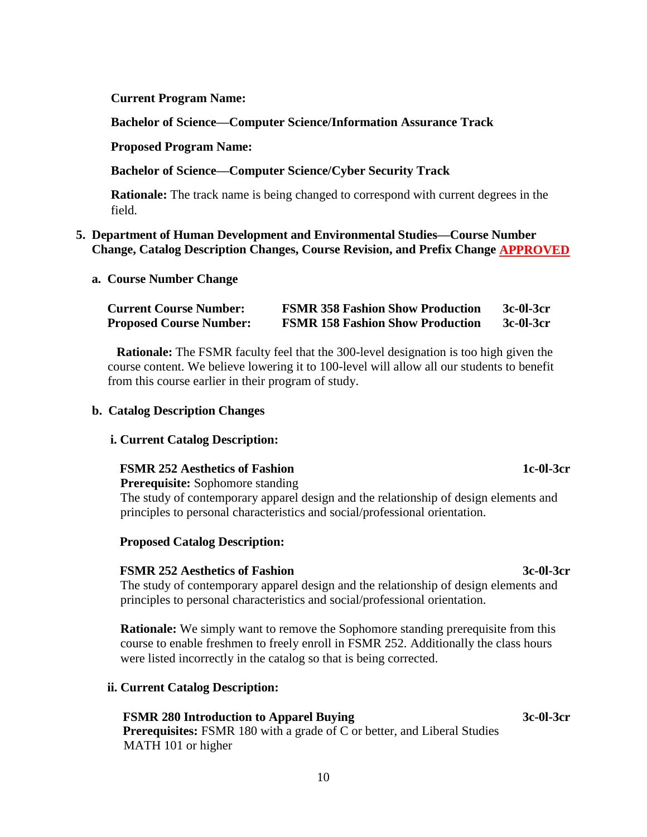#### **Current Program Name:**

 **Bachelor of Science—Computer Science/Information Assurance Track**

#### **Proposed Program Name:**

### **Bachelor of Science—Computer Science/Cyber Security Track**

 **Rationale:** The track name is being changed to correspond with current degrees in the field.

#### **5. Department of Human Development and Environmental Studies—Course Number Change, Catalog Description Changes, Course Revision, and Prefix Change APPROVED**

#### **a. Course Number Change**

| <b>Current Course Number:</b>  | <b>FSMR 358 Fashion Show Production</b> | 3c-01-3cr |
|--------------------------------|-----------------------------------------|-----------|
| <b>Proposed Course Number:</b> | <b>FSMR 158 Fashion Show Production</b> | 3c-01-3cr |

 **Rationale:** The FSMR faculty feel that the 300-level designation is too high given the course content. We believe lowering it to 100-level will allow all our students to benefit from this course earlier in their program of study.

#### **b. Catalog Description Changes**

#### **i. Current Catalog Description:**

#### **FSMR 252 Aesthetics of Fashion 1c-0l-3cr**

 **Prerequisite:** Sophomore standing

 The study of contemporary apparel design and the relationship of design elements and principles to personal characteristics and social/professional orientation.

#### **Proposed Catalog Description:**

#### **FSMR 252 Aesthetics of Fashion 3c-0l-3cr**

The study of contemporary apparel design and the relationship of design elements and principles to personal characteristics and social/professional orientation.

**Rationale:** We simply want to remove the Sophomore standing prerequisite from this course to enable freshmen to freely enroll in FSMR 252. Additionally the class hours were listed incorrectly in the catalog so that is being corrected.

#### **ii. Current Catalog Description:**

## **FSMR 280 Introduction to Apparel Buying 3c-0l-3cr**

**Prerequisites:** FSMR 180 with a grade of C or better, and Liberal Studies MATH 101 or higher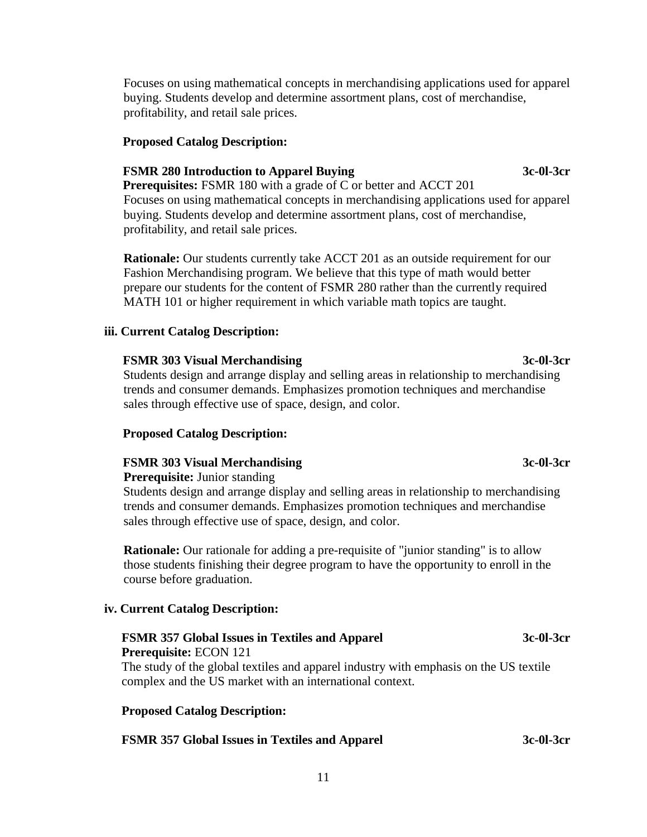Focuses on using mathematical concepts in merchandising applications used for apparel buying. Students develop and determine assortment plans, cost of merchandise, profitability, and retail sale prices.

#### **Proposed Catalog Description:**

#### **FSMR 280 Introduction to Apparel Buying 3c-0l-3cr**

**Prerequisites:** FSMR 180 with a grade of C or better and ACCT 201 Focuses on using mathematical concepts in merchandising applications used for apparel buying. Students develop and determine assortment plans, cost of merchandise, profitability, and retail sale prices.

 **Rationale:** Our students currently take ACCT 201 as an outside requirement for our Fashion Merchandising program. We believe that this type of math would better prepare our students for the content of FSMR 280 rather than the currently required MATH 101 or higher requirement in which variable math topics are taught.

#### **iii. Current Catalog Description:**

#### **FSMR 303 Visual Merchandising 3c-0l-3cr**

 Students design and arrange display and selling areas in relationship to merchandising trends and consumer demands. Emphasizes promotion techniques and merchandise sales through effective use of space, design, and color.

#### **Proposed Catalog Description:**

#### **FSMR 303 Visual Merchandising 3c-0l-3cr**

#### **Prerequisite:** Junior standing

 Students design and arrange display and selling areas in relationship to merchandising trends and consumer demands. Emphasizes promotion techniques and merchandise sales through effective use of space, design, and color.

 **Rationale:** Our rationale for adding a pre-requisite of "junior standing" is to allow those students finishing their degree program to have the opportunity to enroll in the course before graduation.

#### **iv. Current Catalog Description:**

# **FSMR 357 Global Issues in Textiles and Apparel 3c-0l-3cr Prerequisite:** ECON 121

The study of the global textiles and apparel industry with emphasis on the US textile complex and the US market with an international context.

#### **Proposed Catalog Description:**

## **FSMR 357 Global Issues in Textiles and Apparel 3c-0l-3cr**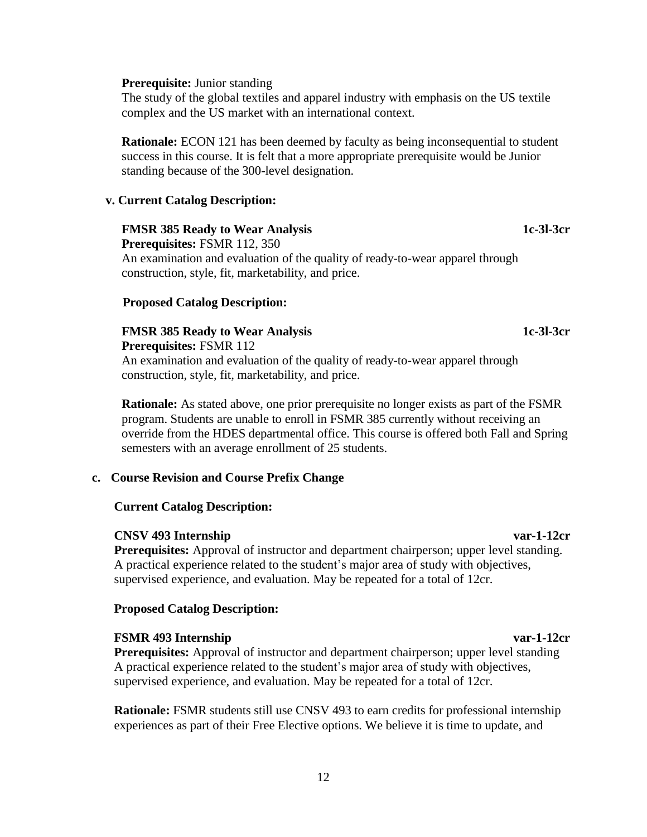#### **Prerequisite:** Junior standing

The study of the global textiles and apparel industry with emphasis on the US textile complex and the US market with an international context.

**Rationale:** ECON 121 has been deemed by faculty as being inconsequential to student success in this course. It is felt that a more appropriate prerequisite would be Junior standing because of the 300-level designation.

#### **v. Current Catalog Description:**

#### **FMSR 385 Ready to Wear Analysis 1c-3l-3cr**

**Prerequisites:** FSMR 112, 350

An examination and evaluation of the quality of ready-to-wear apparel through construction, style, fit, marketability, and price.

#### **Proposed Catalog Description:**

## **FMSR 385 Ready to Wear Analysis 1c-3l-3cr**

**Prerequisites:** FSMR 112

An examination and evaluation of the quality of ready-to-wear apparel through construction, style, fit, marketability, and price.

**Rationale:** As stated above, one prior prerequisite no longer exists as part of the FSMR program. Students are unable to enroll in FSMR 385 currently without receiving an override from the HDES departmental office. This course is offered both Fall and Spring semesters with an average enrollment of 25 students.

#### **c. Course Revision and Course Prefix Change**

#### **Current Catalog Description:**

#### **CNSV 493 Internship var-1-12cr**

**Prerequisites:** Approval of instructor and department chairperson; upper level standing. A practical experience related to the student's major area of study with objectives, supervised experience, and evaluation. May be repeated for a total of 12cr.

#### **Proposed Catalog Description:**

#### **FSMR 493 Internship var-1-12cr**

**Prerequisites:** Approval of instructor and department chairperson; upper level standing A practical experience related to the student's major area of study with objectives, supervised experience, and evaluation. May be repeated for a total of 12cr.

**Rationale:** FSMR students still use CNSV 493 to earn credits for professional internship experiences as part of their Free Elective options. We believe it is time to update, and

#### 12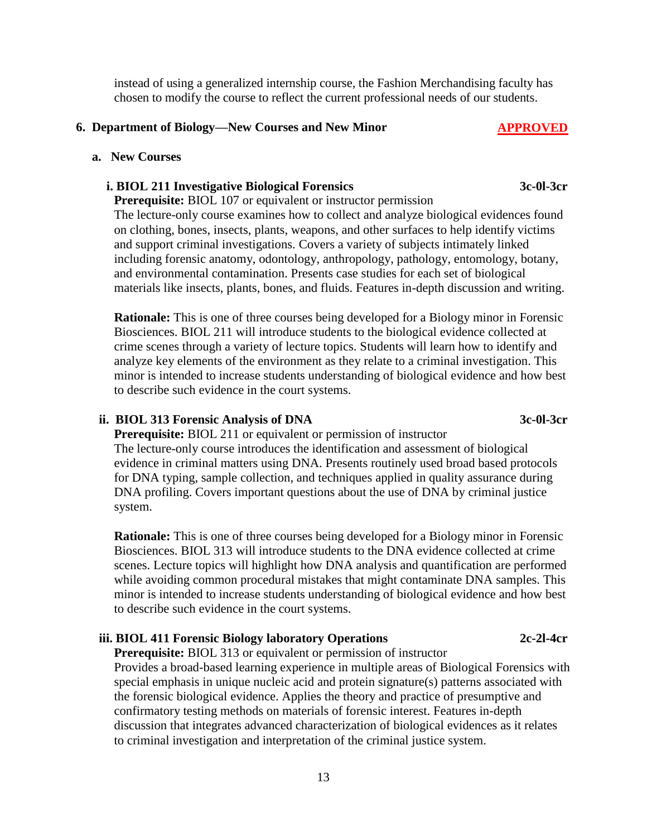instead of using a generalized internship course, the Fashion Merchandising faculty has chosen to modify the course to reflect the current professional needs of our students.

#### **6. Department of Biology—New Courses and New Minor APPROVED**

#### **a. New Courses**

#### **i. BIOL 211 Investigative Biological Forensics 3c-0l-3cr**

**Prerequisite:** BIOL 107 or equivalent or instructor permission The lecture-only course examines how to collect and analyze biological evidences found on clothing, bones, insects, plants, weapons, and other surfaces to help identify victims and support criminal investigations. Covers a variety of subjects intimately linked including forensic anatomy, odontology, anthropology, pathology, entomology, botany, and environmental contamination. Presents case studies for each set of biological materials like insects, plants, bones, and fluids. Features in-depth discussion and writing.

**Rationale:** This is one of three courses being developed for a Biology minor in Forensic Biosciences. BIOL 211 will introduce students to the biological evidence collected at crime scenes through a variety of lecture topics. Students will learn how to identify and analyze key elements of the environment as they relate to a criminal investigation. This minor is intended to increase students understanding of biological evidence and how best to describe such evidence in the court systems.

#### ii. BIOL 313 Forensic Analysis of DNA 3c-0l-3cr

**Prerequisite:** BIOL 211 or equivalent or permission of instructor The lecture-only course introduces the identification and assessment of biological evidence in criminal matters using DNA. Presents routinely used broad based protocols for DNA typing, sample collection, and techniques applied in quality assurance during DNA profiling. Covers important questions about the use of DNA by criminal justice system.

**Rationale:** This is one of three courses being developed for a Biology minor in Forensic Biosciences. BIOL 313 will introduce students to the DNA evidence collected at crime scenes. Lecture topics will highlight how DNA analysis and quantification are performed while avoiding common procedural mistakes that might contaminate DNA samples. This minor is intended to increase students understanding of biological evidence and how best to describe such evidence in the court systems.

#### **iii. BIOL 411 Forensic Biology laboratory Operations 2c-2l-4cr**

**Prerequisite:** BIOL 313 or equivalent or permission of instructor

Provides a broad-based learning experience in multiple areas of Biological Forensics with special emphasis in unique nucleic acid and protein signature(s) patterns associated with the forensic biological evidence. Applies the theory and practice of presumptive and confirmatory testing methods on materials of forensic interest. Features in-depth discussion that integrates advanced characterization of biological evidences as it relates to criminal investigation and interpretation of the criminal justice system.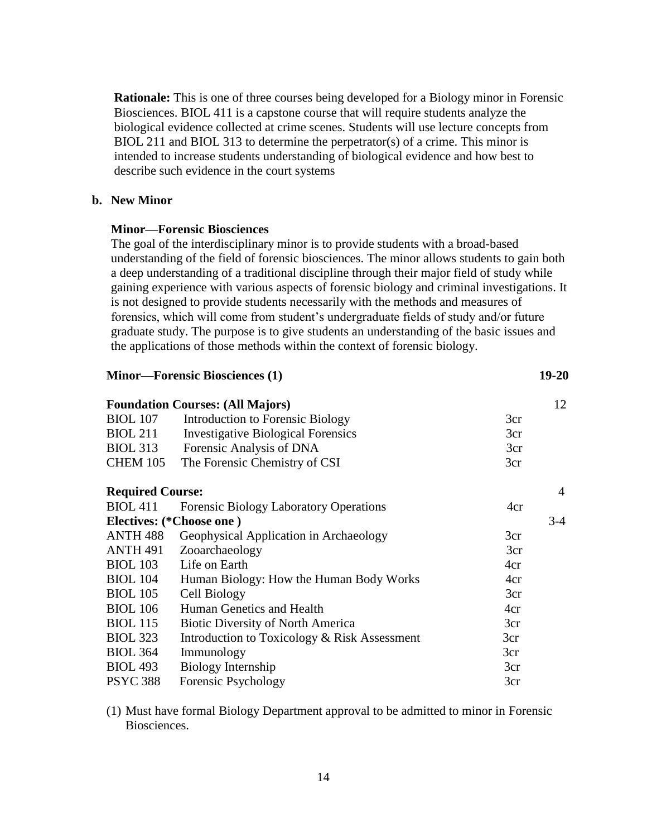**Rationale:** This is one of three courses being developed for a Biology minor in Forensic Biosciences. BIOL 411 is a capstone course that will require students analyze the biological evidence collected at crime scenes. Students will use lecture concepts from BIOL 211 and BIOL 313 to determine the perpetrator(s) of a crime. This minor is intended to increase students understanding of biological evidence and how best to describe such evidence in the court systems

#### **b. New Minor**

#### **Minor—Forensic Biosciences**

The goal of the interdisciplinary minor is to provide students with a broad-based understanding of the field of forensic biosciences. The minor allows students to gain both a deep understanding of a traditional discipline through their major field of study while gaining experience with various aspects of forensic biology and criminal investigations. It is not designed to provide students necessarily with the methods and measures of forensics, which will come from student's undergraduate fields of study and/or future graduate study. The purpose is to give students an understanding of the basic issues and the applications of those methods within the context of forensic biology.

#### **Minor—Forensic Biosciences (1) 19-20**

|                          | <b>Foundation Courses: (All Majors)</b>       |     | 12    |
|--------------------------|-----------------------------------------------|-----|-------|
| <b>BIOL</b> 107          | Introduction to Forensic Biology              | 3cr |       |
| <b>BIOL 211</b>          | <b>Investigative Biological Forensics</b>     | 3cr |       |
| <b>BIOL 313</b>          | Forensic Analysis of DNA                      | 3cr |       |
| <b>CHEM 105</b>          | The Forensic Chemistry of CSI                 | 3cr |       |
| <b>Required Course:</b>  |                                               |     | 4     |
| <b>BIOL</b> 411          | <b>Forensic Biology Laboratory Operations</b> | 4cr |       |
| Electives: (*Choose one) |                                               |     | $3-4$ |
| <b>ANTH 488</b>          | Geophysical Application in Archaeology        | 3cr |       |
| <b>ANTH 491</b>          | Zooarchaeology                                | 3cr |       |
| <b>BIOL 103</b>          | Life on Earth                                 | 4cr |       |
| <b>BIOL 104</b>          | Human Biology: How the Human Body Works       | 4cr |       |
| <b>BIOL</b> 105          | Cell Biology                                  | 3cr |       |
| <b>BIOL</b> 106          | Human Genetics and Health                     | 4cr |       |
| <b>BIOL</b> 115          | <b>Biotic Diversity of North America</b>      | 3cr |       |
| <b>BIOL 323</b>          | Introduction to Toxicology & Risk Assessment  | 3cr |       |
| <b>BIOL 364</b>          | Immunology                                    | 3cr |       |
| <b>BIOL 493</b>          | <b>Biology Internship</b>                     | 3cr |       |
| <b>PSYC 388</b>          | Forensic Psychology                           | 3cr |       |

(1) Must have formal Biology Department approval to be admitted to minor in Forensic Biosciences.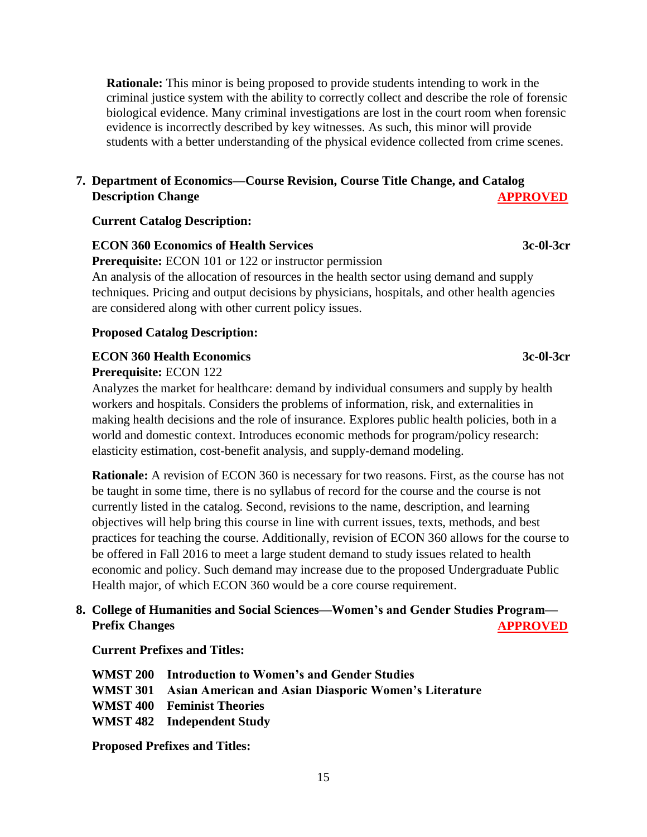**Rationale:** This minor is being proposed to provide students intending to work in the criminal justice system with the ability to correctly collect and describe the role of forensic biological evidence. Many criminal investigations are lost in the court room when forensic evidence is incorrectly described by key witnesses. As such, this minor will provide students with a better understanding of the physical evidence collected from crime scenes.

## **7. Department of Economics—Course Revision, Course Title Change, and Catalog Description Change APPROVED**

#### **Current Catalog Description:**

#### **ECON 360 Economics of Health Services** 3c-0l-3cr

 **Prerequisite:** ECON 101 or 122 or instructor permission An analysis of the allocation of resources in the health sector using demand and supply techniques. Pricing and output decisions by physicians, hospitals, and other health agencies are considered along with other current policy issues.

#### **Proposed Catalog Description:**

#### **ECON 360 Health Economics** 3c-0l-3cr

 **Prerequisite:** ECON 122

 Analyzes the market for healthcare: demand by individual consumers and supply by health workers and hospitals. Considers the problems of information, risk, and externalities in making health decisions and the role of insurance. Explores public health policies, both in a world and domestic context. Introduces economic methods for program/policy research: elasticity estimation, cost-benefit analysis, and supply-demand modeling.

 **Rationale:** A revision of ECON 360 is necessary for two reasons. First, as the course has not be taught in some time, there is no syllabus of record for the course and the course is not currently listed in the catalog. Second, revisions to the name, description, and learning objectives will help bring this course in line with current issues, texts, methods, and best practices for teaching the course. Additionally, revision of ECON 360 allows for the course to be offered in Fall 2016 to meet a large student demand to study issues related to health economic and policy. Such demand may increase due to the proposed Undergraduate Public Health major, of which ECON 360 would be a core course requirement.

## **8. College of Humanities and Social Sciences—Women's and Gender Studies Program— Prefix Changes** APPROVED

#### **Current Prefixes and Titles:**

|  | <b>WMST 200</b> Introduction to Women's and Gender Studies            |
|--|-----------------------------------------------------------------------|
|  | <b>WMST 301 Asian American and Asian Diasporic Women's Literature</b> |
|  | <b>WMST 400 Feminist Theories</b>                                     |
|  | WMST 482 Independent Study                                            |
|  |                                                                       |

 **Proposed Prefixes and Titles:**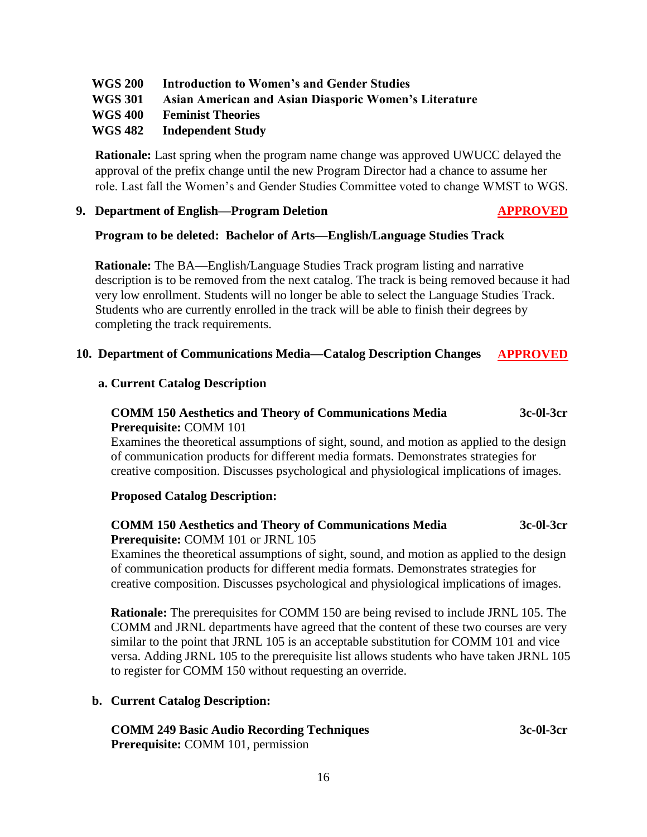## **WGS 200 Introduction to Women's and Gender Studies**

 **WGS 301 Asian American and Asian Diasporic Women's Literature**

## **WGS 400 Feminist Theories**

## **WGS 482 Independent Study**

 **Rationale:** Last spring when the program name change was approved UWUCC delayed the approval of the prefix change until the new Program Director had a chance to assume her role. Last fall the Women's and Gender Studies Committee voted to change WMST to WGS.

#### **9. Department of English—Program Deletion APPROVED**

## **Program to be deleted: Bachelor of Arts—English/Language Studies Track**

 **Rationale:** The BA—English/Language Studies Track program listing and narrative description is to be removed from the next catalog. The track is being removed because it had very low enrollment. Students will no longer be able to select the Language Studies Track. Students who are currently enrolled in the track will be able to finish their degrees by completing the track requirements.

## **10. Department of Communications Media—Catalog Description Changes APPROVED**

## **a. Current Catalog Description**

## **COMM 150 Aesthetics and Theory of Communications Media 3c-0l-3cr Prerequisite:** COMM 101

 Examines the theoretical assumptions of sight, sound, and motion as applied to the design of communication products for different media formats. Demonstrates strategies for creative composition. Discusses psychological and physiological implications of images.

## **Proposed Catalog Description:**

## **COMM 150 Aesthetics and Theory of Communications Media 3c-0l-3cr Prerequisite:** COMM 101 or JRNL 105

 Examines the theoretical assumptions of sight, sound, and motion as applied to the design of communication products for different media formats. Demonstrates strategies for creative composition. Discusses psychological and physiological implications of images.

 **Rationale:** The prerequisites for COMM 150 are being revised to include JRNL 105. The COMM and JRNL departments have agreed that the content of these two courses are very similar to the point that JRNL 105 is an acceptable substitution for COMM 101 and vice versa. Adding JRNL 105 to the prerequisite list allows students who have taken JRNL 105 to register for COMM 150 without requesting an override.

#### **b. Current Catalog Description:**

| <b>COMM 249 Basic Audio Recording Techniques</b> | 3c-01-3cr |
|--------------------------------------------------|-----------|
| <b>Prerequisite:</b> COMM 101, permission        |           |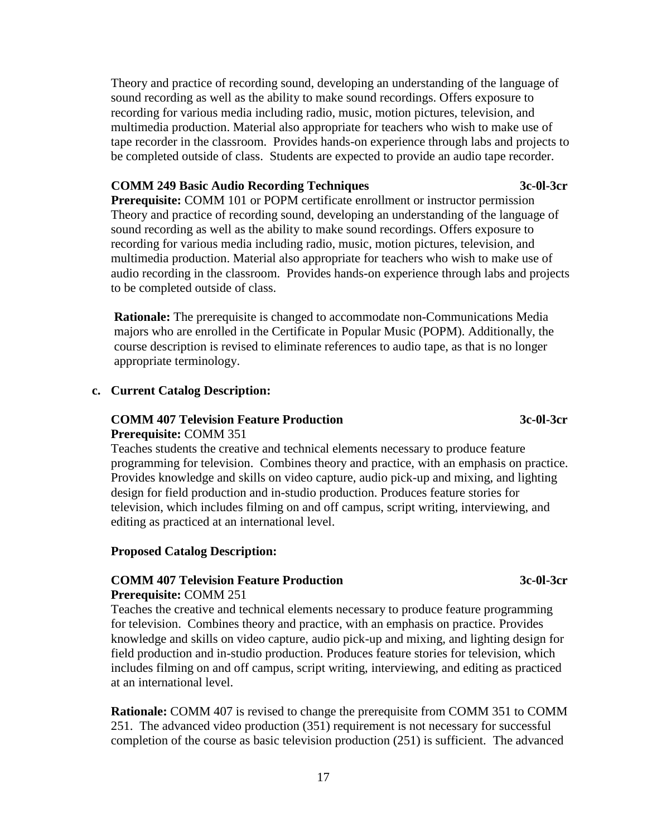Theory and practice of recording sound, developing an understanding of the language of sound recording as well as the ability to make sound recordings. Offers exposure to recording for various media including radio, music, motion pictures, television, and multimedia production. Material also appropriate for teachers who wish to make use of tape recorder in the classroom. Provides hands-on experience through labs and projects to be completed outside of class. Students are expected to provide an audio tape recorder.

#### **COMM 249 Basic Audio Recording Techniques 3c-0l-3cr**

**Prerequisite: COMM 101 or POPM certificate enrollment or instructor permission** Theory and practice of recording sound, developing an understanding of the language of sound recording as well as the ability to make sound recordings. Offers exposure to recording for various media including radio, music, motion pictures, television, and multimedia production. Material also appropriate for teachers who wish to make use of audio recording in the classroom. Provides hands-on experience through labs and projects to be completed outside of class.

**Rationale:** The prerequisite is changed to accommodate non-Communications Media majors who are enrolled in the Certificate in Popular Music (POPM). Additionally, the course description is revised to eliminate references to audio tape, as that is no longer appropriate terminology.

#### **c. Current Catalog Description:**

#### **COMM 407 Television Feature Production 3c-0l-3cr Prerequisite:** COMM 351

Teaches students the creative and technical elements necessary to produce feature programming for television. Combines theory and practice, with an emphasis on practice. Provides knowledge and skills on video capture, audio pick-up and mixing, and lighting design for field production and in-studio production. Produces feature stories for television, which includes filming on and off campus, script writing, interviewing, and editing as practiced at an international level.

#### **Proposed Catalog Description:**

#### **COMM 407 Television Feature Production 3c-0l-3cr Prerequisite:** COMM 251

Teaches the creative and technical elements necessary to produce feature programming for television. Combines theory and practice, with an emphasis on practice. Provides knowledge and skills on video capture, audio pick-up and mixing, and lighting design for field production and in-studio production. Produces feature stories for television, which includes filming on and off campus, script writing, interviewing, and editing as practiced at an international level.

**Rationale:** COMM 407 is revised to change the prerequisite from COMM 351 to COMM 251. The advanced video production (351) requirement is not necessary for successful completion of the course as basic television production (251) is sufficient. The advanced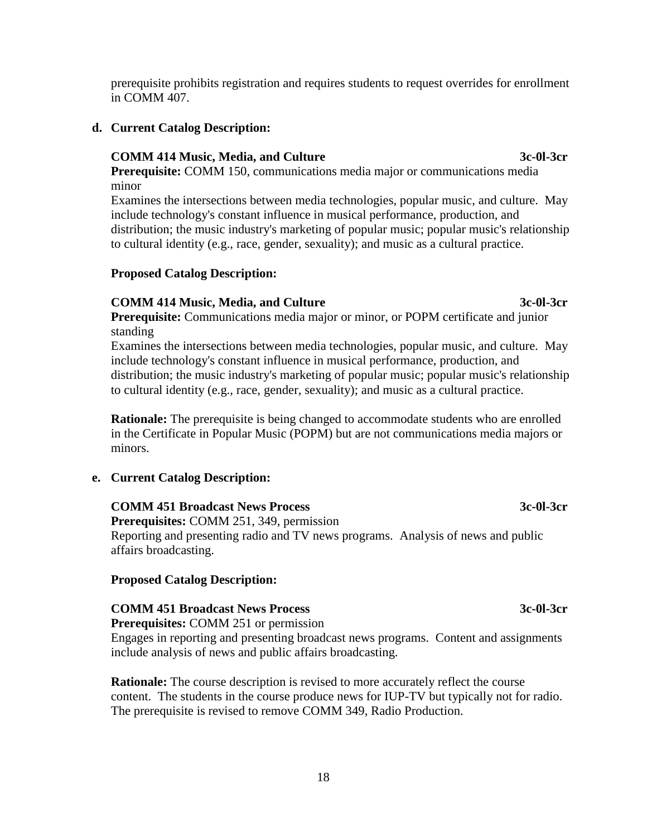prerequisite prohibits registration and requires students to request overrides for enrollment in COMM 407.

## **d. Current Catalog Description:**

## **COMM 414 Music, Media, and Culture 3c-0l-3cr**

**Prerequisite:** COMM 150, communications media major or communications media minor

Examines the intersections between media technologies, popular music, and culture. May include technology's constant influence in musical performance, production, and distribution; the music industry's marketing of popular music; popular music's relationship to cultural identity (e.g., race, gender, sexuality); and music as a cultural practice.

## **Proposed Catalog Description:**

## **COMM 414 Music, Media, and Culture 3c-0l-3cr**

**Prerequisite:** Communications media major or minor, or POPM certificate and junior standing

Examines the intersections between media technologies, popular music, and culture. May include technology's constant influence in musical performance, production, and distribution; the music industry's marketing of popular music; popular music's relationship to cultural identity (e.g., race, gender, sexuality); and music as a cultural practice.

**Rationale:** The prerequisite is being changed to accommodate students who are enrolled in the Certificate in Popular Music (POPM) but are not communications media majors or minors.

## **e. Current Catalog Description:**

## **COMM 451 Broadcast News Process 3c-0l-3cr**

**Prerequisites:** COMM 251, 349, permission Reporting and presenting radio and TV news programs. Analysis of news and public affairs broadcasting.

## **Proposed Catalog Description:**

## **COMM 451 Broadcast News Process 3c-0l-3cr**

**Prerequisites:** COMM 251 or permission

Engages in reporting and presenting broadcast news programs. Content and assignments include analysis of news and public affairs broadcasting.

**Rationale:** The course description is revised to more accurately reflect the course content. The students in the course produce news for IUP-TV but typically not for radio. The prerequisite is revised to remove COMM 349, Radio Production.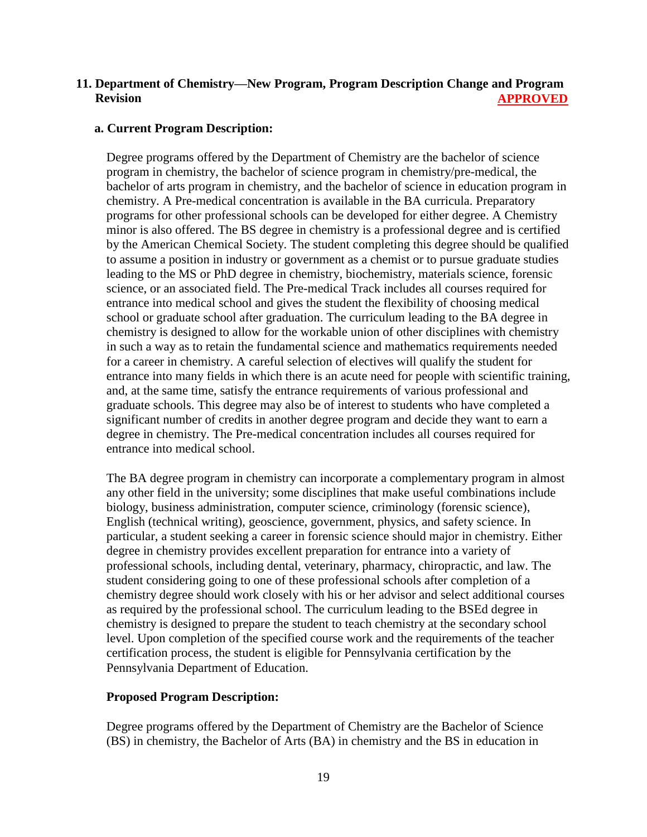## **11. Department of Chemistry—New Program, Program Description Change and Program Revision APPROVED**

#### **a. Current Program Description:**

Degree programs offered by the Department of Chemistry are the bachelor of science program in chemistry, the bachelor of science program in chemistry/pre-medical, the bachelor of arts program in chemistry, and the bachelor of science in education program in chemistry. A Pre-medical concentration is available in the BA curricula. Preparatory programs for other professional schools can be developed for either degree. A Chemistry minor is also offered. The BS degree in chemistry is a professional degree and is certified by the American Chemical Society. The student completing this degree should be qualified to assume a position in industry or government as a chemist or to pursue graduate studies leading to the MS or PhD degree in chemistry, biochemistry, materials science, forensic science, or an associated field. The Pre-medical Track includes all courses required for entrance into medical school and gives the student the flexibility of choosing medical school or graduate school after graduation. The curriculum leading to the BA degree in chemistry is designed to allow for the workable union of other disciplines with chemistry in such a way as to retain the fundamental science and mathematics requirements needed for a career in chemistry. A careful selection of electives will qualify the student for entrance into many fields in which there is an acute need for people with scientific training, and, at the same time, satisfy the entrance requirements of various professional and graduate schools. This degree may also be of interest to students who have completed a significant number of credits in another degree program and decide they want to earn a degree in chemistry. The Pre-medical concentration includes all courses required for entrance into medical school.

The BA degree program in chemistry can incorporate a complementary program in almost any other field in the university; some disciplines that make useful combinations include biology, business administration, computer science, criminology (forensic science), English (technical writing), geoscience, government, physics, and safety science. In particular, a student seeking a career in forensic science should major in chemistry. Either degree in chemistry provides excellent preparation for entrance into a variety of professional schools, including dental, veterinary, pharmacy, chiropractic, and law. The student considering going to one of these professional schools after completion of a chemistry degree should work closely with his or her advisor and select additional courses as required by the professional school. The curriculum leading to the BSEd degree in chemistry is designed to prepare the student to teach chemistry at the secondary school level. Upon completion of the specified course work and the requirements of the teacher certification process, the student is eligible for Pennsylvania certification by the Pennsylvania Department of Education.

#### **Proposed Program Description:**

Degree programs offered by the Department of Chemistry are the Bachelor of Science (BS) in chemistry, the Bachelor of Arts (BA) in chemistry and the BS in education in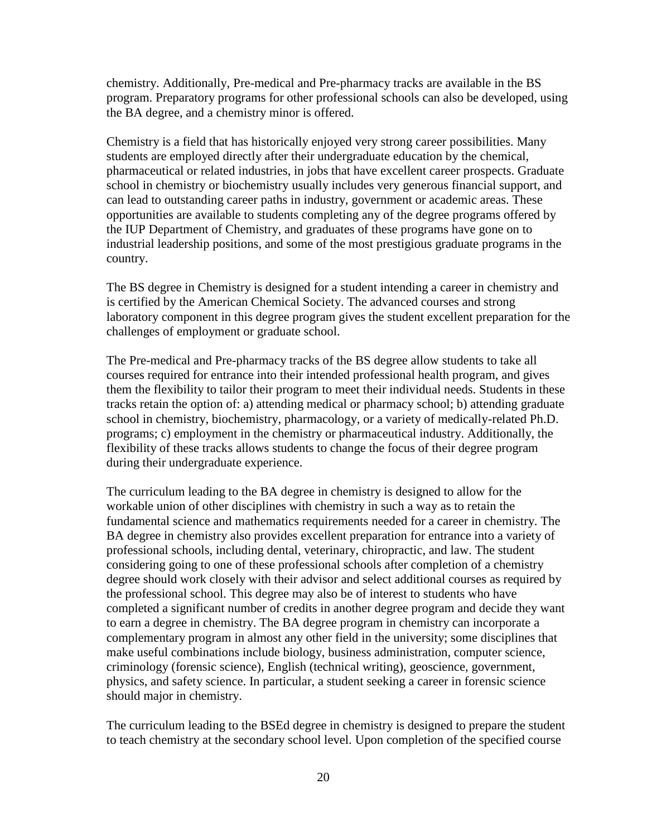chemistry. Additionally, Pre-medical and Pre-pharmacy tracks are available in the BS program. Preparatory programs for other professional schools can also be developed, using the BA degree, and a chemistry minor is offered.

Chemistry is a field that has historically enjoyed very strong career possibilities. Many students are employed directly after their undergraduate education by the chemical, pharmaceutical or related industries, in jobs that have excellent career prospects. Graduate school in chemistry or biochemistry usually includes very generous financial support, and can lead to outstanding career paths in industry, government or academic areas. These opportunities are available to students completing any of the degree programs offered by the IUP Department of Chemistry, and graduates of these programs have gone on to industrial leadership positions, and some of the most prestigious graduate programs in the country.

The BS degree in Chemistry is designed for a student intending a career in chemistry and is certified by the American Chemical Society. The advanced courses and strong laboratory component in this degree program gives the student excellent preparation for the challenges of employment or graduate school.

The Pre-medical and Pre-pharmacy tracks of the BS degree allow students to take all courses required for entrance into their intended professional health program, and gives them the flexibility to tailor their program to meet their individual needs. Students in these tracks retain the option of: a) attending medical or pharmacy school; b) attending graduate school in chemistry, biochemistry, pharmacology, or a variety of medically-related Ph.D. programs; c) employment in the chemistry or pharmaceutical industry. Additionally, the flexibility of these tracks allows students to change the focus of their degree program during their undergraduate experience.

The curriculum leading to the BA degree in chemistry is designed to allow for the workable union of other disciplines with chemistry in such a way as to retain the fundamental science and mathematics requirements needed for a career in chemistry. The BA degree in chemistry also provides excellent preparation for entrance into a variety of professional schools, including dental, veterinary, chiropractic, and law. The student considering going to one of these professional schools after completion of a chemistry degree should work closely with their advisor and select additional courses as required by the professional school. This degree may also be of interest to students who have completed a significant number of credits in another degree program and decide they want to earn a degree in chemistry. The BA degree program in chemistry can incorporate a complementary program in almost any other field in the university; some disciplines that make useful combinations include biology, business administration, computer science, criminology (forensic science), English (technical writing), geoscience, government, physics, and safety science. In particular, a student seeking a career in forensic science should major in chemistry.

The curriculum leading to the BSEd degree in chemistry is designed to prepare the student to teach chemistry at the secondary school level. Upon completion of the specified course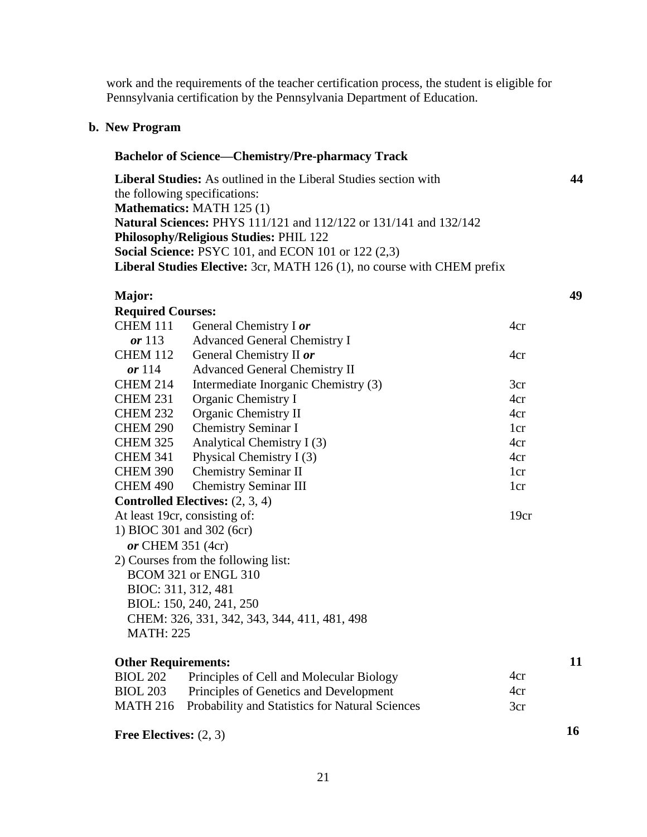work and the requirements of the teacher certification process, the student is eligible for Pennsylvania certification by the Pennsylvania Department of Education.

#### **b. New Program**

# **Bachelor of Science—Chemistry/Pre-pharmacy Track**

**Liberal Studies:** As outlined in the Liberal Studies section with **44** the following specifications: **Mathematics:** MATH 125 (1) **Natural Sciences:** PHYS 111/121 and 112/122 or 131/141 and 132/142 **Philosophy/Religious Studies:** PHIL 122 **Social Science:** PSYC 101, and ECON 101 or 122 (2,3) **Liberal Studies Elective:** 3cr, MATH 126 (1), no course with CHEM prefix

#### **Major:**

| <b>Required Courses:</b>   |                                                 |                 |
|----------------------------|-------------------------------------------------|-----------------|
| <b>CHEM 111</b>            | General Chemistry I or                          | 4cr             |
| or $113$                   | <b>Advanced General Chemistry I</b>             |                 |
| <b>CHEM 112</b>            | General Chemistry II or                         | 4cr             |
| or $114$                   | <b>Advanced General Chemistry II</b>            |                 |
| <b>CHEM 214</b>            | Intermediate Inorganic Chemistry (3)            | 3cr             |
| <b>CHEM 231</b>            | Organic Chemistry I                             | 4cr             |
| <b>CHEM 232</b>            | Organic Chemistry II                            | 4cr             |
| <b>CHEM 290</b>            | <b>Chemistry Seminar I</b>                      | 1cr             |
| <b>CHEM 325</b>            | Analytical Chemistry I (3)                      | 4cr             |
| <b>CHEM 341</b>            | Physical Chemistry I (3)                        | 4cr             |
| <b>CHEM 390</b>            | <b>Chemistry Seminar II</b>                     | 1 <sub>cr</sub> |
| <b>CHEM 490</b>            | <b>Chemistry Seminar III</b>                    | 1cr             |
|                            | <b>Controlled Electives:</b> $(2, 3, 4)$        |                 |
|                            | At least 19cr, consisting of:                   | 19cr            |
|                            | 1) BIOC 301 and 302 (6cr)                       |                 |
| or CHEM 351 (4cr)          |                                                 |                 |
|                            | 2) Courses from the following list:             |                 |
|                            | BCOM 321 or ENGL 310                            |                 |
|                            | BIOC: 311, 312, 481                             |                 |
|                            | BIOL: 150, 240, 241, 250                        |                 |
|                            | CHEM: 326, 331, 342, 343, 344, 411, 481, 498    |                 |
| <b>MATH: 225</b>           |                                                 |                 |
| <b>Other Requirements:</b> |                                                 |                 |
| <b>BIOL 202</b>            | Principles of Cell and Molecular Biology        | 4cr             |
| <b>BIOL 203</b>            | Principles of Genetics and Development          | 4cr             |
| <b>MATH 216</b>            | Probability and Statistics for Natural Sciences | 3cr             |

**Free Electives:** (2, 3)

**16**

**11**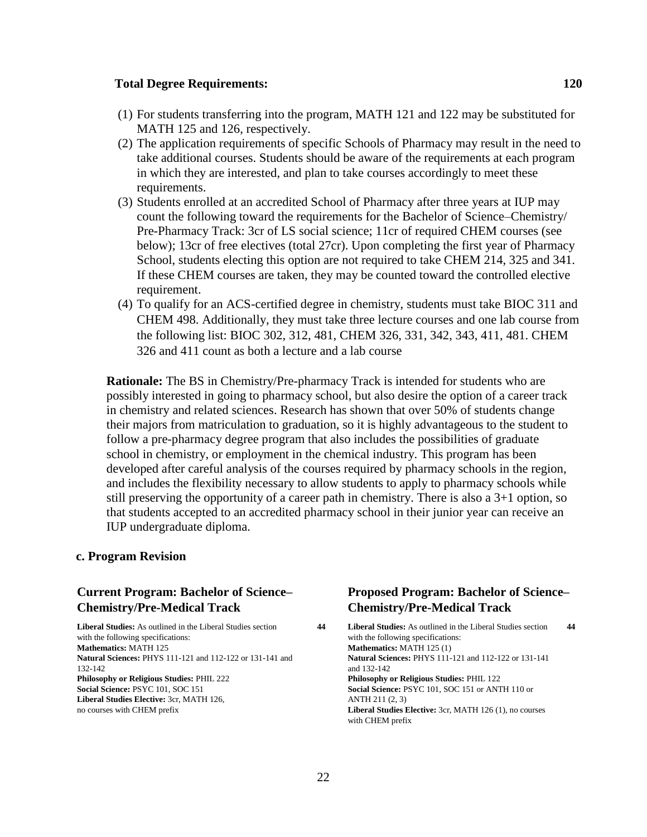#### **Total Degree Requirements: 120**

- (1) For students transferring into the program, MATH 121 and 122 may be substituted for MATH 125 and 126, respectively.
- (2) The application requirements of specific Schools of Pharmacy may result in the need to take additional courses. Students should be aware of the requirements at each program in which they are interested, and plan to take courses accordingly to meet these requirements.
- (3) Students enrolled at an accredited School of Pharmacy after three years at IUP may count the following toward the requirements for the Bachelor of Science–Chemistry/ Pre-Pharmacy Track: 3cr of LS social science; 11cr of required CHEM courses (see below); 13cr of free electives (total 27cr). Upon completing the first year of Pharmacy School, students electing this option are not required to take CHEM 214, 325 and 341. If these CHEM courses are taken, they may be counted toward the controlled elective requirement.
- (4) To qualify for an ACS-certified degree in chemistry, students must take BIOC 311 and CHEM 498. Additionally, they must take three lecture courses and one lab course from the following list: BIOC 302, 312, 481, CHEM 326, 331, 342, 343, 411, 481. CHEM 326 and 411 count as both a lecture and a lab course

**Rationale:** The BS in Chemistry/Pre-pharmacy Track is intended for students who are possibly interested in going to pharmacy school, but also desire the option of a career track in chemistry and related sciences. Research has shown that over 50% of students change their majors from matriculation to graduation, so it is highly advantageous to the student to follow a pre-pharmacy degree program that also includes the possibilities of graduate school in chemistry, or employment in the chemical industry. This program has been developed after careful analysis of the courses required by pharmacy schools in the region, and includes the flexibility necessary to allow students to apply to pharmacy schools while still preserving the opportunity of a career path in chemistry. There is also a 3+1 option, so that students accepted to an accredited pharmacy school in their junior year can receive an IUP undergraduate diploma.

#### **c. Program Revision**

## **Current Program: Bachelor of Science– Chemistry/Pre-Medical Track Liberal Studies:** As outlined in the Liberal Studies section **44**

with the following specifications: **Mathematics:** MATH 125 **Natural Sciences:** PHYS 111-121 and 112-122 or 131-141 and 132-142 **Philosophy or Religious Studies:** PHIL 222 **Social Science:** PSYC 101, SOC 151 **Liberal Studies Elective:** 3cr, MATH 126, no courses with CHEM prefix

## **Proposed Program: Bachelor of Science– Chemistry/Pre-Medical Track**

**Liberal Studies:** As outlined in the Liberal Studies section **44** with the following specifications: **Mathematics:** MATH 125 (1) **Natural Sciences:** PHYS 111-121 and 112-122 or 131-141 and 132-142 **Philosophy or Religious Studies:** PHIL 122 **Social Science:** PSYC 101, SOC 151 or ANTH 110 or ANTH 211 (2, 3) **Liberal Studies Elective:** 3cr, MATH 126 (1), no courses with CHEM prefix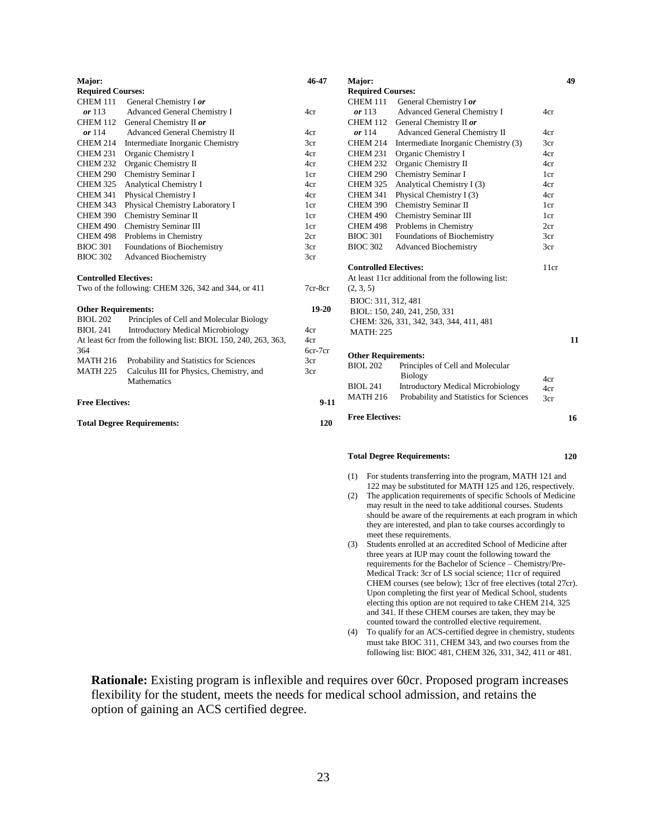| Major:                                              |                                                                | 46-47     | Major:                                        |                                                                                                           | 49   |
|-----------------------------------------------------|----------------------------------------------------------------|-----------|-----------------------------------------------|-----------------------------------------------------------------------------------------------------------|------|
| <b>Required Courses:</b>                            |                                                                |           | <b>Required Courses:</b>                      |                                                                                                           |      |
| CHEM 111                                            | General Chemistry I or                                         |           | <b>CHEM 111</b>                               | General Chemistry I or                                                                                    |      |
| or $113$                                            | Advanced General Chemistry I                                   | 4cr       | or 113                                        | Advanced General Chemistry I                                                                              | 4cr  |
|                                                     | CHEM 112 General Chemistry II or                               |           |                                               | CHEM 112 General Chemistry II or                                                                          |      |
| or 114                                              | Advanced General Chemistry II                                  | 4cr       | or 114                                        | Advanced General Chemistry II                                                                             | 4cr  |
| <b>CHEM 214</b>                                     | Intermediate Inorganic Chemistry                               | 3cr       | CHEM 214                                      | Intermediate Inorganic Chemistry (3)                                                                      | 3cr  |
| <b>CHEM 231</b>                                     | Organic Chemistry I                                            | 4cr       | CHEM 231                                      | Organic Chemistry I                                                                                       | 4cr  |
| <b>CHEM 232</b>                                     | Organic Chemistry II                                           | 4cr       | CHEM 232                                      | Organic Chemistry II                                                                                      | 4cr  |
| <b>CHEM 290</b>                                     | Chemistry Seminar I                                            | 1cr       | CHEM 290                                      | Chemistry Seminar I                                                                                       | 1cr  |
| <b>CHEM 325</b>                                     | <b>Analytical Chemistry I</b>                                  | 4cr       | CHEM 325                                      | Analytical Chemistry I (3)                                                                                | 4cr  |
| <b>CHEM 341</b>                                     | Physical Chemistry I                                           | 4cr       | <b>CHEM 341</b>                               | Physical Chemistry I (3)                                                                                  | 4cr  |
| <b>CHEM 343</b>                                     | Physical Chemistry Laboratory I                                | 1cr       | CHEM 390                                      | Chemistry Seminar II                                                                                      | 1cr  |
| <b>CHEM 390</b>                                     | Chemistry Seminar II                                           | 1cr       | CHEM 490                                      | Chemistry Seminar III                                                                                     | 1cr  |
| <b>CHEM 490</b>                                     | <b>Chemistry Seminar III</b>                                   | 1cr       | CHEM 498                                      | Problems in Chemistry                                                                                     | 2cr  |
| CHEM 498                                            | Problems in Chemistry                                          | 2cr       | <b>BIOC 301</b>                               | Foundations of Biochemistry                                                                               | 3cr  |
| <b>BIOC 301</b>                                     | Foundations of Biochemistry                                    | 3cr       | <b>BIOC 302</b>                               | <b>Advanced Biochemistry</b>                                                                              | 3cr  |
| <b>BIOC 302</b>                                     | <b>Advanced Biochemistry</b>                                   | 3cr       |                                               |                                                                                                           |      |
|                                                     |                                                                |           | <b>Controlled Electives:</b>                  |                                                                                                           | 11cr |
| <b>Controlled Electives:</b>                        |                                                                |           |                                               | At least 11cr additional from the following list:                                                         |      |
| Two of the following: CHEM 326, 342 and 344, or 411 |                                                                | 7cr-8cr   | (2, 3, 5)                                     |                                                                                                           |      |
|                                                     |                                                                |           | BIOC: 311, 312, 481                           |                                                                                                           |      |
| <b>Other Requirements:</b>                          |                                                                | $19 - 20$ |                                               | BIOL: 150, 240, 241, 250, 331                                                                             |      |
| <b>BIOL 202</b>                                     | Principles of Cell and Molecular Biology                       |           |                                               | CHEM: 326, 331, 342, 343, 344, 411, 481                                                                   |      |
| <b>BIOL 241</b>                                     | <b>Introductory Medical Microbiology</b>                       | 4cr       | <b>MATH: 225</b>                              |                                                                                                           |      |
|                                                     | At least 6cr from the following list: BIOL 150, 240, 263, 363, | 4cr       |                                               |                                                                                                           | 11   |
| 364                                                 |                                                                | 6cr-7cr   |                                               |                                                                                                           |      |
| <b>MATH 216</b>                                     | Probability and Statistics for Sciences                        | 3cr       | <b>Other Requirements:</b><br><b>BIOL 202</b> | Principles of Cell and Molecular                                                                          |      |
| <b>MATH 225</b>                                     | Calculus III for Physics, Chemistry, and                       | 3cr       |                                               | Biology                                                                                                   |      |
|                                                     | Mathematics                                                    |           | <b>BIOL 241</b>                               | <b>Introductory Medical Microbiology</b>                                                                  | 4cr  |
|                                                     |                                                                |           | <b>MATH 216</b>                               | Probability and Statistics for Sciences                                                                   | 4cr  |
| <b>Free Electives:</b>                              |                                                                | $9-11$    |                                               |                                                                                                           | 3cr  |
|                                                     | <b>Total Degree Requirements:</b>                              | 120       | <b>Free Electives:</b>                        |                                                                                                           | 16   |
|                                                     |                                                                |           |                                               |                                                                                                           |      |
|                                                     |                                                                |           |                                               | <b>Total Degree Requirements:</b>                                                                         | 120  |
|                                                     |                                                                |           | (1)                                           | For students transferring into the program, MATH 121 and                                                  |      |
|                                                     |                                                                |           |                                               | 122 may be substituted for MATH 125 and 126, respectively.                                                |      |
|                                                     |                                                                |           |                                               | $(2)$ The coefficition of colorations of coefficities $\mathbf{C}$ denote $\mathbf{C} \mathbf{M}$ also be |      |

- (2) The application requirements of specific Schools of Medicine may result in the need to take additional courses. Students should be aware of the requirements at each program in which they are interested, and plan to take courses accordingly to meet these requirements.
- (3) Students enrolled at an accredited School of Medicine after three years at IUP may count the following toward the requirements for the Bachelor of Science – Chemistry/Pre-Medical Track: 3cr of LS social science; 11cr of required CHEM courses (see below); 13cr of free electives (total 27cr). Upon completing the first year of Medical School, students electing this option are not required to take CHEM 214, 325 and 341. If these CHEM courses are taken, they may be counted toward the controlled elective requirement.
- (4) To qualify for an ACS-certified degree in chemistry, students must take BIOC 311, CHEM 343, and two courses from the following list: BIOC 481, CHEM 326, 331, 342, 411 or 481.

**Rationale:** Existing program is inflexible and requires over 60cr. Proposed program increases flexibility for the student, meets the needs for medical school admission, and retains the option of gaining an ACS certified degree.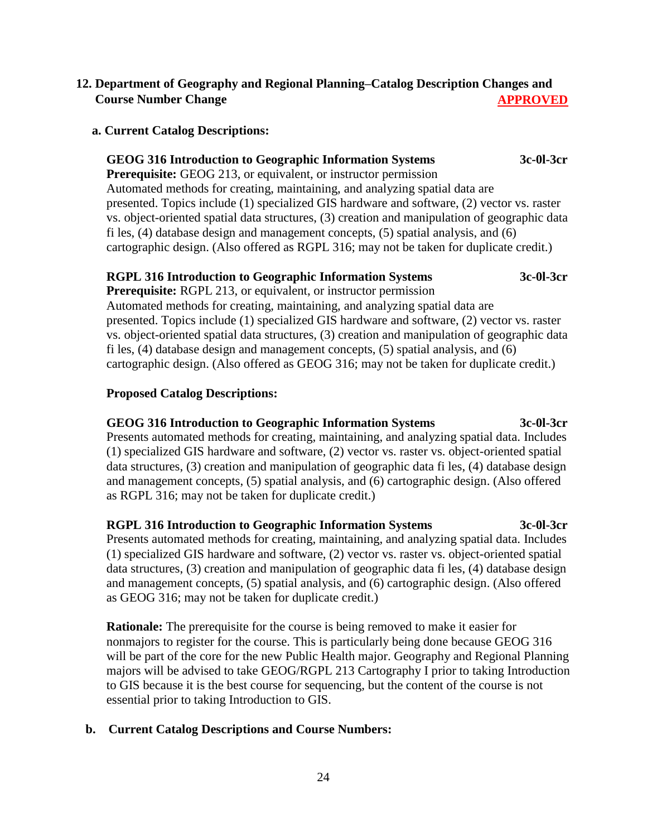## **12. Department of Geography and Regional Planning–Catalog Description Changes and Course Number Change APPROVED**

#### **a. Current Catalog Descriptions:**

### **GEOG 316 Introduction to Geographic Information Systems 3c-0l-3cr**

**Prerequisite:** GEOG 213, or equivalent, or instructor permission Automated methods for creating, maintaining, and analyzing spatial data are presented. Topics include (1) specialized GIS hardware and software, (2) vector vs. raster vs. object-oriented spatial data structures, (3) creation and manipulation of geographic data fi les, (4) database design and management concepts, (5) spatial analysis, and (6) cartographic design. (Also offered as RGPL 316; may not be taken for duplicate credit.)

#### **RGPL 316 Introduction to Geographic Information Systems 3c-0l-3cr**

**Prerequisite:** RGPL 213, or equivalent, or instructor permission Automated methods for creating, maintaining, and analyzing spatial data are presented. Topics include (1) specialized GIS hardware and software, (2) vector vs. raster vs. object-oriented spatial data structures, (3) creation and manipulation of geographic data fi les, (4) database design and management concepts, (5) spatial analysis, and (6) cartographic design. (Also offered as GEOG 316; may not be taken for duplicate credit.)

## **Proposed Catalog Descriptions:**

# **GEOG 316 Introduction to Geographic Information Systems 3c-0l-3cr**

Presents automated methods for creating, maintaining, and analyzing spatial data. Includes (1) specialized GIS hardware and software, (2) vector vs. raster vs. object-oriented spatial data structures, (3) creation and manipulation of geographic data fi les, (4) database design and management concepts, (5) spatial analysis, and (6) cartographic design. (Also offered as RGPL 316; may not be taken for duplicate credit.)

#### **RGPL 316 Introduction to Geographic Information Systems 3c-0l-3cr**

Presents automated methods for creating, maintaining, and analyzing spatial data. Includes (1) specialized GIS hardware and software, (2) vector vs. raster vs. object-oriented spatial data structures, (3) creation and manipulation of geographic data fi les, (4) database design and management concepts, (5) spatial analysis, and (6) cartographic design. (Also offered as GEOG 316; may not be taken for duplicate credit.)

**Rationale:** The prerequisite for the course is being removed to make it easier for nonmajors to register for the course. This is particularly being done because GEOG 316 will be part of the core for the new Public Health major. Geography and Regional Planning majors will be advised to take GEOG/RGPL 213 Cartography I prior to taking Introduction to GIS because it is the best course for sequencing, but the content of the course is not essential prior to taking Introduction to GIS.

## **b. Current Catalog Descriptions and Course Numbers:**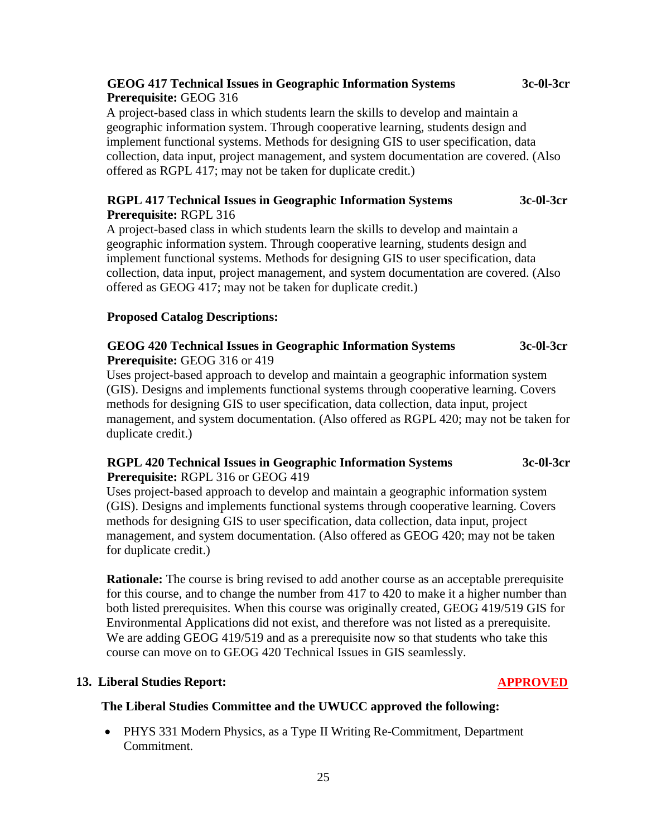## **GEOG 417 Technical Issues in Geographic Information Systems 3c-0l-3cr Prerequisite:** GEOG 316

A project-based class in which students learn the skills to develop and maintain a geographic information system. Through cooperative learning, students design and implement functional systems. Methods for designing GIS to user specification, data collection, data input, project management, and system documentation are covered. (Also offered as RGPL 417; may not be taken for duplicate credit.)

### **RGPL 417 Technical Issues in Geographic Information Systems 3c-0l-3cr Prerequisite:** RGPL 316

A project-based class in which students learn the skills to develop and maintain a geographic information system. Through cooperative learning, students design and implement functional systems. Methods for designing GIS to user specification, data collection, data input, project management, and system documentation are covered. (Also offered as GEOG 417; may not be taken for duplicate credit.)

## **Proposed Catalog Descriptions:**

## **GEOG 420 Technical Issues in Geographic Information Systems 3c-0l-3cr Prerequisite:** GEOG 316 or 419

Uses project-based approach to develop and maintain a geographic information system (GIS). Designs and implements functional systems through cooperative learning. Covers methods for designing GIS to user specification, data collection, data input, project management, and system documentation. (Also offered as RGPL 420; may not be taken for duplicate credit.)

## **RGPL 420 Technical Issues in Geographic Information Systems 3c-0l-3cr Prerequisite:** RGPL 316 or GEOG 419

Uses project-based approach to develop and maintain a geographic information system (GIS). Designs and implements functional systems through cooperative learning. Covers methods for designing GIS to user specification, data collection, data input, project management, and system documentation. (Also offered as GEOG 420; may not be taken for duplicate credit.)

**Rationale:** The course is bring revised to add another course as an acceptable prerequisite for this course, and to change the number from 417 to 420 to make it a higher number than both listed prerequisites. When this course was originally created, GEOG 419/519 GIS for Environmental Applications did not exist, and therefore was not listed as a prerequisite. We are adding GEOG 419/519 and as a prerequisite now so that students who take this course can move on to GEOG 420 Technical Issues in GIS seamlessly.

#### **13. Liberal Studies Report: APPROVED**

## **The Liberal Studies Committee and the UWUCC approved the following:**

• PHYS 331 Modern Physics, as a Type II Writing Re-Commitment, Department Commitment.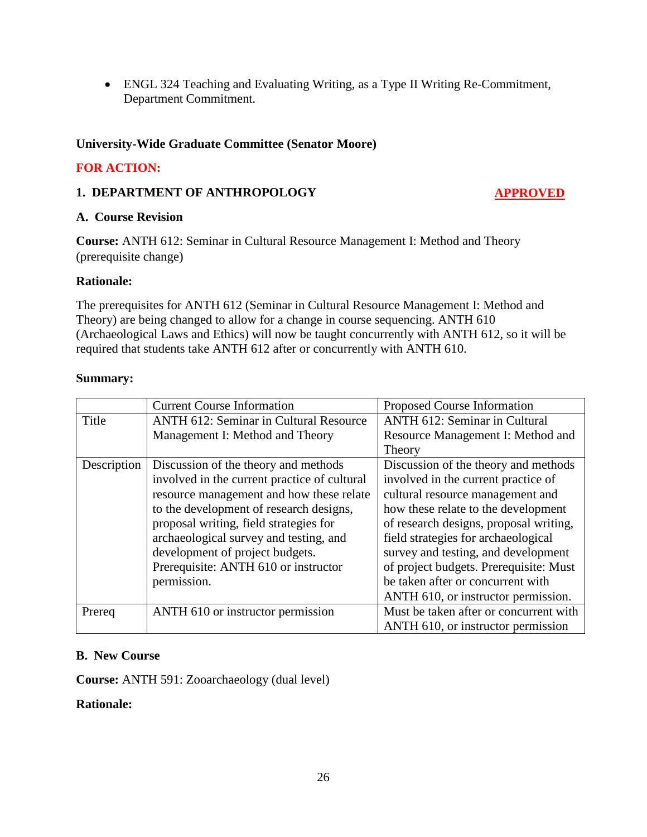ENGL 324 Teaching and Evaluating Writing, as a Type II Writing Re-Commitment, Department Commitment.

## **University-Wide Graduate Committee (Senator Moore)**

## **FOR ACTION:**

## **1. DEPARTMENT OF ANTHROPOLOGY APPROVED**

#### **A. Course Revision**

**Course:** ANTH 612: Seminar in Cultural Resource Management I: Method and Theory (prerequisite change)

## **Rationale:**

The prerequisites for ANTH 612 (Seminar in Cultural Resource Management I: Method and Theory) are being changed to allow for a change in course sequencing. ANTH 610 (Archaeological Laws and Ethics) will now be taught concurrently with ANTH 612, so it will be required that students take ANTH 612 after or concurrently with ANTH 610.

#### **Summary:**

|             | <b>Current Course Information</b>             | Proposed Course Information            |
|-------------|-----------------------------------------------|----------------------------------------|
| Title       | <b>ANTH 612: Seminar in Cultural Resource</b> | <b>ANTH 612: Seminar in Cultural</b>   |
|             | Management I: Method and Theory               | Resource Management I: Method and      |
|             |                                               | Theory                                 |
| Description | Discussion of the theory and methods          | Discussion of the theory and methods   |
|             | involved in the current practice of cultural  | involved in the current practice of    |
|             | resource management and how these relate      | cultural resource management and       |
|             | to the development of research designs,       | how these relate to the development    |
|             | proposal writing, field strategies for        | of research designs, proposal writing, |
|             | archaeological survey and testing, and        | field strategies for archaeological    |
|             | development of project budgets.               | survey and testing, and development    |
|             | Prerequisite: ANTH 610 or instructor          | of project budgets. Prerequisite: Must |
|             | permission.                                   | be taken after or concurrent with      |
|             |                                               | ANTH 610, or instructor permission.    |
| Prereq      | ANTH 610 or instructor permission             | Must be taken after or concurrent with |
|             |                                               | ANTH 610, or instructor permission     |

## **B. New Course**

**Course:** ANTH 591: Zooarchaeology (dual level)

### **Rationale:**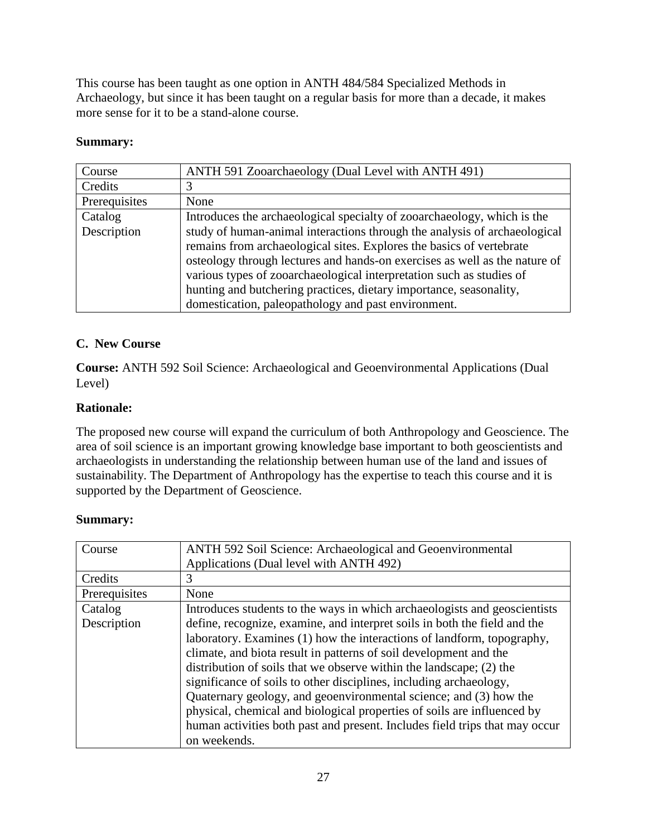This course has been taught as one option in ANTH 484/584 Specialized Methods in Archaeology, but since it has been taught on a regular basis for more than a decade, it makes more sense for it to be a stand-alone course.

## **Summary:**

| Course        | ANTH 591 Zooarchaeology (Dual Level with ANTH 491)                         |  |
|---------------|----------------------------------------------------------------------------|--|
| Credits       |                                                                            |  |
| Prerequisites | None                                                                       |  |
| Catalog       | Introduces the archaeological specialty of zooarchaeology, which is the    |  |
| Description   | study of human-animal interactions through the analysis of archaeological  |  |
|               | remains from archaeological sites. Explores the basics of vertebrate       |  |
|               | osteology through lectures and hands-on exercises as well as the nature of |  |
|               | various types of zooarchaeological interpretation such as studies of       |  |
|               | hunting and butchering practices, dietary importance, seasonality,         |  |
|               | domestication, paleopathology and past environment.                        |  |

## **C. New Course**

**Course:** ANTH 592 Soil Science: Archaeological and Geoenvironmental Applications (Dual Level)

## **Rationale:**

The proposed new course will expand the curriculum of both Anthropology and Geoscience. The area of soil science is an important growing knowledge base important to both geoscientists and archaeologists in understanding the relationship between human use of the land and issues of sustainability. The Department of Anthropology has the expertise to teach this course and it is supported by the Department of Geoscience.

## **Summary:**

| Course        | ANTH 592 Soil Science: Archaeological and Geoenvironmental                  |
|---------------|-----------------------------------------------------------------------------|
|               | Applications (Dual level with ANTH 492)                                     |
| Credits       | 3                                                                           |
| Prerequisites | None                                                                        |
| Catalog       | Introduces students to the ways in which archaeologists and geoscientists   |
| Description   | define, recognize, examine, and interpret soils in both the field and the   |
|               | laboratory. Examines (1) how the interactions of landform, topography,      |
|               | climate, and biota result in patterns of soil development and the           |
|               | distribution of soils that we observe within the landscape; (2) the         |
|               | significance of soils to other disciplines, including archaeology,          |
|               | Quaternary geology, and geoenvironmental science; and (3) how the           |
|               | physical, chemical and biological properties of soils are influenced by     |
|               | human activities both past and present. Includes field trips that may occur |
|               | on weekends.                                                                |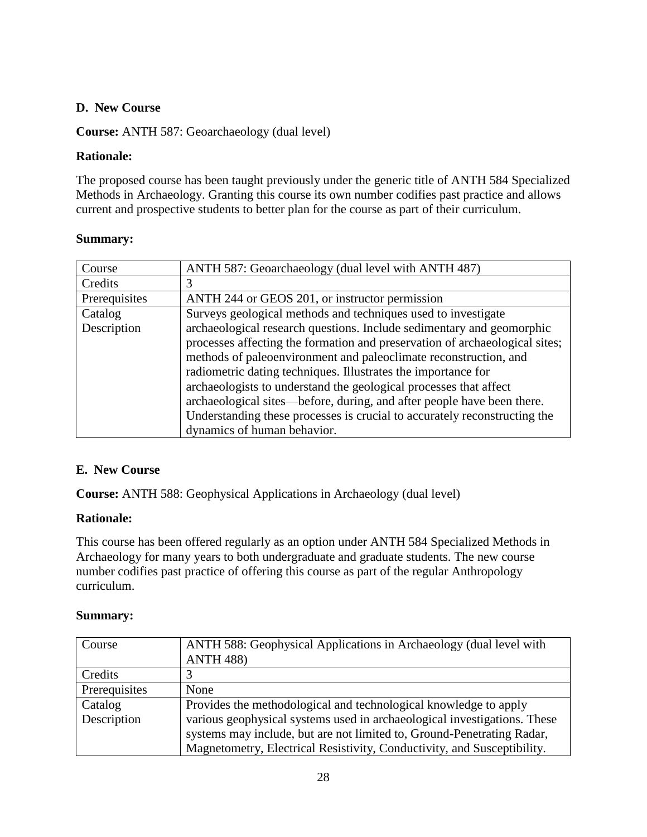## **D. New Course**

**Course:** ANTH 587: Geoarchaeology (dual level)

## **Rationale:**

The proposed course has been taught previously under the generic title of ANTH 584 Specialized Methods in Archaeology. Granting this course its own number codifies past practice and allows current and prospective students to better plan for the course as part of their curriculum.

## **Summary:**

| Course        | ANTH 587: Geoarchaeology (dual level with ANTH 487)                         |
|---------------|-----------------------------------------------------------------------------|
| Credits       | 3                                                                           |
| Prerequisites | ANTH 244 or GEOS 201, or instructor permission                              |
| Catalog       | Surveys geological methods and techniques used to investigate               |
| Description   | archaeological research questions. Include sedimentary and geomorphic       |
|               | processes affecting the formation and preservation of archaeological sites; |
|               | methods of paleoenvironment and paleoclimate reconstruction, and            |
|               | radiometric dating techniques. Illustrates the importance for               |
|               | archaeologists to understand the geological processes that affect           |
|               | archaeological sites—before, during, and after people have been there.      |
|               | Understanding these processes is crucial to accurately reconstructing the   |
|               | dynamics of human behavior.                                                 |

## **E. New Course**

**Course:** ANTH 588: Geophysical Applications in Archaeology (dual level)

## **Rationale:**

This course has been offered regularly as an option under ANTH 584 Specialized Methods in Archaeology for many years to both undergraduate and graduate students. The new course number codifies past practice of offering this course as part of the regular Anthropology curriculum.

## **Summary:**

| Course        | ANTH 588: Geophysical Applications in Archaeology (dual level with       |
|---------------|--------------------------------------------------------------------------|
|               | <b>ANTH 488)</b>                                                         |
| Credits       |                                                                          |
| Prerequisites | None                                                                     |
| Catalog       | Provides the methodological and technological knowledge to apply         |
| Description   | various geophysical systems used in archaeological investigations. These |
|               | systems may include, but are not limited to, Ground-Penetrating Radar,   |
|               | Magnetometry, Electrical Resistivity, Conductivity, and Susceptibility.  |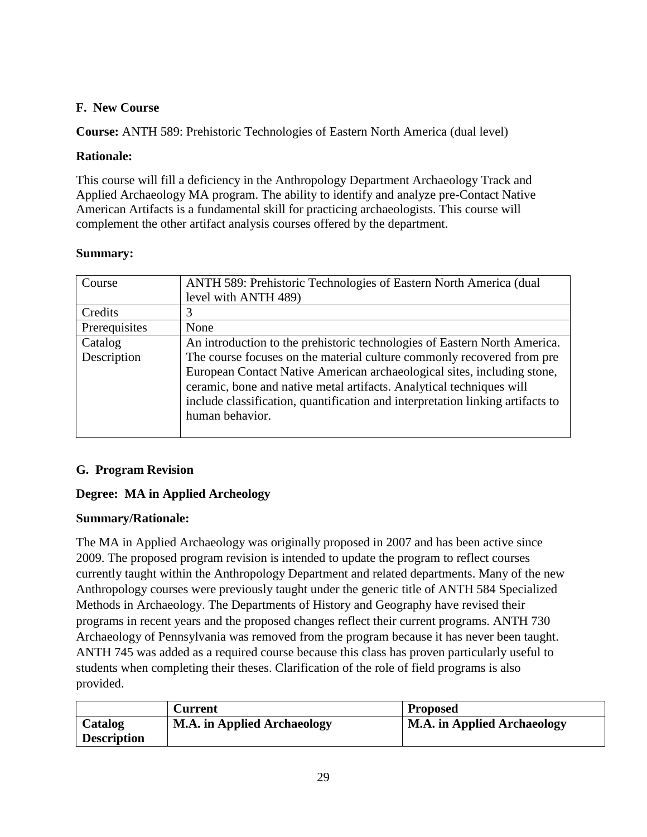## **F. New Course**

**Course:** ANTH 589: Prehistoric Technologies of Eastern North America (dual level)

## **Rationale:**

This course will fill a deficiency in the Anthropology Department Archaeology Track and Applied Archaeology MA program. The ability to identify and analyze pre-Contact Native American Artifacts is a fundamental skill for practicing archaeologists. This course will complement the other artifact analysis courses offered by the department.

## **Summary:**

| Course        | ANTH 589: Prehistoric Technologies of Eastern North America (dual              |
|---------------|--------------------------------------------------------------------------------|
|               | level with ANTH 489)                                                           |
| Credits       | 3                                                                              |
| Prerequisites | None                                                                           |
| Catalog       | An introduction to the prehistoric technologies of Eastern North America.      |
| Description   | The course focuses on the material culture commonly recovered from pre         |
|               | European Contact Native American archaeological sites, including stone,        |
|               | ceramic, bone and native metal artifacts. Analytical techniques will           |
|               | include classification, quantification and interpretation linking artifacts to |
|               | human behavior.                                                                |
|               |                                                                                |

## **G. Program Revision**

## **Degree: MA in Applied Archeology**

## **Summary/Rationale:**

The MA in Applied Archaeology was originally proposed in 2007 and has been active since 2009. The proposed program revision is intended to update the program to reflect courses currently taught within the Anthropology Department and related departments. Many of the new Anthropology courses were previously taught under the generic title of ANTH 584 Specialized Methods in Archaeology. The Departments of History and Geography have revised their programs in recent years and the proposed changes reflect their current programs. ANTH 730 Archaeology of Pennsylvania was removed from the program because it has never been taught. ANTH 745 was added as a required course because this class has proven particularly useful to students when completing their theses. Clarification of the role of field programs is also provided.

|                    | Current                            | <b>Proposed</b>                    |
|--------------------|------------------------------------|------------------------------------|
| Catalog            | <b>M.A.</b> in Applied Archaeology | <b>M.A. in Applied Archaeology</b> |
| <b>Description</b> |                                    |                                    |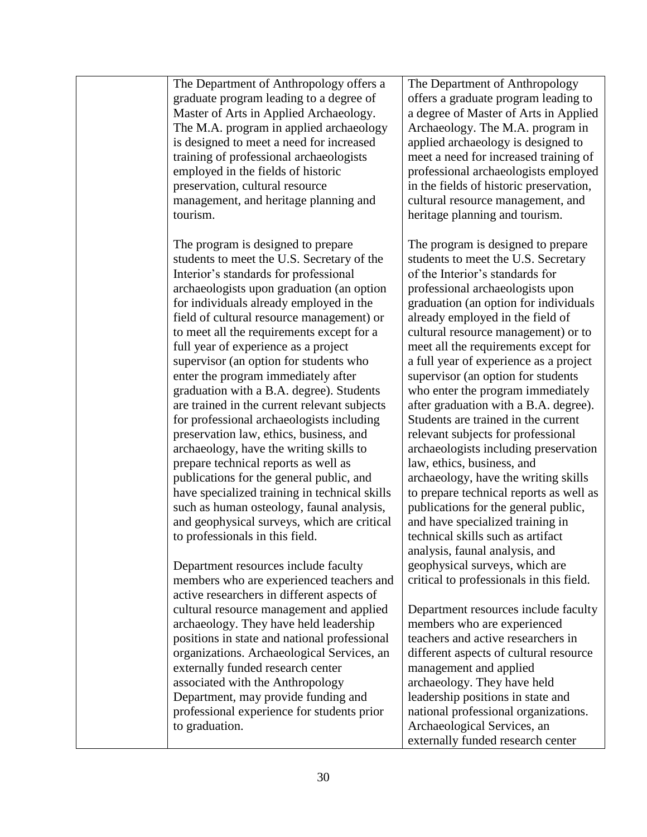The Department of Anthropology offers a graduate program leading to a degree of Master of Arts in Applied Archaeology. The M.A. program in applied archaeology is designed to meet a need for increased training of professional archaeologists employed in the fields of historic preservation, cultural resource management, and heritage planning and tourism.

The program is designed to prepare students to meet the U.S. Secretary of the Interior's standards for professional archaeologists upon graduation (an option for individuals already employed in the field of cultural resource management) or to meet all the requirements except for a full year of experience as a project supervisor (an option for students who enter the program immediately after graduation with a B.A. degree). Students are trained in the current relevant subjects for professional archaeologists including preservation law, ethics, business, and archaeology, have the writing skills to prepare technical reports as well as publications for the general public, and have specialized training in technical skills such as human osteology, faunal analysis, and geophysical surveys, which are critical to professionals in this field.

Department resources include faculty members who are experienced teachers and active researchers in different aspects of cultural resource management and applied archaeology. They have held leadership positions in state and national professional organizations. Archaeological Services, an externally funded research center associated with the Anthropology Department, may provide funding and professional experience for students prior to graduation.

The Department of Anthropology offers a graduate program leading to a degree of Master of Arts in Applied Archaeology. The M.A. program in applied archaeology is designed to meet a need for increased training of professional archaeologists employed in the fields of historic preservation, cultural resource management, and heritage planning and tourism.

The program is designed to prepare students to meet the U.S. Secretary of the Interior's standards for professional archaeologists upon graduation (an option for individuals already employed in the field of cultural resource management) or to meet all the requirements except for a full year of experience as a project supervisor (an option for students who enter the program immediately after graduation with a B.A. degree). Students are trained in the current relevant subjects for professional archaeologists including preservation law, ethics, business, and archaeology, have the writing skills to prepare technical reports as well as publications for the general public, and have specialized training in technical skills such as artifact analysis, faunal analysis, and geophysical surveys, which are critical to professionals in this field.

Department resources include faculty members who are experienced teachers and active researchers in different aspects of cultural resource management and applied archaeology. They have held leadership positions in state and national professional organizations. Archaeological Services, an externally funded research center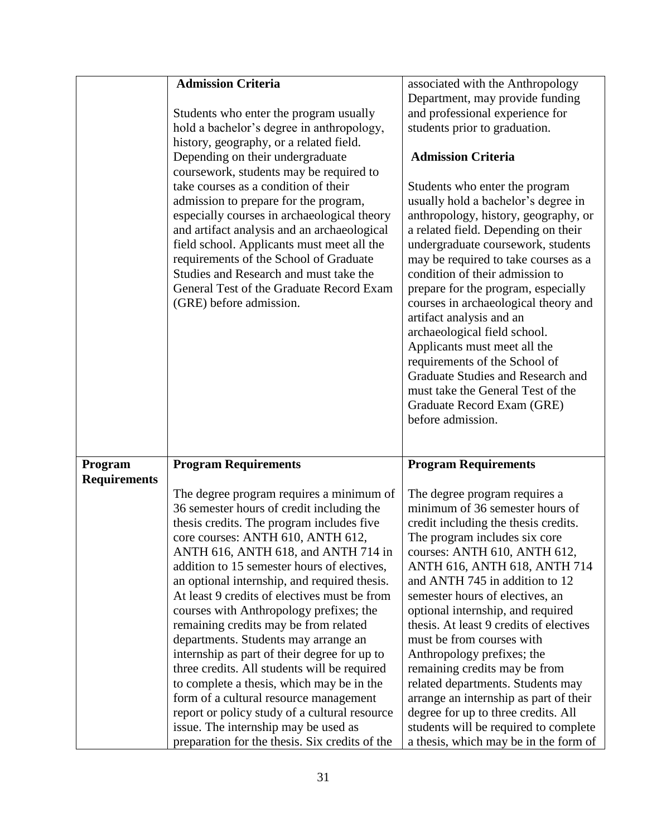|                     | <b>Admission Criteria</b>                                                                                                                                                                                                                                                                                                                                                                                                       | associated with the Anthropology                                                                                                                                                                                                                                                                                                                                                                                                                                                                                                                                                                               |
|---------------------|---------------------------------------------------------------------------------------------------------------------------------------------------------------------------------------------------------------------------------------------------------------------------------------------------------------------------------------------------------------------------------------------------------------------------------|----------------------------------------------------------------------------------------------------------------------------------------------------------------------------------------------------------------------------------------------------------------------------------------------------------------------------------------------------------------------------------------------------------------------------------------------------------------------------------------------------------------------------------------------------------------------------------------------------------------|
|                     |                                                                                                                                                                                                                                                                                                                                                                                                                                 | Department, may provide funding                                                                                                                                                                                                                                                                                                                                                                                                                                                                                                                                                                                |
|                     | Students who enter the program usually                                                                                                                                                                                                                                                                                                                                                                                          | and professional experience for                                                                                                                                                                                                                                                                                                                                                                                                                                                                                                                                                                                |
|                     |                                                                                                                                                                                                                                                                                                                                                                                                                                 |                                                                                                                                                                                                                                                                                                                                                                                                                                                                                                                                                                                                                |
|                     | hold a bachelor's degree in anthropology,                                                                                                                                                                                                                                                                                                                                                                                       | students prior to graduation.                                                                                                                                                                                                                                                                                                                                                                                                                                                                                                                                                                                  |
|                     | history, geography, or a related field.                                                                                                                                                                                                                                                                                                                                                                                         |                                                                                                                                                                                                                                                                                                                                                                                                                                                                                                                                                                                                                |
|                     | Depending on their undergraduate                                                                                                                                                                                                                                                                                                                                                                                                | <b>Admission Criteria</b>                                                                                                                                                                                                                                                                                                                                                                                                                                                                                                                                                                                      |
|                     | coursework, students may be required to<br>take courses as a condition of their<br>admission to prepare for the program,<br>especially courses in archaeological theory<br>and artifact analysis and an archaeological<br>field school. Applicants must meet all the<br>requirements of the School of Graduate<br>Studies and Research and must take the<br>General Test of the Graduate Record Exam<br>(GRE) before admission. | Students who enter the program<br>usually hold a bachelor's degree in<br>anthropology, history, geography, or<br>a related field. Depending on their<br>undergraduate coursework, students<br>may be required to take courses as a<br>condition of their admission to<br>prepare for the program, especially<br>courses in archaeological theory and<br>artifact analysis and an<br>archaeological field school.<br>Applicants must meet all the<br>requirements of the School of<br>Graduate Studies and Research and<br>must take the General Test of the<br>Graduate Record Exam (GRE)<br>before admission. |
|                     |                                                                                                                                                                                                                                                                                                                                                                                                                                 |                                                                                                                                                                                                                                                                                                                                                                                                                                                                                                                                                                                                                |
| Program             | <b>Program Requirements</b>                                                                                                                                                                                                                                                                                                                                                                                                     | <b>Program Requirements</b>                                                                                                                                                                                                                                                                                                                                                                                                                                                                                                                                                                                    |
| <b>Requirements</b> |                                                                                                                                                                                                                                                                                                                                                                                                                                 |                                                                                                                                                                                                                                                                                                                                                                                                                                                                                                                                                                                                                |
|                     |                                                                                                                                                                                                                                                                                                                                                                                                                                 |                                                                                                                                                                                                                                                                                                                                                                                                                                                                                                                                                                                                                |
|                     | The degree program requires a minimum of                                                                                                                                                                                                                                                                                                                                                                                        | The degree program requires a                                                                                                                                                                                                                                                                                                                                                                                                                                                                                                                                                                                  |
|                     | 36 semester hours of credit including the                                                                                                                                                                                                                                                                                                                                                                                       | minimum of 36 semester hours of                                                                                                                                                                                                                                                                                                                                                                                                                                                                                                                                                                                |
|                     | thesis credits. The program includes five                                                                                                                                                                                                                                                                                                                                                                                       | credit including the thesis credits.                                                                                                                                                                                                                                                                                                                                                                                                                                                                                                                                                                           |
|                     | core courses: ANTH 610, ANTH 612,                                                                                                                                                                                                                                                                                                                                                                                               | The program includes six core                                                                                                                                                                                                                                                                                                                                                                                                                                                                                                                                                                                  |
|                     | ANTH 616, ANTH 618, and ANTH 714 in                                                                                                                                                                                                                                                                                                                                                                                             | courses: ANTH 610, ANTH 612,                                                                                                                                                                                                                                                                                                                                                                                                                                                                                                                                                                                   |
|                     | addition to 15 semester hours of electives,                                                                                                                                                                                                                                                                                                                                                                                     | ANTH 616, ANTH 618, ANTH 714                                                                                                                                                                                                                                                                                                                                                                                                                                                                                                                                                                                   |
|                     | an optional internship, and required thesis.                                                                                                                                                                                                                                                                                                                                                                                    | and ANTH 745 in addition to 12                                                                                                                                                                                                                                                                                                                                                                                                                                                                                                                                                                                 |
|                     | At least 9 credits of electives must be from                                                                                                                                                                                                                                                                                                                                                                                    | semester hours of electives, an                                                                                                                                                                                                                                                                                                                                                                                                                                                                                                                                                                                |
|                     | courses with Anthropology prefixes; the                                                                                                                                                                                                                                                                                                                                                                                         | optional internship, and required                                                                                                                                                                                                                                                                                                                                                                                                                                                                                                                                                                              |
|                     | remaining credits may be from related                                                                                                                                                                                                                                                                                                                                                                                           | thesis. At least 9 credits of electives                                                                                                                                                                                                                                                                                                                                                                                                                                                                                                                                                                        |
|                     | departments. Students may arrange an                                                                                                                                                                                                                                                                                                                                                                                            | must be from courses with                                                                                                                                                                                                                                                                                                                                                                                                                                                                                                                                                                                      |
|                     | internship as part of their degree for up to                                                                                                                                                                                                                                                                                                                                                                                    | Anthropology prefixes; the                                                                                                                                                                                                                                                                                                                                                                                                                                                                                                                                                                                     |
|                     | three credits. All students will be required                                                                                                                                                                                                                                                                                                                                                                                    | remaining credits may be from                                                                                                                                                                                                                                                                                                                                                                                                                                                                                                                                                                                  |
|                     | to complete a thesis, which may be in the                                                                                                                                                                                                                                                                                                                                                                                       | related departments. Students may                                                                                                                                                                                                                                                                                                                                                                                                                                                                                                                                                                              |
|                     | form of a cultural resource management                                                                                                                                                                                                                                                                                                                                                                                          | arrange an internship as part of their                                                                                                                                                                                                                                                                                                                                                                                                                                                                                                                                                                         |
|                     | report or policy study of a cultural resource                                                                                                                                                                                                                                                                                                                                                                                   | degree for up to three credits. All                                                                                                                                                                                                                                                                                                                                                                                                                                                                                                                                                                            |
|                     | issue. The internship may be used as                                                                                                                                                                                                                                                                                                                                                                                            | students will be required to complete                                                                                                                                                                                                                                                                                                                                                                                                                                                                                                                                                                          |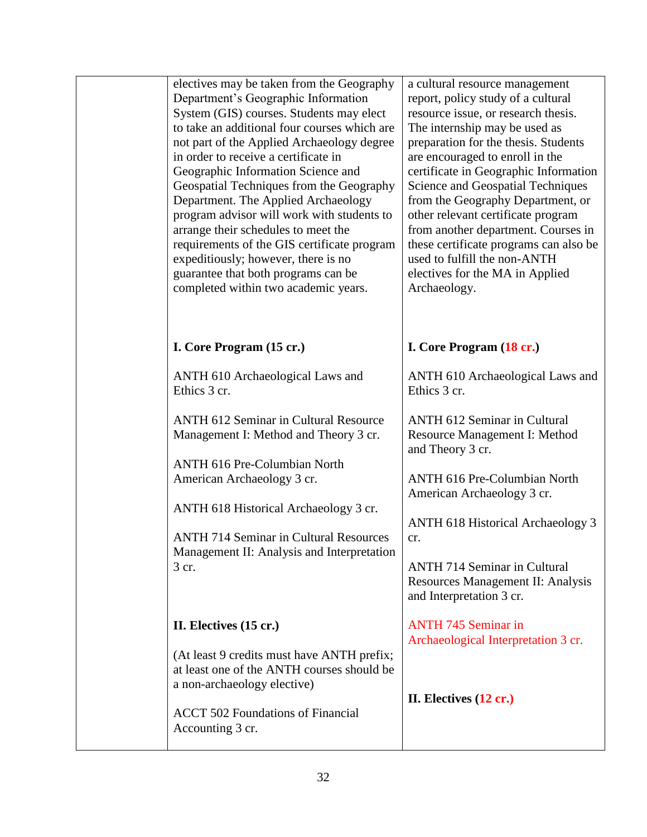| electives may be taken from the Geography<br>Department's Geographic Information<br>System (GIS) courses. Students may elect<br>to take an additional four courses which are<br>not part of the Applied Archaeology degree<br>in order to receive a certificate in<br>Geographic Information Science and<br>Geospatial Techniques from the Geography<br>Department. The Applied Archaeology<br>program advisor will work with students to<br>arrange their schedules to meet the<br>requirements of the GIS certificate program<br>expeditiously; however, there is no<br>guarantee that both programs can be<br>completed within two academic years. | a cultural resource management<br>report, policy study of a cultural<br>resource issue, or research thesis.<br>The internship may be used as<br>preparation for the thesis. Students<br>are encouraged to enroll in the<br>certificate in Geographic Information<br><b>Science and Geospatial Techniques</b><br>from the Geography Department, or<br>other relevant certificate program<br>from another department. Courses in<br>these certificate programs can also be<br>used to fulfill the non-ANTH<br>electives for the MA in Applied<br>Archaeology. |
|-------------------------------------------------------------------------------------------------------------------------------------------------------------------------------------------------------------------------------------------------------------------------------------------------------------------------------------------------------------------------------------------------------------------------------------------------------------------------------------------------------------------------------------------------------------------------------------------------------------------------------------------------------|-------------------------------------------------------------------------------------------------------------------------------------------------------------------------------------------------------------------------------------------------------------------------------------------------------------------------------------------------------------------------------------------------------------------------------------------------------------------------------------------------------------------------------------------------------------|
| I. Core Program (15 cr.)                                                                                                                                                                                                                                                                                                                                                                                                                                                                                                                                                                                                                              | I. Core Program (18 cr.)                                                                                                                                                                                                                                                                                                                                                                                                                                                                                                                                    |
| ANTH 610 Archaeological Laws and<br>Ethics 3 cr.                                                                                                                                                                                                                                                                                                                                                                                                                                                                                                                                                                                                      | ANTH 610 Archaeological Laws and<br>Ethics 3 cr.                                                                                                                                                                                                                                                                                                                                                                                                                                                                                                            |
| <b>ANTH 612 Seminar in Cultural Resource</b><br>Management I: Method and Theory 3 cr.                                                                                                                                                                                                                                                                                                                                                                                                                                                                                                                                                                 | <b>ANTH 612 Seminar in Cultural</b><br>Resource Management I: Method<br>and Theory 3 cr.                                                                                                                                                                                                                                                                                                                                                                                                                                                                    |
| <b>ANTH 616 Pre-Columbian North</b><br>American Archaeology 3 cr.                                                                                                                                                                                                                                                                                                                                                                                                                                                                                                                                                                                     | <b>ANTH 616 Pre-Columbian North</b><br>American Archaeology 3 cr.                                                                                                                                                                                                                                                                                                                                                                                                                                                                                           |
| ANTH 618 Historical Archaeology 3 cr.<br><b>ANTH 714 Seminar in Cultural Resources</b>                                                                                                                                                                                                                                                                                                                                                                                                                                                                                                                                                                | <b>ANTH 618 Historical Archaeology 3</b><br>cr.                                                                                                                                                                                                                                                                                                                                                                                                                                                                                                             |
| Management II: Analysis and Interpretation<br>3 cr.                                                                                                                                                                                                                                                                                                                                                                                                                                                                                                                                                                                                   | <b>ANTH 714 Seminar in Cultural</b><br>Resources Management II: Analysis<br>and Interpretation 3 cr.                                                                                                                                                                                                                                                                                                                                                                                                                                                        |
| II. Electives (15 cr.)                                                                                                                                                                                                                                                                                                                                                                                                                                                                                                                                                                                                                                | <b>ANTH 745 Seminar in</b><br>Archaeological Interpretation 3 cr.                                                                                                                                                                                                                                                                                                                                                                                                                                                                                           |
| (At least 9 credits must have ANTH prefix;<br>at least one of the ANTH courses should be<br>a non-archaeology elective)<br><b>ACCT 502 Foundations of Financial</b><br>Accounting 3 cr.                                                                                                                                                                                                                                                                                                                                                                                                                                                               | II. Electives $(12 \text{ cr.})$                                                                                                                                                                                                                                                                                                                                                                                                                                                                                                                            |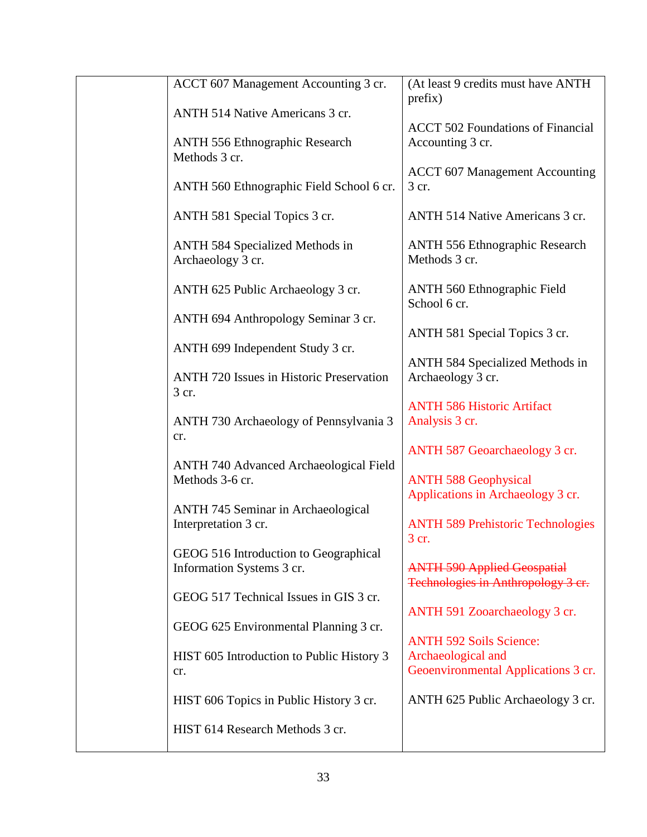| ACCT 607 Management Accounting 3 cr.                               | (At least 9 credits must have ANTH<br>prefix)                            |
|--------------------------------------------------------------------|--------------------------------------------------------------------------|
| ANTH 514 Native Americans 3 cr.                                    | <b>ACCT 502 Foundations of Financial</b>                                 |
| <b>ANTH 556 Ethnographic Research</b><br>Methods 3 cr.             | Accounting 3 cr.                                                         |
| ANTH 560 Ethnographic Field School 6 cr.                           | <b>ACCT 607 Management Accounting</b><br>3 cr.                           |
| ANTH 581 Special Topics 3 cr.                                      | ANTH 514 Native Americans 3 cr.                                          |
| <b>ANTH 584 Specialized Methods in</b><br>Archaeology 3 cr.        | <b>ANTH 556 Ethnographic Research</b><br>Methods 3 cr.                   |
| ANTH 625 Public Archaeology 3 cr.                                  | <b>ANTH 560 Ethnographic Field</b><br>School 6 cr.                       |
| ANTH 694 Anthropology Seminar 3 cr.                                | ANTH 581 Special Topics 3 cr.                                            |
| ANTH 699 Independent Study 3 cr.                                   | <b>ANTH 584 Specialized Methods in</b>                                   |
| <b>ANTH 720 Issues in Historic Preservation</b><br>3 cr.           | Archaeology 3 cr.                                                        |
| ANTH 730 Archaeology of Pennsylvania 3<br>cr.                      | <b>ANTH 586 Historic Artifact</b><br>Analysis 3 cr.                      |
|                                                                    | ANTH 587 Geoarchaeology 3 cr.                                            |
| <b>ANTH 740 Advanced Archaeological Field</b><br>Methods 3-6 cr.   | <b>ANTH 588 Geophysical</b><br>Applications in Archaeology 3 cr.         |
| <b>ANTH 745 Seminar in Archaeological</b><br>Interpretation 3 cr.  | <b>ANTH 589 Prehistoric Technologies</b><br>3 cr.                        |
| GEOG 516 Introduction to Geographical<br>Information Systems 3 cr. | <b>ANTH 590 Applied Geospatial</b><br>Technologies in Anthropology 3 cr. |
| GEOG 517 Technical Issues in GIS 3 cr.                             | ANTH 591 Zooarchaeology 3 cr.                                            |
| GEOG 625 Environmental Planning 3 cr.                              | <b>ANTH 592 Soils Science:</b>                                           |
| HIST 605 Introduction to Public History 3<br>cr.                   | Archaeological and<br>Geoenvironmental Applications 3 cr.                |
| HIST 606 Topics in Public History 3 cr.                            | ANTH 625 Public Archaeology 3 cr.                                        |
| HIST 614 Research Methods 3 cr.                                    |                                                                          |
|                                                                    |                                                                          |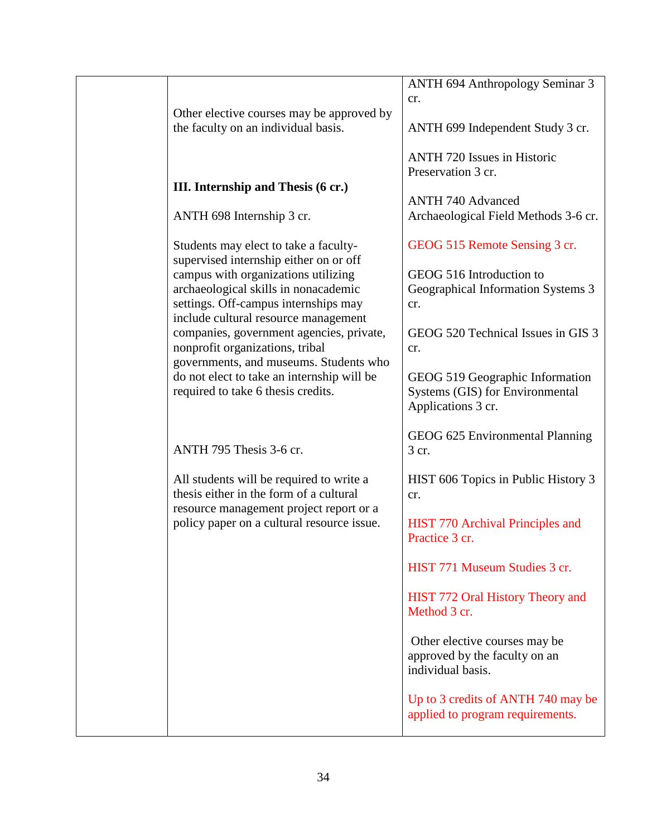|                                                                                       | ANTH 694 Anthropology Seminar 3                          |
|---------------------------------------------------------------------------------------|----------------------------------------------------------|
|                                                                                       | cr.                                                      |
| Other elective courses may be approved by<br>the faculty on an individual basis.      | ANTH 699 Independent Study 3 cr.                         |
|                                                                                       | <b>ANTH 720 Issues in Historic</b><br>Preservation 3 cr. |
| III. Internship and Thesis (6 cr.)                                                    |                                                          |
|                                                                                       | <b>ANTH 740 Advanced</b>                                 |
| ANTH 698 Internship 3 cr.                                                             | Archaeological Field Methods 3-6 cr.                     |
| Students may elect to take a faculty-<br>supervised internship either on or off       | GEOG 515 Remote Sensing 3 cr.                            |
| campus with organizations utilizing                                                   | GEOG 516 Introduction to                                 |
| archaeological skills in nonacademic                                                  | Geographical Information Systems 3                       |
| settings. Off-campus internships may<br>include cultural resource management          | cr.                                                      |
| companies, government agencies, private,<br>nonprofit organizations, tribal           | GEOG 520 Technical Issues in GIS 3<br>cr.                |
| governments, and museums. Students who                                                |                                                          |
| do not elect to take an internship will be                                            | GEOG 519 Geographic Information                          |
| required to take 6 thesis credits.                                                    | Systems (GIS) for Environmental                          |
|                                                                                       | Applications 3 cr.                                       |
|                                                                                       | GEOG 625 Environmental Planning                          |
| ANTH 795 Thesis 3-6 cr.                                                               | 3 cr.                                                    |
|                                                                                       |                                                          |
| All students will be required to write a                                              | HIST 606 Topics in Public History 3                      |
| thesis either in the form of a cultural                                               | cr.                                                      |
| resource management project report or a<br>policy paper on a cultural resource issue. | HIST 770 Archival Principles and                         |
|                                                                                       | Practice 3 cr.                                           |
|                                                                                       |                                                          |
|                                                                                       | HIST 771 Museum Studies 3 cr.                            |
|                                                                                       | HIST 772 Oral History Theory and<br>Method 3 cr.         |
|                                                                                       |                                                          |
|                                                                                       | Other elective courses may be                            |
|                                                                                       | approved by the faculty on an                            |
|                                                                                       | individual basis.                                        |
|                                                                                       | Up to 3 credits of ANTH 740 may be                       |
|                                                                                       | applied to program requirements.                         |
|                                                                                       |                                                          |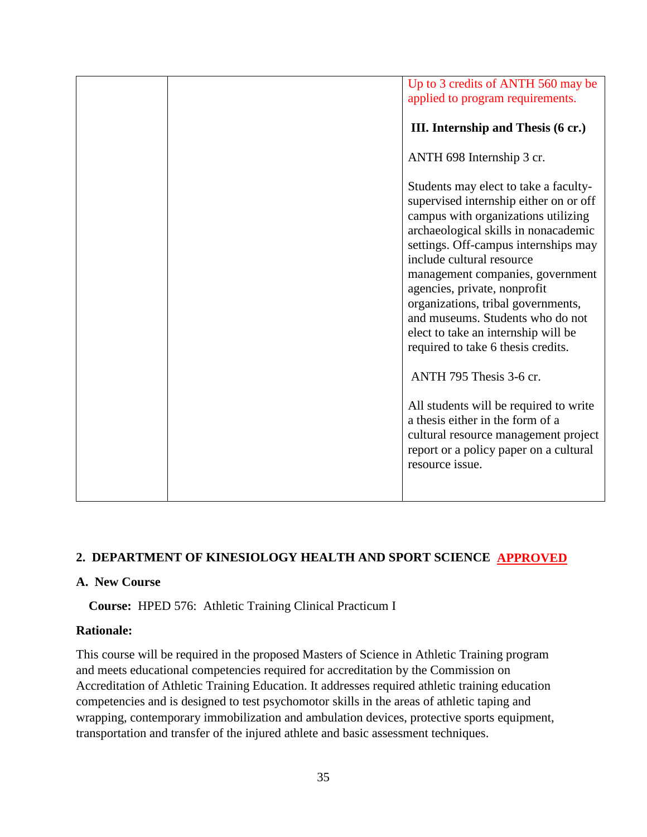| Up to 3 credits of ANTH 560 may be<br>applied to program requirements.<br>III. Internship and Thesis (6 cr.)                                                                                                                                                                                   |
|------------------------------------------------------------------------------------------------------------------------------------------------------------------------------------------------------------------------------------------------------------------------------------------------|
| ANTH 698 Internship 3 cr.<br>Students may elect to take a faculty-<br>supervised internship either on or off<br>campus with organizations utilizing                                                                                                                                            |
| archaeological skills in nonacademic<br>settings. Off-campus internships may<br>include cultural resource<br>management companies, government<br>agencies, private, nonprofit<br>organizations, tribal governments,<br>and museums. Students who do not<br>elect to take an internship will be |
| required to take 6 thesis credits.<br>ANTH 795 Thesis 3-6 cr.<br>All students will be required to write<br>a thesis either in the form of a<br>cultural resource management project<br>report or a policy paper on a cultural<br>resource issue.                                               |
|                                                                                                                                                                                                                                                                                                |

## **2. DEPARTMENT OF KINESIOLOGY HEALTH AND SPORT SCIENCE APPROVED**

#### **A. New Course**

 **Course:** HPED 576: Athletic Training Clinical Practicum I

## **Rationale:**

This course will be required in the proposed Masters of Science in Athletic Training program and meets educational competencies required for accreditation by the Commission on Accreditation of Athletic Training Education. It addresses required athletic training education competencies and is designed to test psychomotor skills in the areas of athletic taping and wrapping, contemporary immobilization and ambulation devices, protective sports equipment, transportation and transfer of the injured athlete and basic assessment techniques.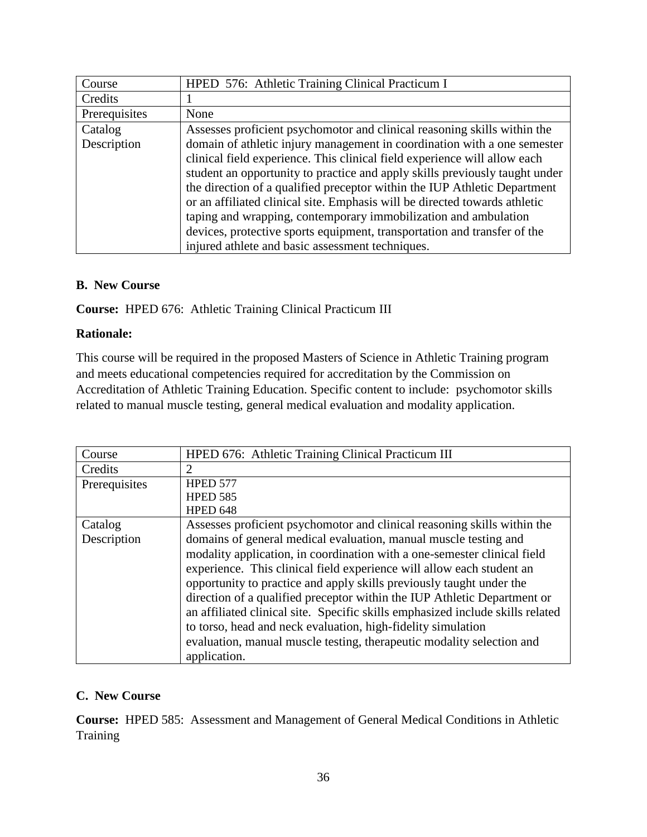| Course        | HPED 576: Athletic Training Clinical Practicum I                            |
|---------------|-----------------------------------------------------------------------------|
| Credits       |                                                                             |
| Prerequisites | None                                                                        |
| Catalog       | Assesses proficient psychomotor and clinical reasoning skills within the    |
| Description   | domain of athletic injury management in coordination with a one semester    |
|               | clinical field experience. This clinical field experience will allow each   |
|               | student an opportunity to practice and apply skills previously taught under |
|               | the direction of a qualified preceptor within the IUP Athletic Department   |
|               | or an affiliated clinical site. Emphasis will be directed towards athletic  |
|               | taping and wrapping, contemporary immobilization and ambulation             |
|               | devices, protective sports equipment, transportation and transfer of the    |
|               | injured athlete and basic assessment techniques.                            |

## **B. New Course**

**Course:** HPED 676: Athletic Training Clinical Practicum III

## **Rationale:**

This course will be required in the proposed Masters of Science in Athletic Training program and meets educational competencies required for accreditation by the Commission on Accreditation of Athletic Training Education. Specific content to include: psychomotor skills related to manual muscle testing, general medical evaluation and modality application.

| Course                 | HPED 676: Athletic Training Clinical Practicum III                                                                                                                                                                                                                                                                                                                                                                                                                                                                                                                                                                                                                                               |
|------------------------|--------------------------------------------------------------------------------------------------------------------------------------------------------------------------------------------------------------------------------------------------------------------------------------------------------------------------------------------------------------------------------------------------------------------------------------------------------------------------------------------------------------------------------------------------------------------------------------------------------------------------------------------------------------------------------------------------|
| Credits                | 2                                                                                                                                                                                                                                                                                                                                                                                                                                                                                                                                                                                                                                                                                                |
| Prerequisites          | <b>HPED 577</b><br><b>HPED 585</b>                                                                                                                                                                                                                                                                                                                                                                                                                                                                                                                                                                                                                                                               |
|                        | HPED 648                                                                                                                                                                                                                                                                                                                                                                                                                                                                                                                                                                                                                                                                                         |
| Catalog<br>Description | Assesses proficient psychomotor and clinical reasoning skills within the<br>domains of general medical evaluation, manual muscle testing and<br>modality application, in coordination with a one-semester clinical field<br>experience. This clinical field experience will allow each student an<br>opportunity to practice and apply skills previously taught under the<br>direction of a qualified preceptor within the IUP Athletic Department or<br>an affiliated clinical site. Specific skills emphasized include skills related<br>to torso, head and neck evaluation, high-fidelity simulation<br>evaluation, manual muscle testing, therapeutic modality selection and<br>application. |

## **C. New Course**

**Course:** HPED 585: Assessment and Management of General Medical Conditions in Athletic **Training**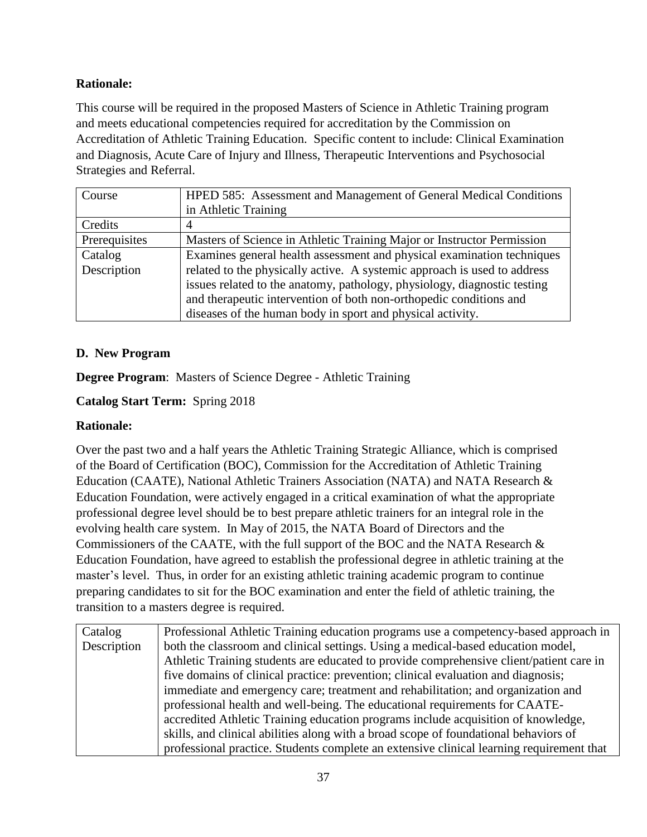## **Rationale:**

This course will be required in the proposed Masters of Science in Athletic Training program and meets educational competencies required for accreditation by the Commission on Accreditation of Athletic Training Education. Specific content to include: Clinical Examination and Diagnosis, Acute Care of Injury and Illness, Therapeutic Interventions and Psychosocial Strategies and Referral.

| Course        | HPED 585: Assessment and Management of General Medical Conditions        |
|---------------|--------------------------------------------------------------------------|
|               | in Athletic Training                                                     |
| Credits       |                                                                          |
| Prerequisites | Masters of Science in Athletic Training Major or Instructor Permission   |
| Catalog       | Examines general health assessment and physical examination techniques   |
| Description   | related to the physically active. A systemic approach is used to address |
|               | issues related to the anatomy, pathology, physiology, diagnostic testing |
|               | and therapeutic intervention of both non-orthopedic conditions and       |
|               | diseases of the human body in sport and physical activity.               |

## **D. New Program**

**Degree Program**: Masters of Science Degree - Athletic Training

**Catalog Start Term:** Spring 2018

## **Rationale:**

Over the past two and a half years the Athletic Training Strategic Alliance, which is comprised of the Board of Certification (BOC), Commission for the Accreditation of Athletic Training Education (CAATE), National Athletic Trainers Association (NATA) and NATA Research & Education Foundation, were actively engaged in a critical examination of what the appropriate professional degree level should be to best prepare athletic trainers for an integral role in the evolving health care system. In May of 2015, the NATA Board of Directors and the Commissioners of the CAATE, with the full support of the BOC and the NATA Research & Education Foundation, have agreed to establish the professional degree in athletic training at the master's level. Thus, in order for an existing athletic training academic program to continue preparing candidates to sit for the BOC examination and enter the field of athletic training, the transition to a masters degree is required.

| Catalog     | Professional Athletic Training education programs use a competency-based approach in     |  |
|-------------|------------------------------------------------------------------------------------------|--|
| Description | both the classroom and clinical settings. Using a medical-based education model,         |  |
|             | Athletic Training students are educated to provide comprehensive client/patient care in  |  |
|             | five domains of clinical practice: prevention; clinical evaluation and diagnosis;        |  |
|             | immediate and emergency care; treatment and rehabilitation; and organization and         |  |
|             | professional health and well-being. The educational requirements for CAATE-              |  |
|             | accredited Athletic Training education programs include acquisition of knowledge,        |  |
|             | skills, and clinical abilities along with a broad scope of foundational behaviors of     |  |
|             | professional practice. Students complete an extensive clinical learning requirement that |  |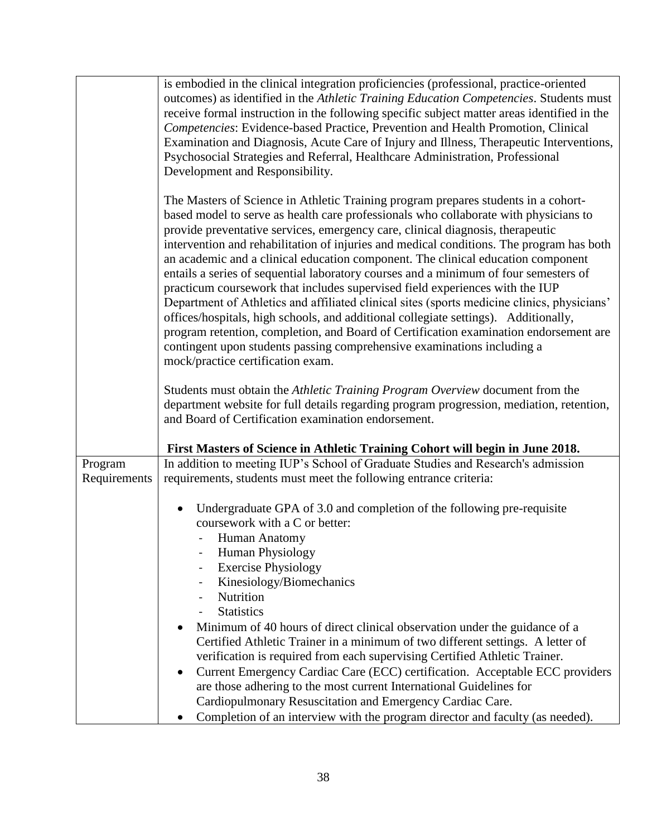|              | is embodied in the clinical integration proficiencies (professional, practice-oriented<br>outcomes) as identified in the Athletic Training Education Competencies. Students must<br>receive formal instruction in the following specific subject matter areas identified in the<br>Competencies: Evidence-based Practice, Prevention and Health Promotion, Clinical<br>Examination and Diagnosis, Acute Care of Injury and Illness, Therapeutic Interventions,<br>Psychosocial Strategies and Referral, Healthcare Administration, Professional<br>Development and Responsibility.                                                                                                                                                                                                                                                                                                                                                                                                                                  |
|--------------|---------------------------------------------------------------------------------------------------------------------------------------------------------------------------------------------------------------------------------------------------------------------------------------------------------------------------------------------------------------------------------------------------------------------------------------------------------------------------------------------------------------------------------------------------------------------------------------------------------------------------------------------------------------------------------------------------------------------------------------------------------------------------------------------------------------------------------------------------------------------------------------------------------------------------------------------------------------------------------------------------------------------|
|              | The Masters of Science in Athletic Training program prepares students in a cohort-<br>based model to serve as health care professionals who collaborate with physicians to<br>provide preventative services, emergency care, clinical diagnosis, therapeutic<br>intervention and rehabilitation of injuries and medical conditions. The program has both<br>an academic and a clinical education component. The clinical education component<br>entails a series of sequential laboratory courses and a minimum of four semesters of<br>practicum coursework that includes supervised field experiences with the IUP<br>Department of Athletics and affiliated clinical sites (sports medicine clinics, physicians'<br>offices/hospitals, high schools, and additional collegiate settings). Additionally,<br>program retention, completion, and Board of Certification examination endorsement are<br>contingent upon students passing comprehensive examinations including a<br>mock/practice certification exam. |
|              | Students must obtain the Athletic Training Program Overview document from the<br>department website for full details regarding program progression, mediation, retention,<br>and Board of Certification examination endorsement.                                                                                                                                                                                                                                                                                                                                                                                                                                                                                                                                                                                                                                                                                                                                                                                    |
|              | First Masters of Science in Athletic Training Cohort will begin in June 2018.                                                                                                                                                                                                                                                                                                                                                                                                                                                                                                                                                                                                                                                                                                                                                                                                                                                                                                                                       |
| Program      | In addition to meeting IUP's School of Graduate Studies and Research's admission                                                                                                                                                                                                                                                                                                                                                                                                                                                                                                                                                                                                                                                                                                                                                                                                                                                                                                                                    |
| Requirements | requirements, students must meet the following entrance criteria:                                                                                                                                                                                                                                                                                                                                                                                                                                                                                                                                                                                                                                                                                                                                                                                                                                                                                                                                                   |
|              | Undergraduate GPA of 3.0 and completion of the following pre-requisite<br>٠<br>coursework with a C or better:<br>Human Anatomy                                                                                                                                                                                                                                                                                                                                                                                                                                                                                                                                                                                                                                                                                                                                                                                                                                                                                      |
|              | Human Physiology                                                                                                                                                                                                                                                                                                                                                                                                                                                                                                                                                                                                                                                                                                                                                                                                                                                                                                                                                                                                    |
|              | <b>Exercise Physiology</b>                                                                                                                                                                                                                                                                                                                                                                                                                                                                                                                                                                                                                                                                                                                                                                                                                                                                                                                                                                                          |
|              | Kinesiology/Biomechanics                                                                                                                                                                                                                                                                                                                                                                                                                                                                                                                                                                                                                                                                                                                                                                                                                                                                                                                                                                                            |
|              | Nutrition<br><b>Statistics</b>                                                                                                                                                                                                                                                                                                                                                                                                                                                                                                                                                                                                                                                                                                                                                                                                                                                                                                                                                                                      |
|              | Minimum of 40 hours of direct clinical observation under the guidance of a                                                                                                                                                                                                                                                                                                                                                                                                                                                                                                                                                                                                                                                                                                                                                                                                                                                                                                                                          |
|              | Certified Athletic Trainer in a minimum of two different settings. A letter of                                                                                                                                                                                                                                                                                                                                                                                                                                                                                                                                                                                                                                                                                                                                                                                                                                                                                                                                      |
|              | verification is required from each supervising Certified Athletic Trainer.                                                                                                                                                                                                                                                                                                                                                                                                                                                                                                                                                                                                                                                                                                                                                                                                                                                                                                                                          |
|              | Current Emergency Cardiac Care (ECC) certification. Acceptable ECC providers<br>$\bullet$                                                                                                                                                                                                                                                                                                                                                                                                                                                                                                                                                                                                                                                                                                                                                                                                                                                                                                                           |
|              | are those adhering to the most current International Guidelines for<br>Cardiopulmonary Resuscitation and Emergency Cardiac Care.                                                                                                                                                                                                                                                                                                                                                                                                                                                                                                                                                                                                                                                                                                                                                                                                                                                                                    |
|              | Completion of an interview with the program director and faculty (as needed).                                                                                                                                                                                                                                                                                                                                                                                                                                                                                                                                                                                                                                                                                                                                                                                                                                                                                                                                       |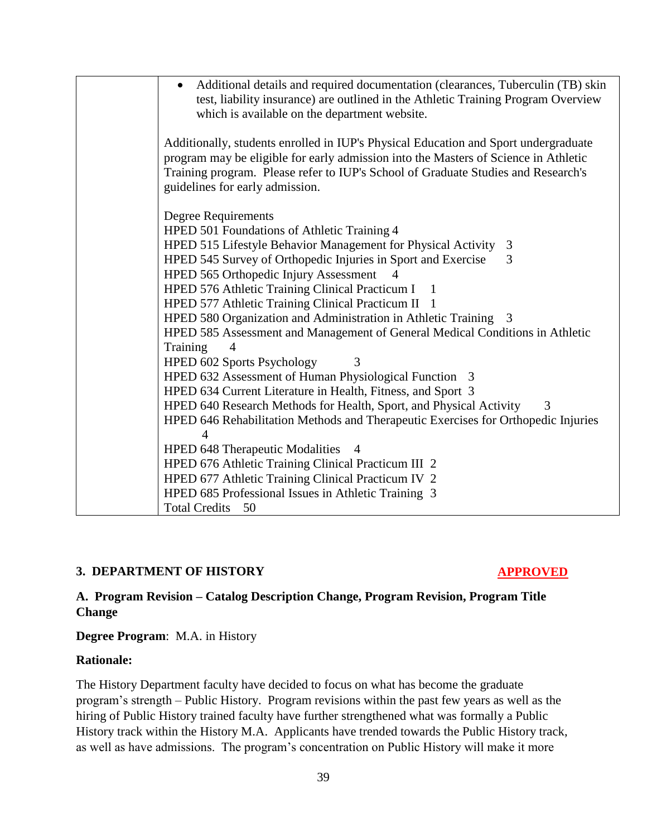| Additional details and required documentation (clearances, Tuberculin (TB) skin<br>test, liability insurance) are outlined in the Athletic Training Program Overview<br>which is available on the department website.                                                                              |
|----------------------------------------------------------------------------------------------------------------------------------------------------------------------------------------------------------------------------------------------------------------------------------------------------|
| Additionally, students enrolled in IUP's Physical Education and Sport undergraduate<br>program may be eligible for early admission into the Masters of Science in Athletic<br>Training program. Please refer to IUP's School of Graduate Studies and Research's<br>guidelines for early admission. |
| <b>Degree Requirements</b>                                                                                                                                                                                                                                                                         |
| HPED 501 Foundations of Athletic Training 4                                                                                                                                                                                                                                                        |
| HPED 515 Lifestyle Behavior Management for Physical Activity<br>3                                                                                                                                                                                                                                  |
| HPED 545 Survey of Orthopedic Injuries in Sport and Exercise<br>3                                                                                                                                                                                                                                  |
| HPED 565 Orthopedic Injury Assessment                                                                                                                                                                                                                                                              |
| HPED 576 Athletic Training Clinical Practicum I<br>- 1                                                                                                                                                                                                                                             |
| HPED 577 Athletic Training Clinical Practicum II 1                                                                                                                                                                                                                                                 |
| HPED 580 Organization and Administration in Athletic Training 3                                                                                                                                                                                                                                    |
| HPED 585 Assessment and Management of General Medical Conditions in Athletic                                                                                                                                                                                                                       |
| Training<br>$\overline{4}$                                                                                                                                                                                                                                                                         |
| HPED 602 Sports Psychology<br>3                                                                                                                                                                                                                                                                    |
| HPED 632 Assessment of Human Physiological Function 3                                                                                                                                                                                                                                              |
| HPED 634 Current Literature in Health, Fitness, and Sport 3                                                                                                                                                                                                                                        |
| HPED 640 Research Methods for Health, Sport, and Physical Activity<br>3                                                                                                                                                                                                                            |
| HPED 646 Rehabilitation Methods and Therapeutic Exercises for Orthopedic Injuries                                                                                                                                                                                                                  |
|                                                                                                                                                                                                                                                                                                    |
| HPED 648 Therapeutic Modalities 4                                                                                                                                                                                                                                                                  |
| HPED 676 Athletic Training Clinical Practicum III 2                                                                                                                                                                                                                                                |
| HPED 677 Athletic Training Clinical Practicum IV 2                                                                                                                                                                                                                                                 |
| HPED 685 Professional Issues in Athletic Training 3                                                                                                                                                                                                                                                |
| <b>Total Credits</b><br>50                                                                                                                                                                                                                                                                         |

#### **3. DEPARTMENT OF HISTORY APPROVED**

## **A. Program Revision – Catalog Description Change, Program Revision, Program Title Change**

**Degree Program**: M.A. in History

#### **Rationale:**

The History Department faculty have decided to focus on what has become the graduate program's strength – Public History. Program revisions within the past few years as well as the hiring of Public History trained faculty have further strengthened what was formally a Public History track within the History M.A. Applicants have trended towards the Public History track, as well as have admissions. The program's concentration on Public History will make it more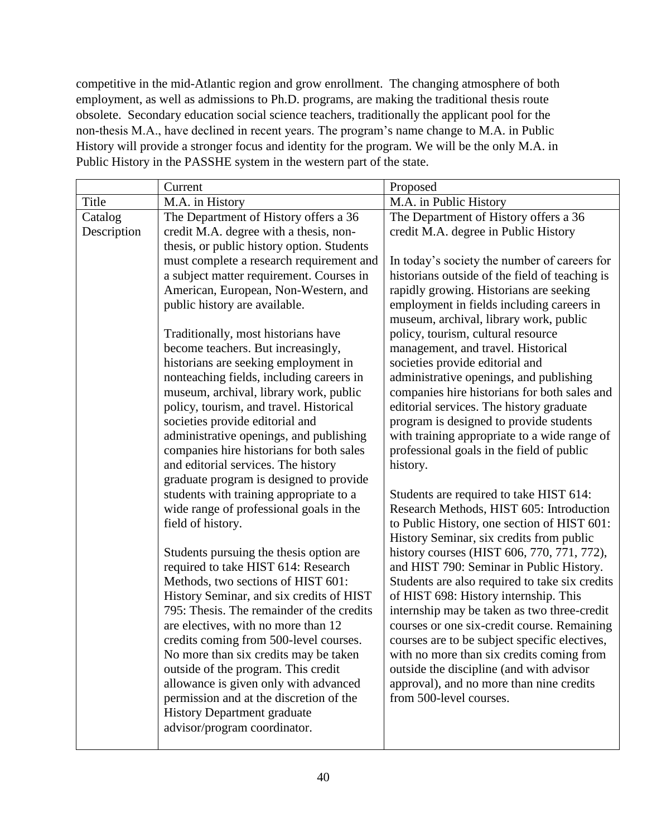competitive in the mid-Atlantic region and grow enrollment. The changing atmosphere of both employment, as well as admissions to Ph.D. programs, are making the traditional thesis route obsolete. Secondary education social science teachers, traditionally the applicant pool for the non-thesis M.A., have declined in recent years. The program's name change to M.A. in Public History will provide a stronger focus and identity for the program. We will be the only M.A. in Public History in the PASSHE system in the western part of the state.

|             | Current                                                                            | Proposed                                       |
|-------------|------------------------------------------------------------------------------------|------------------------------------------------|
| Title       | M.A. in History                                                                    | M.A. in Public History                         |
| Catalog     | The Department of History offers a 36                                              | The Department of History offers a 36          |
| Description | credit M.A. degree with a thesis, non-                                             | credit M.A. degree in Public History           |
|             | thesis, or public history option. Students                                         |                                                |
|             | must complete a research requirement and                                           | In today's society the number of careers for   |
|             | a subject matter requirement. Courses in                                           | historians outside of the field of teaching is |
|             | American, European, Non-Western, and                                               | rapidly growing. Historians are seeking        |
|             | public history are available.                                                      | employment in fields including careers in      |
|             |                                                                                    | museum, archival, library work, public         |
|             | Traditionally, most historians have                                                | policy, tourism, cultural resource             |
|             | become teachers. But increasingly,                                                 | management, and travel. Historical             |
|             | historians are seeking employment in                                               | societies provide editorial and                |
|             | nonteaching fields, including careers in                                           | administrative openings, and publishing        |
|             | museum, archival, library work, public                                             | companies hire historians for both sales and   |
|             | policy, tourism, and travel. Historical                                            | editorial services. The history graduate       |
|             | societies provide editorial and                                                    | program is designed to provide students        |
|             | administrative openings, and publishing                                            | with training appropriate to a wide range of   |
|             | companies hire historians for both sales                                           | professional goals in the field of public      |
|             | and editorial services. The history                                                | history.                                       |
|             | graduate program is designed to provide<br>students with training appropriate to a | Students are required to take HIST 614:        |
|             | wide range of professional goals in the                                            | Research Methods, HIST 605: Introduction       |
|             | field of history.                                                                  | to Public History, one section of HIST 601:    |
|             |                                                                                    | History Seminar, six credits from public       |
|             | Students pursuing the thesis option are.                                           | history courses (HIST 606, 770, 771, 772),     |
|             | required to take HIST 614: Research                                                | and HIST 790: Seminar in Public History.       |
|             | Methods, two sections of HIST 601:                                                 | Students are also required to take six credits |
|             | History Seminar, and six credits of HIST                                           | of HIST 698: History internship. This          |
|             | 795: Thesis. The remainder of the credits                                          | internship may be taken as two three-credit    |
|             | are electives, with no more than 12                                                | courses or one six-credit course. Remaining    |
|             | credits coming from 500-level courses.                                             | courses are to be subject specific electives,  |
|             | No more than six credits may be taken                                              | with no more than six credits coming from      |
|             | outside of the program. This credit                                                | outside the discipline (and with advisor       |
|             | allowance is given only with advanced                                              | approval), and no more than nine credits       |
|             | permission and at the discretion of the                                            | from 500-level courses.                        |
|             | <b>History Department graduate</b>                                                 |                                                |
|             | advisor/program coordinator.                                                       |                                                |
|             |                                                                                    |                                                |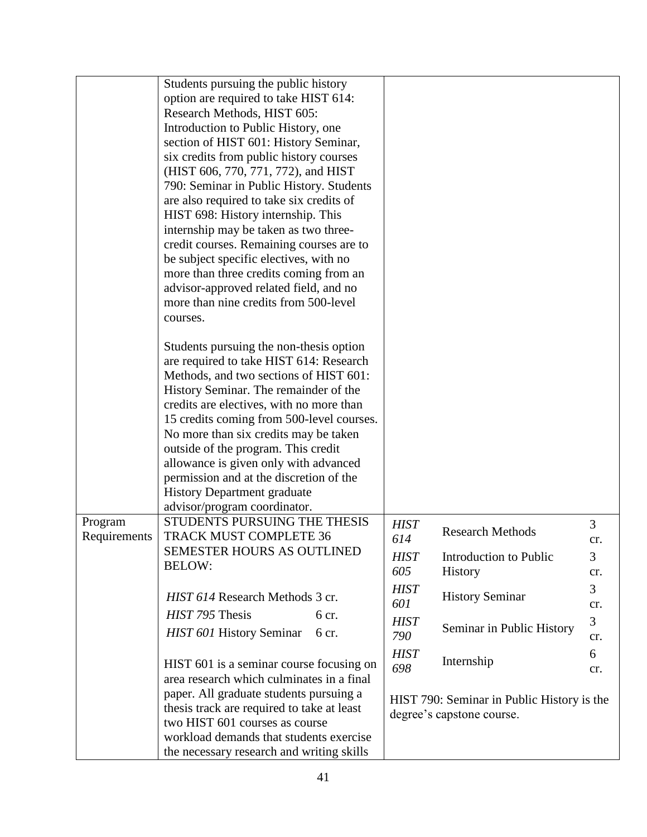|              | Students pursuing the public history       |             |                                            |                |
|--------------|--------------------------------------------|-------------|--------------------------------------------|----------------|
|              | option are required to take HIST 614:      |             |                                            |                |
|              | Research Methods, HIST 605:                |             |                                            |                |
|              | Introduction to Public History, one        |             |                                            |                |
|              | section of HIST 601: History Seminar,      |             |                                            |                |
|              | six credits from public history courses    |             |                                            |                |
|              | (HIST 606, 770, 771, 772), and HIST        |             |                                            |                |
|              | 790: Seminar in Public History. Students   |             |                                            |                |
|              | are also required to take six credits of   |             |                                            |                |
|              | HIST 698: History internship. This         |             |                                            |                |
|              | internship may be taken as two three-      |             |                                            |                |
|              | credit courses. Remaining courses are to   |             |                                            |                |
|              | be subject specific electives, with no     |             |                                            |                |
|              | more than three credits coming from an     |             |                                            |                |
|              | advisor-approved related field, and no     |             |                                            |                |
|              | more than nine credits from 500-level      |             |                                            |                |
|              | courses.                                   |             |                                            |                |
|              | Students pursuing the non-thesis option    |             |                                            |                |
|              | are required to take HIST 614: Research    |             |                                            |                |
|              | Methods, and two sections of HIST 601:     |             |                                            |                |
|              | History Seminar. The remainder of the      |             |                                            |                |
|              | credits are electives, with no more than   |             |                                            |                |
|              | 15 credits coming from 500-level courses.  |             |                                            |                |
|              | No more than six credits may be taken      |             |                                            |                |
|              | outside of the program. This credit        |             |                                            |                |
|              | allowance is given only with advanced      |             |                                            |                |
|              | permission and at the discretion of the    |             |                                            |                |
|              | <b>History Department graduate</b>         |             |                                            |                |
|              | advisor/program coordinator.               |             |                                            |                |
| Program      | STUDENTS PURSUING THE THESIS               | <b>HIST</b> | <b>Research Methods</b>                    | 3              |
| Requirements | <b>TRACK MUST COMPLETE 36</b>              | 614         |                                            | cr.            |
|              | <b>SEMESTER HOURS AS OUTLINED</b>          | <b>HIST</b> | Introduction to Public                     | 3              |
|              | <b>BELOW:</b>                              | 605         | History                                    | cr.            |
|              |                                            | <b>HIST</b> |                                            | 3              |
|              | HIST 614 Research Methods 3 cr.            | 601         | <b>History Seminar</b>                     | cr.            |
|              | HIST 795 Thesis<br>6 cr.                   | <b>HIST</b> |                                            | $\overline{3}$ |
|              | HIST 601 History Seminar<br>6 cr.          | 790         | Seminar in Public History                  | cr.            |
|              |                                            | <b>HIST</b> |                                            | 6              |
|              | HIST 601 is a seminar course focusing on   | 698         | Internship                                 | cr.            |
|              | area research which culminates in a final  |             |                                            |                |
|              | paper. All graduate students pursuing a    |             | HIST 790: Seminar in Public History is the |                |
|              | thesis track are required to take at least |             | degree's capstone course.                  |                |
|              | two HIST 601 courses as course             |             |                                            |                |
|              | workload demands that students exercise    |             |                                            |                |
|              | the necessary research and writing skills  |             |                                            |                |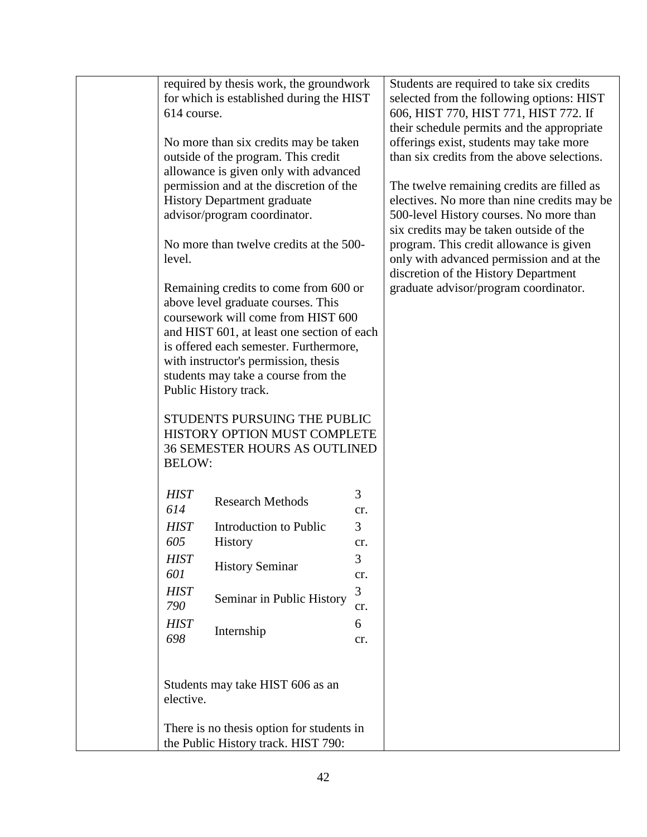|                    | required by thesis work, the groundwork                                                              |          | Students are required to take six credits   |
|--------------------|------------------------------------------------------------------------------------------------------|----------|---------------------------------------------|
|                    | for which is established during the HIST                                                             |          | selected from the following options: HIST   |
| 614 course.        |                                                                                                      |          | 606, HIST 770, HIST 771, HIST 772. If       |
|                    |                                                                                                      |          | their schedule permits and the appropriate  |
|                    | No more than six credits may be taken                                                                |          | offerings exist, students may take more     |
|                    | outside of the program. This credit                                                                  |          | than six credits from the above selections. |
|                    | allowance is given only with advanced                                                                |          |                                             |
|                    | permission and at the discretion of the                                                              |          | The twelve remaining credits are filled as  |
|                    | <b>History Department graduate</b>                                                                   |          | electives. No more than nine credits may be |
|                    | advisor/program coordinator.                                                                         |          | 500-level History courses. No more than     |
|                    |                                                                                                      |          | six credits may be taken outside of the     |
|                    | No more than twelve credits at the 500-                                                              |          | program. This credit allowance is given     |
| level.             |                                                                                                      |          | only with advanced permission and at the    |
|                    |                                                                                                      |          | discretion of the History Department        |
|                    | Remaining credits to come from 600 or                                                                |          | graduate advisor/program coordinator.       |
|                    | above level graduate courses. This                                                                   |          |                                             |
|                    | coursework will come from HIST 600                                                                   |          |                                             |
|                    | and HIST 601, at least one section of each                                                           |          |                                             |
|                    | is offered each semester. Furthermore,                                                               |          |                                             |
|                    | with instructor's permission, thesis                                                                 |          |                                             |
|                    | students may take a course from the                                                                  |          |                                             |
|                    | Public History track.                                                                                |          |                                             |
| <b>BELOW:</b>      | STUDENTS PURSUING THE PUBLIC<br>HISTORY OPTION MUST COMPLETE<br><b>36 SEMESTER HOURS AS OUTLINED</b> |          |                                             |
| <b>HIST</b><br>614 | <b>Research Methods</b>                                                                              | 3<br>cr. |                                             |
| <b>HIST</b>        | Introduction to Public                                                                               | 3        |                                             |
| 605                | History                                                                                              | cr.      |                                             |
|                    |                                                                                                      |          |                                             |
| <b>HIST</b>        | <b>History Seminar</b>                                                                               | 3        |                                             |
| 601                |                                                                                                      | cr.      |                                             |
| <b>HIST</b>        | Seminar in Public History                                                                            | 3        |                                             |
| 790                |                                                                                                      | cr.      |                                             |
| <b>HIST</b>        | Internship                                                                                           | 6        |                                             |
| 698                |                                                                                                      | cr.      |                                             |
|                    |                                                                                                      |          |                                             |
| elective.          | Students may take HIST 606 as an                                                                     |          |                                             |
|                    | There is no thesis option for students in<br>the Public History track. HIST 790:                     |          |                                             |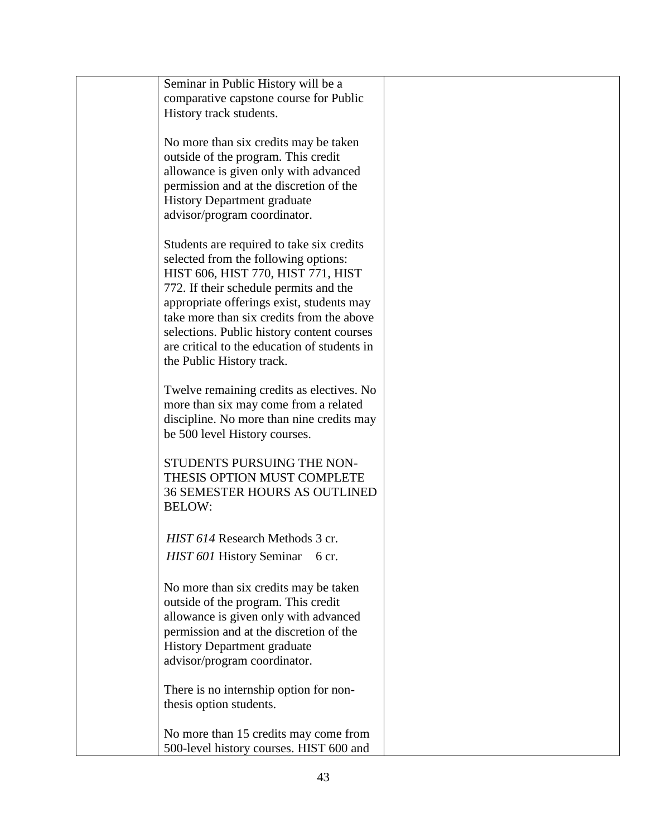| Seminar in Public History will be a                                               |  |
|-----------------------------------------------------------------------------------|--|
| comparative capstone course for Public                                            |  |
| History track students.                                                           |  |
|                                                                                   |  |
| No more than six credits may be taken                                             |  |
| outside of the program. This credit                                               |  |
| allowance is given only with advanced                                             |  |
| permission and at the discretion of the                                           |  |
| <b>History Department graduate</b>                                                |  |
| advisor/program coordinator.                                                      |  |
|                                                                                   |  |
| Students are required to take six credits<br>selected from the following options: |  |
| HIST 606, HIST 770, HIST 771, HIST                                                |  |
| 772. If their schedule permits and the                                            |  |
| appropriate offerings exist, students may                                         |  |
| take more than six credits from the above                                         |  |
| selections. Public history content courses                                        |  |
| are critical to the education of students in                                      |  |
| the Public History track.                                                         |  |
|                                                                                   |  |
| Twelve remaining credits as electives. No                                         |  |
| more than six may come from a related                                             |  |
| discipline. No more than nine credits may                                         |  |
| be 500 level History courses.                                                     |  |
|                                                                                   |  |
| STUDENTS PURSUING THE NON-<br>THESIS OPTION MUST COMPLETE                         |  |
| <b>36 SEMESTER HOURS AS OUTLINED</b>                                              |  |
| <b>BELOW:</b>                                                                     |  |
|                                                                                   |  |
| HIST 614 Research Methods 3 cr.                                                   |  |
| HIST 601 History Seminar<br>6 cr.                                                 |  |
|                                                                                   |  |
| No more than six credits may be taken                                             |  |
| outside of the program. This credit                                               |  |
| allowance is given only with advanced                                             |  |
| permission and at the discretion of the                                           |  |
| History Department graduate                                                       |  |
| advisor/program coordinator.                                                      |  |
| There is no internship option for non-                                            |  |
| thesis option students.                                                           |  |
|                                                                                   |  |
| No more than 15 credits may come from                                             |  |
| 500-level history courses. HIST 600 and                                           |  |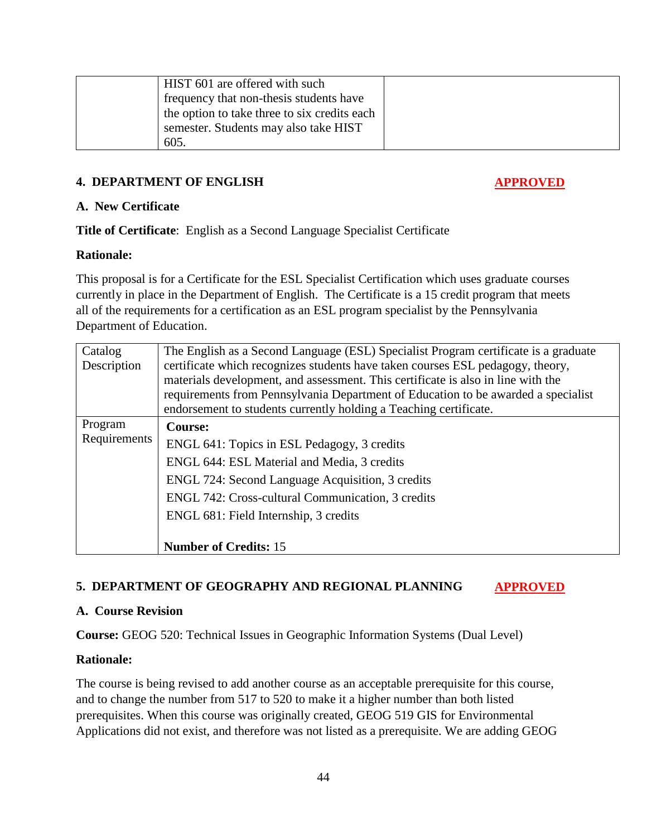| HIST 601 are offered with such               |  |
|----------------------------------------------|--|
| frequency that non-thesis students have      |  |
| the option to take three to six credits each |  |
| semester. Students may also take HIST        |  |
| 605.                                         |  |

## **4. DEPARTMENT OF ENGLISH APPROVED**

#### **A. New Certificate**

**Title of Certificate**: English as a Second Language Specialist Certificate

## **Rationale:**

This proposal is for a Certificate for the ESL Specialist Certification which uses graduate courses currently in place in the Department of English. The Certificate is a 15 credit program that meets all of the requirements for a certification as an ESL program specialist by the Pennsylvania Department of Education.

| Catalog      | The English as a Second Language (ESL) Specialist Program certificate is a graduate                                                                                   |
|--------------|-----------------------------------------------------------------------------------------------------------------------------------------------------------------------|
| Description  | certificate which recognizes students have taken courses ESL pedagogy, theory,                                                                                        |
|              | materials development, and assessment. This certificate is also in line with the<br>requirements from Pennsylvania Department of Education to be awarded a specialist |
|              | endorsement to students currently holding a Teaching certificate.                                                                                                     |
| Program      | <b>Course:</b>                                                                                                                                                        |
| Requirements | ENGL 641: Topics in ESL Pedagogy, 3 credits                                                                                                                           |
|              | ENGL 644: ESL Material and Media, 3 credits                                                                                                                           |
|              | ENGL 724: Second Language Acquisition, 3 credits                                                                                                                      |
|              | ENGL 742: Cross-cultural Communication, 3 credits                                                                                                                     |
|              | ENGL 681: Field Internship, 3 credits                                                                                                                                 |
|              | <b>Number of Credits: 15</b>                                                                                                                                          |

## 5. DEPARTMENT OF GEOGRAPHY AND REGIONAL PLANNING **APPROVED**

#### **A. Course Revision**

**Course:** GEOG 520: Technical Issues in Geographic Information Systems (Dual Level)

#### **Rationale:**

The course is being revised to add another course as an acceptable prerequisite for this course, and to change the number from 517 to 520 to make it a higher number than both listed prerequisites. When this course was originally created, GEOG 519 GIS for Environmental Applications did not exist, and therefore was not listed as a prerequisite. We are adding GEOG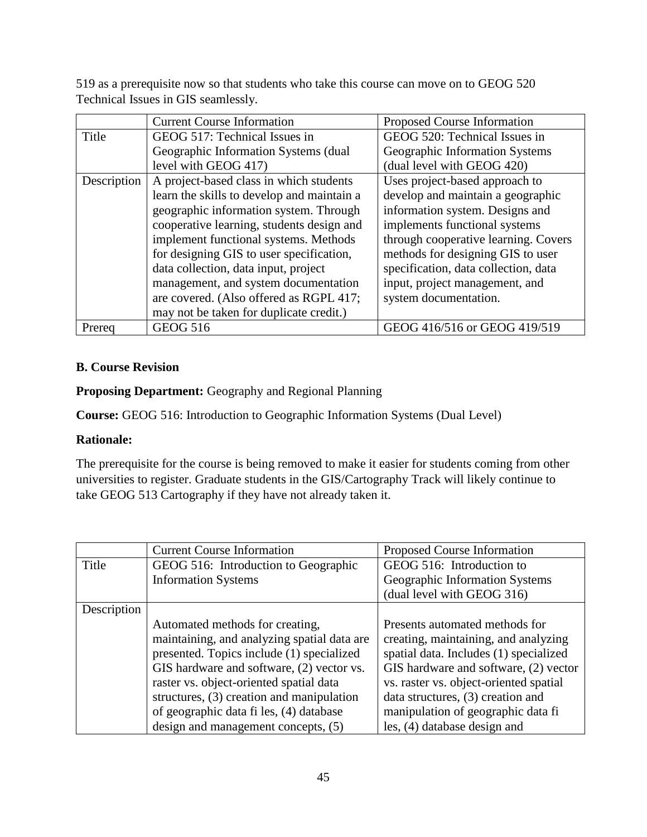519 as a prerequisite now so that students who take this course can move on to GEOG 520 Technical Issues in GIS seamlessly.

|             | <b>Current Course Information</b>          | Proposed Course Information          |
|-------------|--------------------------------------------|--------------------------------------|
| Title       | GEOG 517: Technical Issues in              | GEOG 520: Technical Issues in        |
|             | Geographic Information Systems (dual       | Geographic Information Systems       |
|             | level with GEOG 417)                       | (dual level with GEOG 420)           |
| Description | A project-based class in which students    | Uses project-based approach to       |
|             | learn the skills to develop and maintain a | develop and maintain a geographic    |
|             | geographic information system. Through     | information system. Designs and      |
|             | cooperative learning, students design and  | implements functional systems        |
|             | implement functional systems. Methods      | through cooperative learning. Covers |
|             | for designing GIS to user specification,   | methods for designing GIS to user    |
|             | data collection, data input, project       | specification, data collection, data |
|             | management, and system documentation       | input, project management, and       |
|             | are covered. (Also offered as RGPL 417;    | system documentation.                |
|             | may not be taken for duplicate credit.)    |                                      |
| Prereg      | <b>GEOG 516</b>                            | GEOG 416/516 or GEOG 419/519         |

## **B. Course Revision**

## **Proposing Department:** Geography and Regional Planning

**Course:** GEOG 516: Introduction to Geographic Information Systems (Dual Level)

## **Rationale:**

The prerequisite for the course is being removed to make it easier for students coming from other universities to register. Graduate students in the GIS/Cartography Track will likely continue to take GEOG 513 Cartography if they have not already taken it.

|             | <b>Current Course Information</b>           | Proposed Course Information            |
|-------------|---------------------------------------------|----------------------------------------|
| Title       | GEOG 516: Introduction to Geographic        | GEOG 516: Introduction to              |
|             | <b>Information Systems</b>                  | Geographic Information Systems         |
|             |                                             | (dual level with GEOG 316)             |
| Description |                                             |                                        |
|             | Automated methods for creating,             | Presents automated methods for         |
|             | maintaining, and analyzing spatial data are | creating, maintaining, and analyzing   |
|             | presented. Topics include (1) specialized   | spatial data. Includes (1) specialized |
|             | GIS hardware and software, (2) vector vs.   | GIS hardware and software, (2) vector  |
|             | raster vs. object-oriented spatial data     | vs. raster vs. object-oriented spatial |
|             | structures, $(3)$ creation and manipulation | data structures, (3) creation and      |
|             | of geographic data fi les, (4) database     | manipulation of geographic data fi     |
|             | design and management concepts, (5)         | les, (4) database design and           |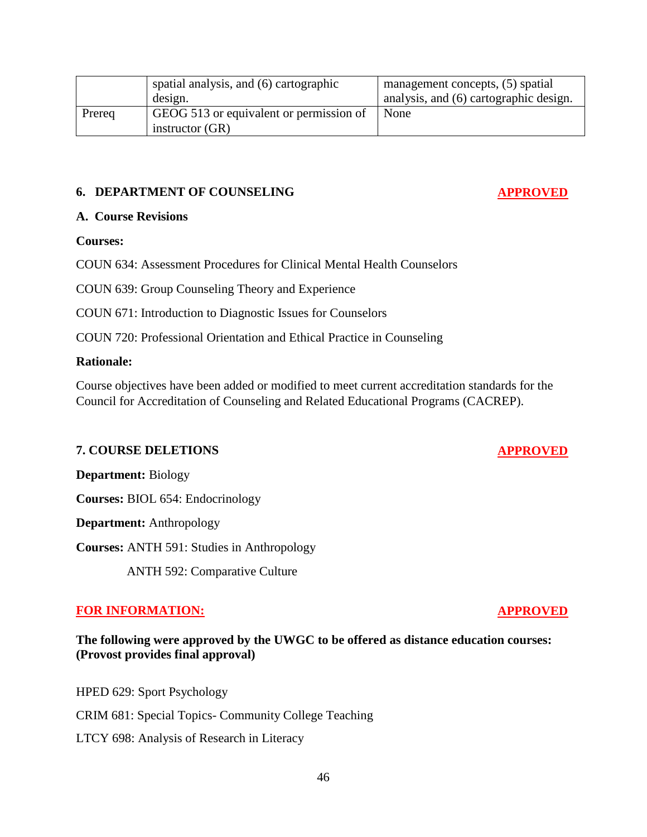|        | spatial analysis, and (6) cartographic  | management concepts, (5) spatial       |
|--------|-----------------------------------------|----------------------------------------|
|        | design.                                 | analysis, and (6) cartographic design. |
| Prereq | GEOG 513 or equivalent or permission of | None                                   |
|        | instructor $(GR)$                       |                                        |

#### **6. DEPARTMENT OF COUNSELING APPROVED**

#### **A. Course Revisions**

#### **Courses:**

COUN 634: Assessment Procedures for Clinical Mental Health Counselors

COUN 639: Group Counseling Theory and Experience

COUN 671: Introduction to Diagnostic Issues for Counselors

COUN 720: Professional Orientation and Ethical Practice in Counseling

#### **Rationale:**

Course objectives have been added or modified to meet current accreditation standards for the Council for Accreditation of Counseling and Related Educational Programs (CACREP).

## **7. COURSE DELETIONS APPROVED**

**Department:** Biology

**Courses:** BIOL 654: Endocrinology

**Department:** Anthropology

**Courses:** ANTH 591: Studies in Anthropology

ANTH 592: Comparative Culture

#### **FOR INFORMATION: APPROVED**

## **The following were approved by the UWGC to be offered as distance education courses: (Provost provides final approval)**

HPED 629: Sport Psychology CRIM 681: Special Topics- Community College Teaching LTCY 698: Analysis of Research in Literacy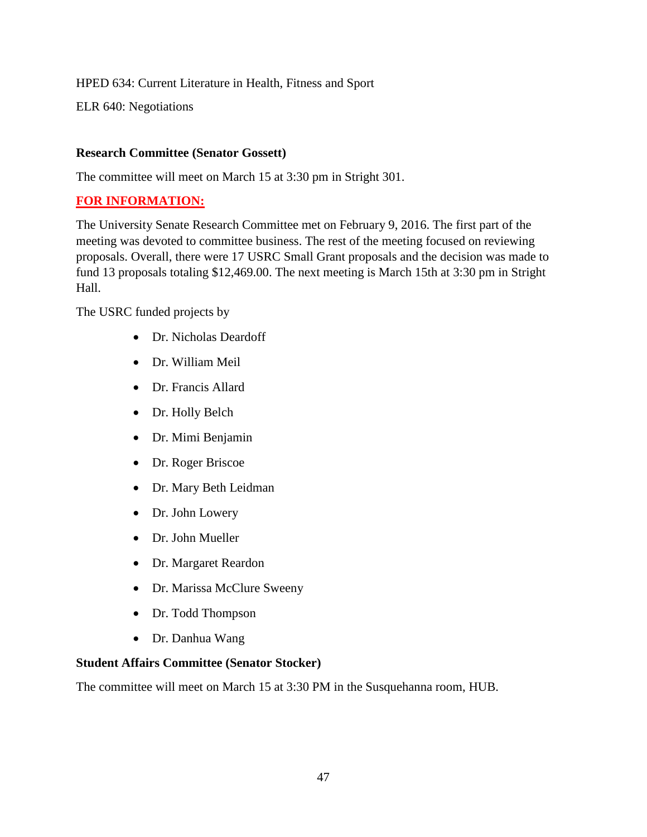HPED 634: Current Literature in Health, Fitness and Sport

ELR 640: Negotiations

## **Research Committee (Senator Gossett)**

The committee will meet on March 15 at 3:30 pm in Stright 301.

## **FOR INFORMATION:**

The University Senate Research Committee met on February 9, 2016. The first part of the meeting was devoted to committee business. The rest of the meeting focused on reviewing proposals. Overall, there were 17 USRC Small Grant proposals and the decision was made to fund 13 proposals totaling \$12,469.00. The next meeting is March 15th at 3:30 pm in Stright Hall.

The USRC funded projects by

- Dr. Nicholas Deardoff
- Dr. William Meil
- Dr. Francis Allard
- Dr. Holly Belch
- Dr. Mimi Benjamin
- Dr. Roger Briscoe
- Dr. Mary Beth Leidman
- Dr. John Lowery
- Dr. John Mueller
- Dr. Margaret Reardon
- Dr. Marissa McClure Sweeny
- Dr. Todd Thompson
- Dr. Danhua Wang

## **Student Affairs Committee (Senator Stocker)**

The committee will meet on March 15 at 3:30 PM in the Susquehanna room, HUB.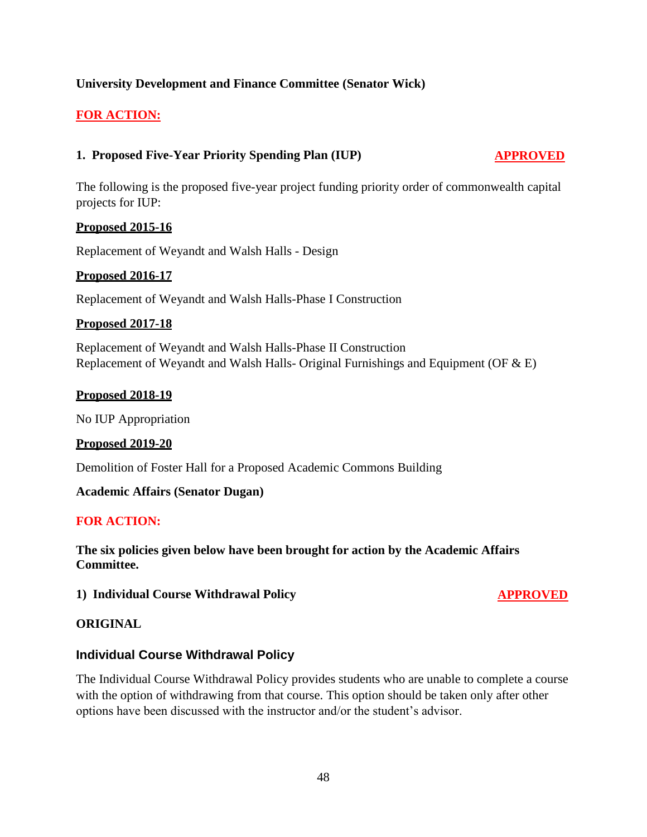## **University Development and Finance Committee (Senator Wick)**

## **FOR ACTION:**

## **1. Proposed Five-Year Priority Spending Plan (IUP) APPROVED**

The following is the proposed five-year project funding priority order of commonwealth capital projects for IUP:

#### **Proposed 2015-16**

Replacement of Weyandt and Walsh Halls - Design

### **Proposed 2016-17**

Replacement of Weyandt and Walsh Halls-Phase I Construction

#### **Proposed 2017-18**

Replacement of Weyandt and Walsh Halls-Phase II Construction Replacement of Weyandt and Walsh Halls- Original Furnishings and Equipment (OF & E)

#### **Proposed 2018-19**

No IUP Appropriation

#### **Proposed 2019-20**

Demolition of Foster Hall for a Proposed Academic Commons Building

#### **Academic Affairs (Senator Dugan)**

#### **FOR ACTION:**

**The six policies given below have been brought for action by the Academic Affairs Committee.**

**1) Individual Course Withdrawal Policy APPROVED** 

#### **ORIGINAL**

#### **Individual Course Withdrawal Policy**

The Individual Course Withdrawal Policy provides students who are unable to complete a course with the option of withdrawing from that course. This option should be taken only after other options have been discussed with the instructor and/or the student's advisor.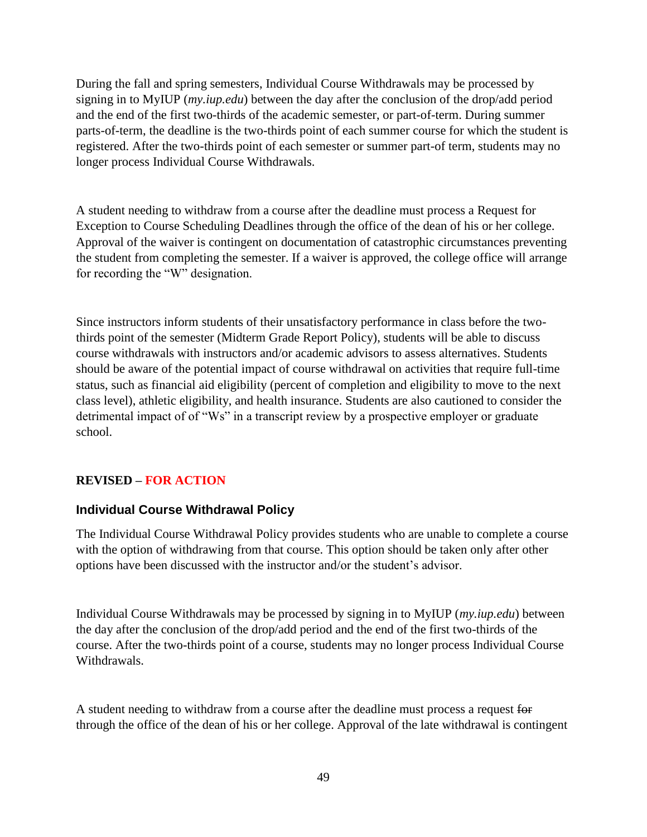During the fall and spring semesters, Individual Course Withdrawals may be processed by signing in to MyIUP (*my.iup.edu*) between the day after the conclusion of the drop/add period and the end of the first two-thirds of the academic semester, or part-of-term. During summer parts-of-term, the deadline is the two-thirds point of each summer course for which the student is registered. After the two-thirds point of each semester or summer part-of term, students may no longer process Individual Course Withdrawals.

A student needing to withdraw from a course after the deadline must process a Request for Exception to Course Scheduling Deadlines through the office of the dean of his or her college. Approval of the waiver is contingent on documentation of catastrophic circumstances preventing the student from completing the semester. If a waiver is approved, the college office will arrange for recording the "W" designation.

Since instructors inform students of their unsatisfactory performance in class before the twothirds point of the semester (Midterm Grade Report Policy), students will be able to discuss course withdrawals with instructors and/or academic advisors to assess alternatives. Students should be aware of the potential impact of course withdrawal on activities that require full-time status, such as financial aid eligibility (percent of completion and eligibility to move to the next class level), athletic eligibility, and health insurance. Students are also cautioned to consider the detrimental impact of of "Ws" in a transcript review by a prospective employer or graduate school.

#### **REVISED – FOR ACTION**

#### **Individual Course Withdrawal Policy**

The Individual Course Withdrawal Policy provides students who are unable to complete a course with the option of withdrawing from that course. This option should be taken only after other options have been discussed with the instructor and/or the student's advisor.

Individual Course Withdrawals may be processed by signing in to MyIUP (*my.iup.edu*) between the day after the conclusion of the drop/add period and the end of the first two-thirds of the course. After the two-thirds point of a course, students may no longer process Individual Course Withdrawals.

A student needing to withdraw from a course after the deadline must process a request for through the office of the dean of his or her college. Approval of the late withdrawal is contingent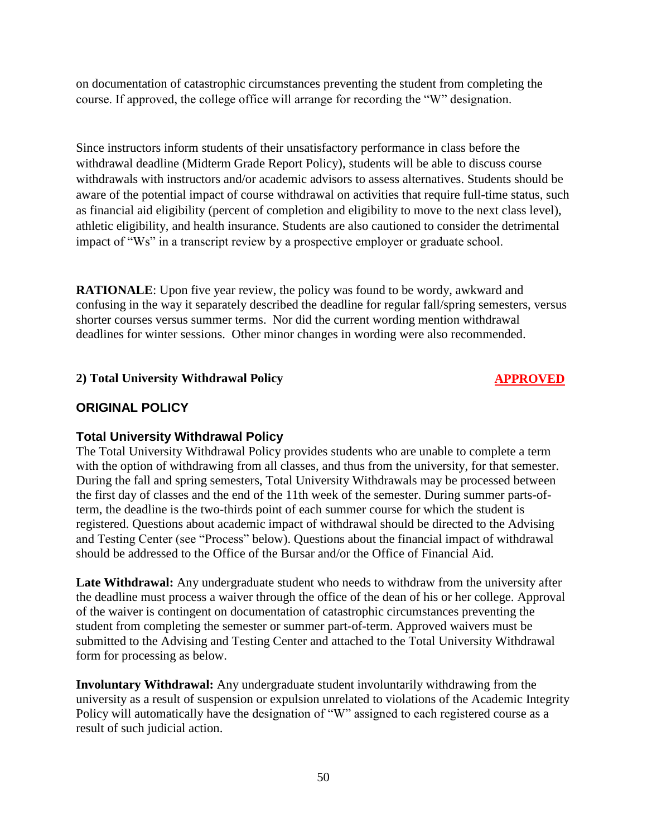on documentation of catastrophic circumstances preventing the student from completing the course. If approved, the college office will arrange for recording the "W" designation.

Since instructors inform students of their unsatisfactory performance in class before the withdrawal deadline (Midterm Grade Report Policy), students will be able to discuss course withdrawals with instructors and/or academic advisors to assess alternatives. Students should be aware of the potential impact of course withdrawal on activities that require full-time status, such as financial aid eligibility (percent of completion and eligibility to move to the next class level), athletic eligibility, and health insurance. Students are also cautioned to consider the detrimental impact of "Ws" in a transcript review by a prospective employer or graduate school.

**RATIONALE**: Upon five year review, the policy was found to be wordy, awkward and confusing in the way it separately described the deadline for regular fall/spring semesters, versus shorter courses versus summer terms. Nor did the current wording mention withdrawal deadlines for winter sessions. Other minor changes in wording were also recommended.

## **2) Total University Withdrawal Policy APPROVED**

## **ORIGINAL POLICY**

#### **Total University Withdrawal Policy**

The Total University Withdrawal Policy provides students who are unable to complete a term with the option of withdrawing from all classes, and thus from the university, for that semester. During the fall and spring semesters, Total University Withdrawals may be processed between the first day of classes and the end of the 11th week of the semester. During summer parts-ofterm, the deadline is the two-thirds point of each summer course for which the student is registered. Questions about academic impact of withdrawal should be directed to the Advising and Testing Center (see "Process" below). Questions about the financial impact of withdrawal should be addressed to the Office of the Bursar and/or the Office of Financial Aid.

Late Withdrawal: Any undergraduate student who needs to withdraw from the university after the deadline must process a waiver through the office of the dean of his or her college. Approval of the waiver is contingent on documentation of catastrophic circumstances preventing the student from completing the semester or summer part-of-term. Approved waivers must be submitted to the Advising and Testing Center and attached to the Total University Withdrawal form for processing as below.

**Involuntary Withdrawal:** Any undergraduate student involuntarily withdrawing from the university as a result of suspension or expulsion unrelated to violations of the Academic Integrity Policy will automatically have the designation of "W" assigned to each registered course as a result of such judicial action.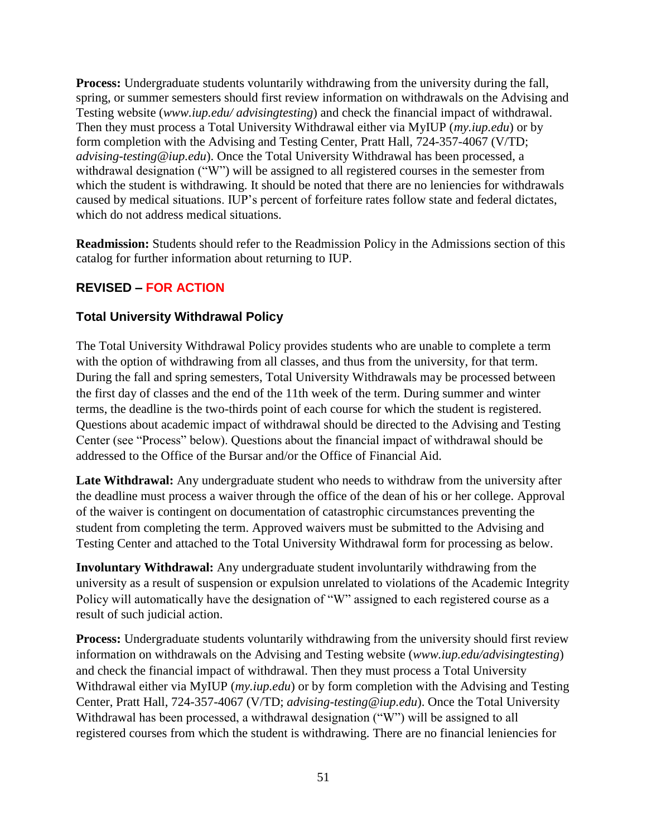**Process:** Undergraduate students voluntarily withdrawing from the university during the fall, spring, or summer semesters should first review information on withdrawals on the Advising and Testing website (*www.iup.edu/ advisingtesting*) and check the financial impact of withdrawal. Then they must process a Total University Withdrawal either via MyIUP (*my.iup.edu*) or by form completion with the Advising and Testing Center, Pratt Hall, 724-357-4067 (V/TD; *advising-testing@iup.edu*). Once the Total University Withdrawal has been processed, a withdrawal designation ("W") will be assigned to all registered courses in the semester from which the student is withdrawing. It should be noted that there are no leniencies for withdrawals caused by medical situations. IUP's percent of forfeiture rates follow state and federal dictates, which do not address medical situations.

**Readmission:** Students should refer to the Readmission Policy in the Admissions section of this catalog for further information about returning to IUP.

## **REVISED – FOR ACTION**

## **Total University Withdrawal Policy**

The Total University Withdrawal Policy provides students who are unable to complete a term with the option of withdrawing from all classes, and thus from the university, for that term. During the fall and spring semesters, Total University Withdrawals may be processed between the first day of classes and the end of the 11th week of the term. During summer and winter terms, the deadline is the two-thirds point of each course for which the student is registered. Questions about academic impact of withdrawal should be directed to the Advising and Testing Center (see "Process" below). Questions about the financial impact of withdrawal should be addressed to the Office of the Bursar and/or the Office of Financial Aid.

Late Withdrawal: Any undergraduate student who needs to withdraw from the university after the deadline must process a waiver through the office of the dean of his or her college. Approval of the waiver is contingent on documentation of catastrophic circumstances preventing the student from completing the term. Approved waivers must be submitted to the Advising and Testing Center and attached to the Total University Withdrawal form for processing as below.

**Involuntary Withdrawal:** Any undergraduate student involuntarily withdrawing from the university as a result of suspension or expulsion unrelated to violations of the Academic Integrity Policy will automatically have the designation of "W" assigned to each registered course as a result of such judicial action.

**Process:** Undergraduate students voluntarily withdrawing from the university should first review information on withdrawals on the Advising and Testing website (*www.iup.edu/advisingtesting*) and check the financial impact of withdrawal. Then they must process a Total University Withdrawal either via MyIUP (*my.iup.edu*) or by form completion with the Advising and Testing Center, Pratt Hall, 724-357-4067 (V/TD; *advising-testing@iup.edu*). Once the Total University Withdrawal has been processed, a withdrawal designation ("W") will be assigned to all registered courses from which the student is withdrawing. There are no financial leniencies for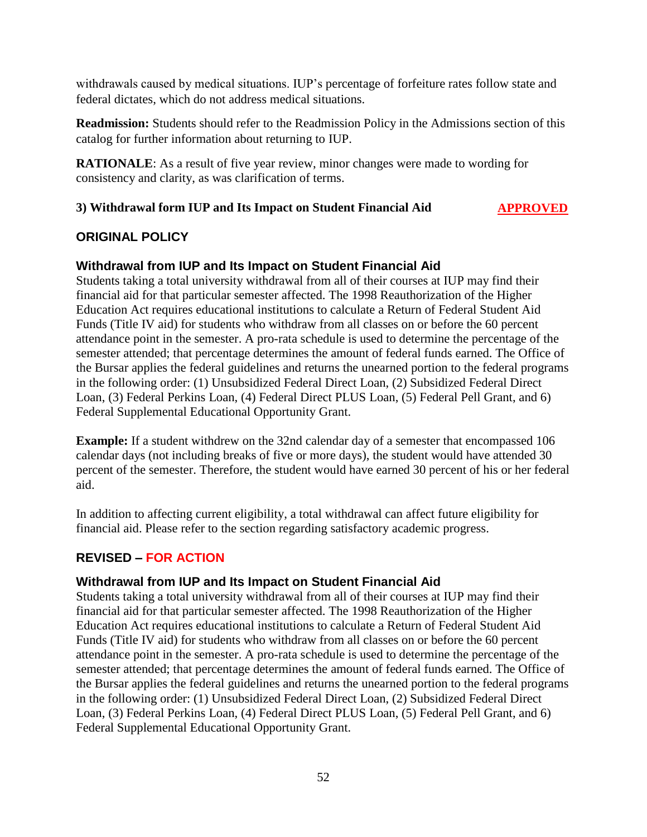withdrawals caused by medical situations. IUP's percentage of forfeiture rates follow state and federal dictates, which do not address medical situations.

**Readmission:** Students should refer to the Readmission Policy in the Admissions section of this catalog for further information about returning to IUP.

**RATIONALE:** As a result of five year review, minor changes were made to wording for consistency and clarity, as was clarification of terms.

## **3) Withdrawal form IUP and Its Impact on Student Financial Aid APPROVED**

## **ORIGINAL POLICY**

## **Withdrawal from IUP and Its Impact on Student Financial Aid**

Students taking a total university withdrawal from all of their courses at IUP may find their financial aid for that particular semester affected. The 1998 Reauthorization of the Higher Education Act requires educational institutions to calculate a Return of Federal Student Aid Funds (Title IV aid) for students who withdraw from all classes on or before the 60 percent attendance point in the semester. A pro-rata schedule is used to determine the percentage of the semester attended; that percentage determines the amount of federal funds earned. The Office of the Bursar applies the federal guidelines and returns the unearned portion to the federal programs in the following order: (1) Unsubsidized Federal Direct Loan, (2) Subsidized Federal Direct Loan, (3) Federal Perkins Loan, (4) Federal Direct PLUS Loan, (5) Federal Pell Grant, and 6) Federal Supplemental Educational Opportunity Grant.

**Example:** If a student withdrew on the 32nd calendar day of a semester that encompassed 106 calendar days (not including breaks of five or more days), the student would have attended 30 percent of the semester. Therefore, the student would have earned 30 percent of his or her federal aid.

In addition to affecting current eligibility, a total withdrawal can affect future eligibility for financial aid. Please refer to the section regarding satisfactory academic progress.

## **REVISED – FOR ACTION**

#### **Withdrawal from IUP and Its Impact on Student Financial Aid**

Students taking a total university withdrawal from all of their courses at IUP may find their financial aid for that particular semester affected. The 1998 Reauthorization of the Higher Education Act requires educational institutions to calculate a Return of Federal Student Aid Funds (Title IV aid) for students who withdraw from all classes on or before the 60 percent attendance point in the semester. A pro-rata schedule is used to determine the percentage of the semester attended; that percentage determines the amount of federal funds earned. The Office of the Bursar applies the federal guidelines and returns the unearned portion to the federal programs in the following order: (1) Unsubsidized Federal Direct Loan, (2) Subsidized Federal Direct Loan, (3) Federal Perkins Loan, (4) Federal Direct PLUS Loan, (5) Federal Pell Grant, and 6) Federal Supplemental Educational Opportunity Grant.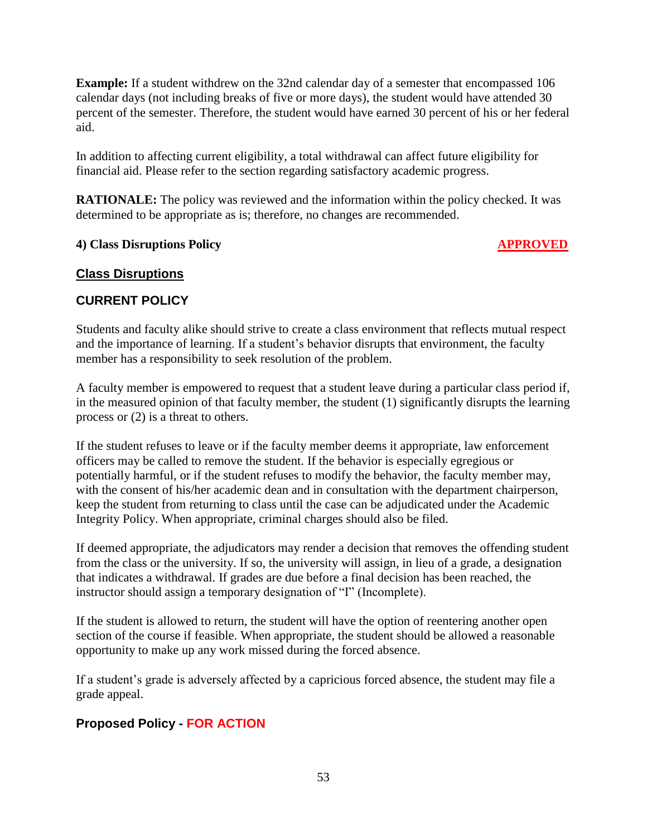**Example:** If a student withdrew on the 32nd calendar day of a semester that encompassed 106 calendar days (not including breaks of five or more days), the student would have attended 30 percent of the semester. Therefore, the student would have earned 30 percent of his or her federal aid.

In addition to affecting current eligibility, a total withdrawal can affect future eligibility for financial aid. Please refer to the section regarding satisfactory academic progress.

**RATIONALE:** The policy was reviewed and the information within the policy checked. It was determined to be appropriate as is; therefore, no changes are recommended.

## **4) Class Disruptions Policy APPROVED**

## **Class Disruptions**

## **CURRENT POLICY**

Students and faculty alike should strive to create a class environment that reflects mutual respect and the importance of learning. If a student's behavior disrupts that environment, the faculty member has a responsibility to seek resolution of the problem.

A faculty member is empowered to request that a student leave during a particular class period if, in the measured opinion of that faculty member, the student (1) significantly disrupts the learning process or (2) is a threat to others.

If the student refuses to leave or if the faculty member deems it appropriate, law enforcement officers may be called to remove the student. If the behavior is especially egregious or potentially harmful, or if the student refuses to modify the behavior, the faculty member may, with the consent of his/her academic dean and in consultation with the department chairperson, keep the student from returning to class until the case can be adjudicated under the Academic Integrity Policy. When appropriate, criminal charges should also be filed.

If deemed appropriate, the adjudicators may render a decision that removes the offending student from the class or the university. If so, the university will assign, in lieu of a grade, a designation that indicates a withdrawal. If grades are due before a final decision has been reached, the instructor should assign a temporary designation of "I" (Incomplete).

If the student is allowed to return, the student will have the option of reentering another open section of the course if feasible. When appropriate, the student should be allowed a reasonable opportunity to make up any work missed during the forced absence.

If a student's grade is adversely affected by a capricious forced absence, the student may file a grade appeal.

## **Proposed Policy - FOR ACTION**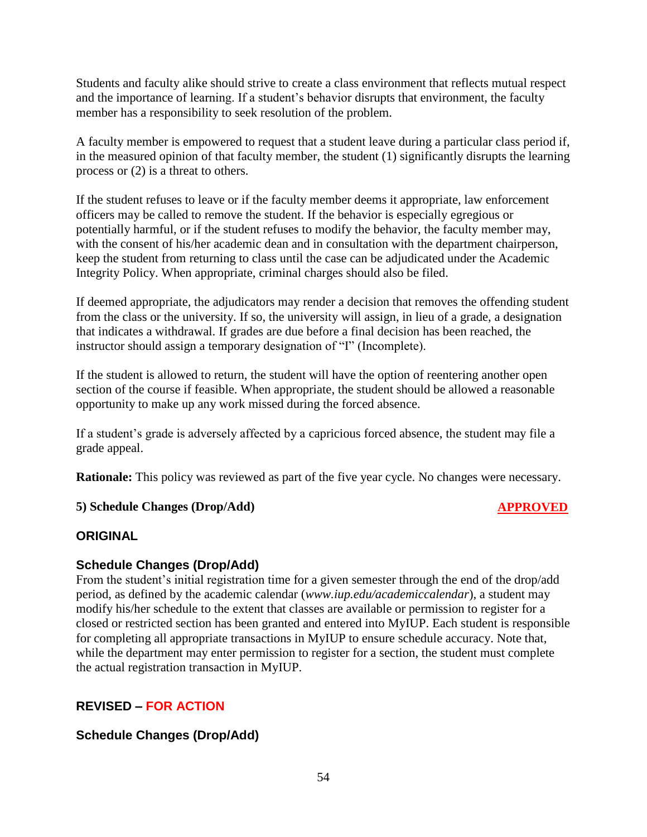Students and faculty alike should strive to create a class environment that reflects mutual respect and the importance of learning. If a student's behavior disrupts that environment, the faculty member has a responsibility to seek resolution of the problem.

A faculty member is empowered to request that a student leave during a particular class period if, in the measured opinion of that faculty member, the student (1) significantly disrupts the learning process or (2) is a threat to others.

If the student refuses to leave or if the faculty member deems it appropriate, law enforcement officers may be called to remove the student. If the behavior is especially egregious or potentially harmful, or if the student refuses to modify the behavior, the faculty member may, with the consent of his/her academic dean and in consultation with the department chairperson, keep the student from returning to class until the case can be adjudicated under the Academic Integrity Policy. When appropriate, criminal charges should also be filed.

If deemed appropriate, the adjudicators may render a decision that removes the offending student from the class or the university. If so, the university will assign, in lieu of a grade, a designation that indicates a withdrawal. If grades are due before a final decision has been reached, the instructor should assign a temporary designation of "I" (Incomplete).

If the student is allowed to return, the student will have the option of reentering another open section of the course if feasible. When appropriate, the student should be allowed a reasonable opportunity to make up any work missed during the forced absence.

If a student's grade is adversely affected by a capricious forced absence, the student may file a grade appeal.

**Rationale:** This policy was reviewed as part of the five year cycle. No changes were necessary.

## **5) Schedule Changes (Drop/Add) APPROVED**

## **ORIGINAL**

## **Schedule Changes (Drop/Add)**

From the student's initial registration time for a given semester through the end of the drop/add period, as defined by the academic calendar (*www.iup.edu/academiccalendar*), a student may modify his/her schedule to the extent that classes are available or permission to register for a closed or restricted section has been granted and entered into MyIUP. Each student is responsible for completing all appropriate transactions in MyIUP to ensure schedule accuracy. Note that, while the department may enter permission to register for a section, the student must complete the actual registration transaction in MyIUP.

## **REVISED – FOR ACTION**

## **Schedule Changes (Drop/Add)**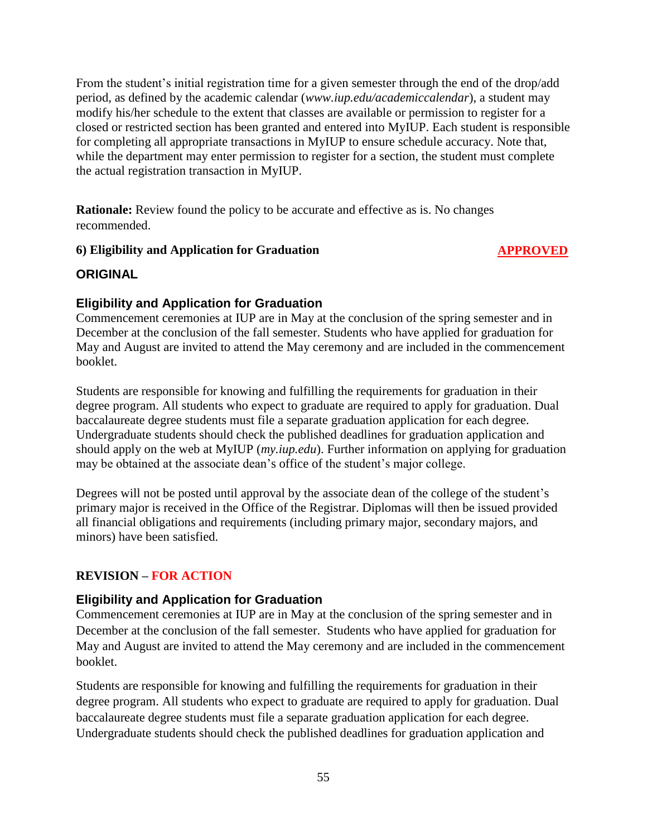From the student's initial registration time for a given semester through the end of the drop/add period, as defined by the academic calendar (*www.iup.edu/academiccalendar*), a student may modify his/her schedule to the extent that classes are available or permission to register for a closed or restricted section has been granted and entered into MyIUP. Each student is responsible for completing all appropriate transactions in MyIUP to ensure schedule accuracy. Note that, while the department may enter permission to register for a section, the student must complete the actual registration transaction in MyIUP.

**Rationale:** Review found the policy to be accurate and effective as is. No changes recommended.

## **6) Eligibility and Application for Graduation APPROVED**

## **ORIGINAL**

## **Eligibility and Application for Graduation**

Commencement ceremonies at IUP are in May at the conclusion of the spring semester and in December at the conclusion of the fall semester. Students who have applied for graduation for May and August are invited to attend the May ceremony and are included in the commencement booklet.

Students are responsible for knowing and fulfilling the requirements for graduation in their degree program. All students who expect to graduate are required to apply for graduation. Dual baccalaureate degree students must file a separate graduation application for each degree. Undergraduate students should check the published deadlines for graduation application and should apply on the web at MyIUP (*my.iup.edu*). Further information on applying for graduation may be obtained at the associate dean's office of the student's major college.

Degrees will not be posted until approval by the associate dean of the college of the student's primary major is received in the Office of the Registrar. Diplomas will then be issued provided all financial obligations and requirements (including primary major, secondary majors, and minors) have been satisfied.

## **REVISION – FOR ACTION**

## **Eligibility and Application for Graduation**

Commencement ceremonies at IUP are in May at the conclusion of the spring semester and in December at the conclusion of the fall semester. Students who have applied for graduation for May and August are invited to attend the May ceremony and are included in the commencement booklet.

Students are responsible for knowing and fulfilling the requirements for graduation in their degree program. All students who expect to graduate are required to apply for graduation. Dual baccalaureate degree students must file a separate graduation application for each degree. Undergraduate students should check the published deadlines for graduation application and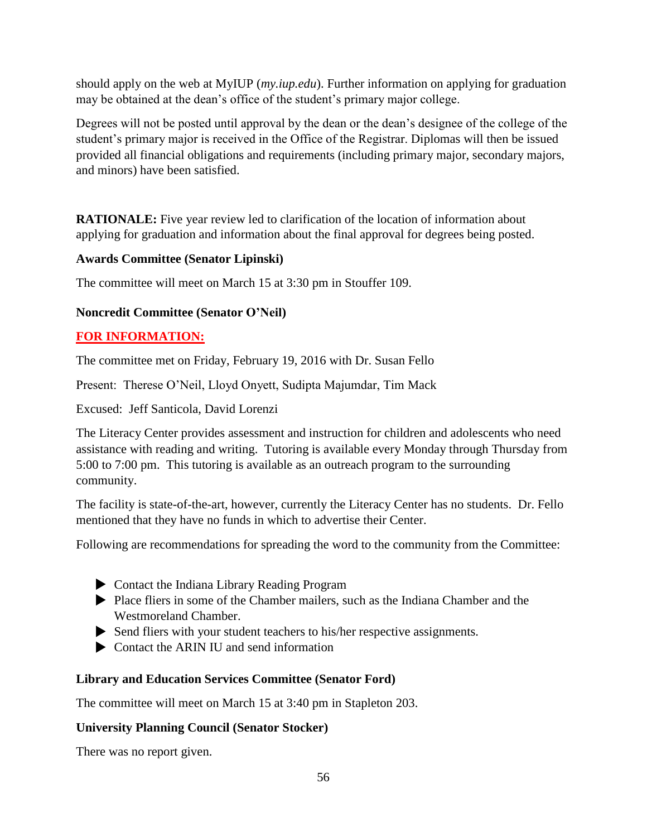should apply on the web at MyIUP (*my.iup.edu*). Further information on applying for graduation may be obtained at the dean's office of the student's primary major college.

Degrees will not be posted until approval by the dean or the dean's designee of the college of the student's primary major is received in the Office of the Registrar. Diplomas will then be issued provided all financial obligations and requirements (including primary major, secondary majors, and minors) have been satisfied.

**RATIONALE:** Five year review led to clarification of the location of information about applying for graduation and information about the final approval for degrees being posted.

## **Awards Committee (Senator Lipinski)**

The committee will meet on March 15 at 3:30 pm in Stouffer 109.

## **Noncredit Committee (Senator O'Neil)**

## **FOR INFORMATION:**

The committee met on Friday, February 19, 2016 with Dr. Susan Fello

Present: Therese O'Neil, Lloyd Onyett, Sudipta Majumdar, Tim Mack

Excused: Jeff Santicola, David Lorenzi

The Literacy Center provides assessment and instruction for children and adolescents who need assistance with reading and writing. Tutoring is available every Monday through Thursday from 5:00 to 7:00 pm. This tutoring is available as an outreach program to the surrounding community.

The facility is state-of-the-art, however, currently the Literacy Center has no students. Dr. Fello mentioned that they have no funds in which to advertise their Center.

Following are recommendations for spreading the word to the community from the Committee:

- Contact the Indiana Library Reading Program
- Place fliers in some of the Chamber mailers, such as the Indiana Chamber and the Westmoreland Chamber.
- Send fliers with your student teachers to his/her respective assignments.
- ▶ Contact the ARIN III and send information

## **Library and Education Services Committee (Senator Ford)**

The committee will meet on March 15 at 3:40 pm in Stapleton 203.

## **University Planning Council (Senator Stocker)**

There was no report given.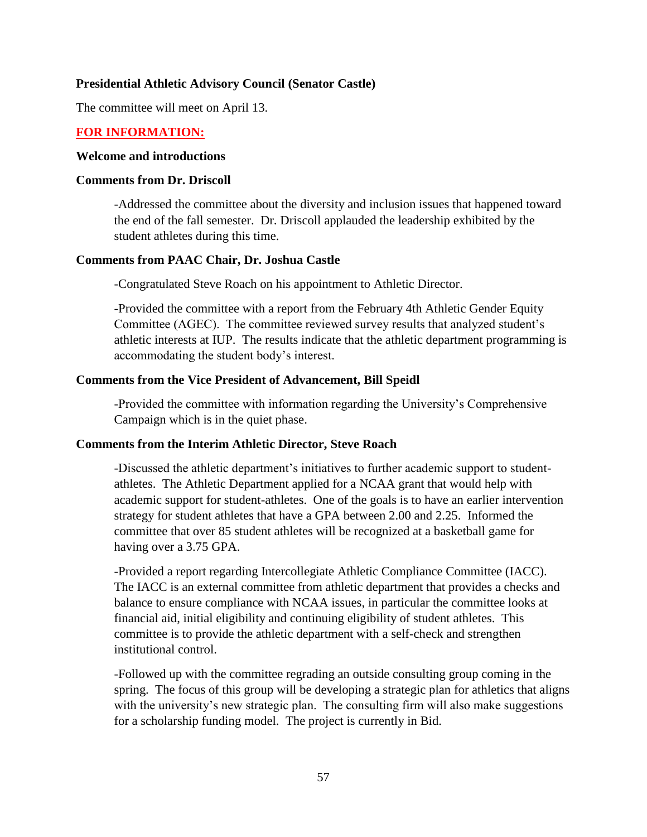## **Presidential Athletic Advisory Council (Senator Castle)**

The committee will meet on April 13.

## **FOR INFORMATION:**

#### **Welcome and introductions**

#### **Comments from Dr. Driscoll**

-Addressed the committee about the diversity and inclusion issues that happened toward the end of the fall semester. Dr. Driscoll applauded the leadership exhibited by the student athletes during this time.

#### **Comments from PAAC Chair, Dr. Joshua Castle**

-Congratulated Steve Roach on his appointment to Athletic Director.

-Provided the committee with a report from the February 4th Athletic Gender Equity Committee (AGEC). The committee reviewed survey results that analyzed student's athletic interests at IUP. The results indicate that the athletic department programming is accommodating the student body's interest.

#### **Comments from the Vice President of Advancement, Bill Speidl**

-Provided the committee with information regarding the University's Comprehensive Campaign which is in the quiet phase.

#### **Comments from the Interim Athletic Director, Steve Roach**

-Discussed the athletic department's initiatives to further academic support to studentathletes. The Athletic Department applied for a NCAA grant that would help with academic support for student-athletes. One of the goals is to have an earlier intervention strategy for student athletes that have a GPA between 2.00 and 2.25. Informed the committee that over 85 student athletes will be recognized at a basketball game for having over a 3.75 GPA.

-Provided a report regarding Intercollegiate Athletic Compliance Committee (IACC). The IACC is an external committee from athletic department that provides a checks and balance to ensure compliance with NCAA issues, in particular the committee looks at financial aid, initial eligibility and continuing eligibility of student athletes. This committee is to provide the athletic department with a self-check and strengthen institutional control.

-Followed up with the committee regrading an outside consulting group coming in the spring. The focus of this group will be developing a strategic plan for athletics that aligns with the university's new strategic plan. The consulting firm will also make suggestions for a scholarship funding model. The project is currently in Bid.